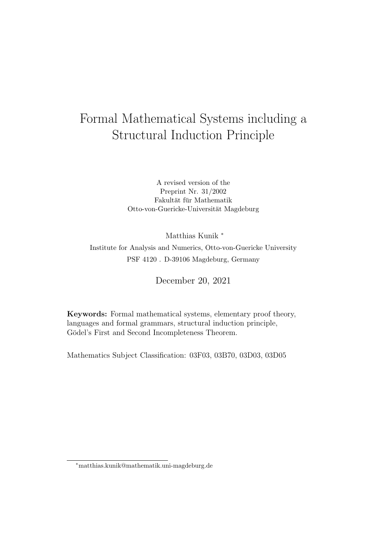# Formal Mathematical Systems including a Structural Induction Principle

A revised version of the Preprint Nr. 31/2002 Fakultät für Mathematik Otto-von-Guericke-Universität Magdeburg

Matthias Kunik <sup>∗</sup> Institute for Analysis and Numerics, Otto-von-Guericke University PSF 4120 . D-39106 Magdeburg, Germany

December 20, 2021

Keywords: Formal mathematical systems, elementary proof theory, languages and formal grammars, structural induction principle, Gödel's First and Second Incompleteness Theorem.

Mathematics Subject Classification: 03F03, 03B70, 03D03, 03D05

<sup>∗</sup>matthias.kunik@mathematik.uni-magdeburg.de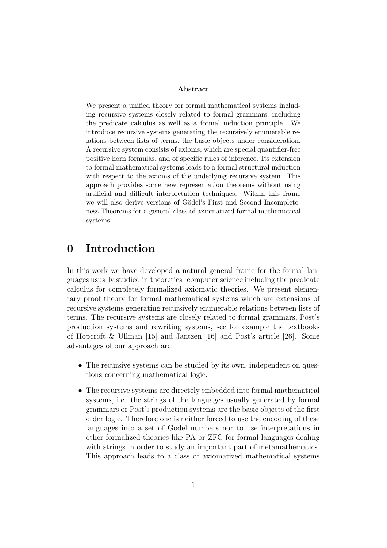#### Abstract

We present a unified theory for formal mathematical systems including recursive systems closely related to formal grammars, including the predicate calculus as well as a formal induction principle. We introduce recursive systems generating the recursively enumerable relations between lists of terms, the basic objects under consideration. A recursive system consists of axioms, which are special quantifier-free positive horn formulas, and of specific rules of inference. Its extension to formal mathematical systems leads to a formal structural induction with respect to the axioms of the underlying recursive system. This approach provides some new representation theorems without using artificial and difficult interpretation techniques. Within this frame we will also derive versions of Gödel's First and Second Incompleteness Theorems for a general class of axiomatized formal mathematical systems.

## 0 Introduction

In this work we have developed a natural general frame for the formal languages usually studied in theoretical computer science including the predicate calculus for completely formalized axiomatic theories. We present elementary proof theory for formal mathematical systems which are extensions of recursive systems generating recursively enumerable relations between lists of terms. The recursive systems are closely related to formal grammars, Post's production systems and rewriting systems, see for example the textbooks of Hopcroft & Ullman [15] and Jantzen [16] and Post's article [26]. Some advantages of our approach are:

- The recursive systems can be studied by its own, independent on questions concerning mathematical logic.
- The recursive systems are directely embedded into formal mathematical systems, i.e. the strings of the languages usually generated by formal grammars or Post's production systems are the basic objects of the first order logic. Therefore one is neither forced to use the encoding of these languages into a set of Gödel numbers nor to use interpretations in other formalized theories like PA or ZFC for formal languages dealing with strings in order to study an important part of metamathematics. This approach leads to a class of axiomatized mathematical systems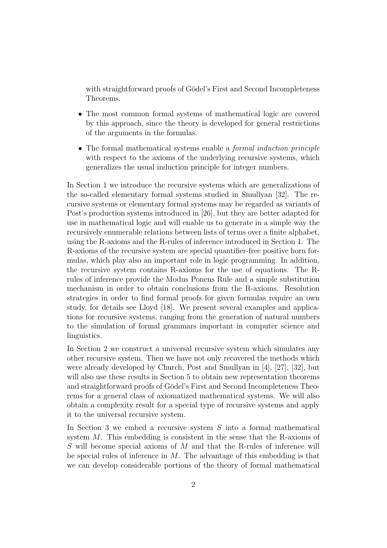with straightforward proofs of Gödel's First and Second Incompleteness Theorems.

- The most common formal systems of mathematical logic are covered by this approach, since the theory is developed for general restrictions of the arguments in the formulas.
- The formal mathematical systems enable a *formal induction principle* with respect to the axioms of the underlying recursive systems, which generalizes the usual induction principle for integer numbers.

In Section 1 we introduce the recursive systems which are generalizations of the so-called elementary formal systems studied in Smullyan [32]. The recursive systems or elementary formal systems may be regarded as variants of Post's production systems introduced in [26], but they are better adapted for use in mathematical logic and will enable us to generate in a simple way the recursively enumerable relations between lists of terms over a finite alphabet, using the R-axioms and the R-rules of inference introduced in Section 1. The R-axioms of the recursive system are special quantifier-free positive horn formulas, which play also an important role in logic programming. In addition, the recursive system contains R-axioms for the use of equations. The Rrules of inference provide the Modus Ponens Rule and a simple substitution mechanism in order to obtain conclusions from the R-axioms. Resolution strategies in order to find formal proofs for given formulas require an own study, for details see Lloyd [18]. We present several examples and applications for recursive systems, ranging from the generation of natural numbers to the simulation of formal grammars important in computer science and linguistics.

In Section 2 we construct a universal recursive system which simulates any other recursive system. Then we have not only recovered the methods which were already developed by Church, Post and Smullyan in [4], [27], [32], but will also use these results in Section 5 to obtain new representation theorems and straightforward proofs of Gödel's First and Second Incompleteness Theorems for a general class of axiomatized mathematical systems. We will also obtain a complexity result for a special type of recursive systems and apply it to the universal recursive system.

In Section 3 we embed a recursive system  $S$  into a formal mathematical system M. This embedding is consistent in the sense that the R-axioms of S will become special axioms of M and that the R-rules of inference will be special rules of inference in  $M$ . The advantage of this embedding is that we can develop considerable portions of the theory of formal mathematical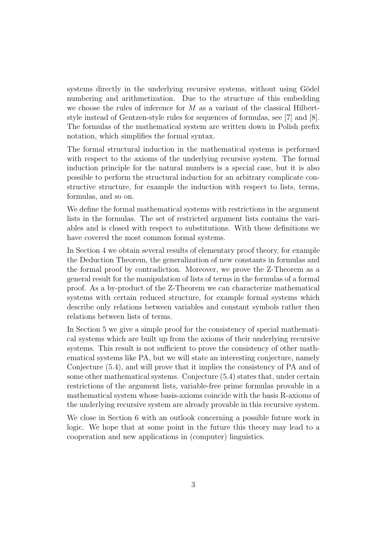systems directly in the underlying recursive systems, without using Gödel numbering and arithmetization. Due to the structure of this embedding we choose the rules of inference for  $M$  as a variant of the classical Hilbertstyle instead of Gentzen-style rules for sequences of formulas, see [7] and [8]. The formulas of the mathematical system are written down in Polish prefix notation, which simplifies the formal syntax.

The formal structural induction in the mathematical systems is performed with respect to the axioms of the underlying recursive system. The formal induction principle for the natural numbers is a special case, but it is also possible to perform the structural induction for an arbitrary complicate constructive structure, for example the induction with respect to lists, terms, formulas, and so on.

We define the formal mathematical systems with restrictions in the argument lists in the formulas. The set of restricted argument lists contains the variables and is closed with respect to substitutions. With these definitions we have covered the most common formal systems.

In Section 4 we obtain several results of elementary proof theory, for example the Deduction Theorem, the generalization of new constants in formulas and the formal proof by contradiction. Moreover, we prove the Z-Theorem as a general result for the manipulation of lists of terms in the formulas of a formal proof. As a by-product of the Z-Theorem we can characterize mathematical systems with certain reduced structure, for example formal systems which describe only relations between variables and constant symbols rather then relations between lists of terms.

In Section 5 we give a simple proof for the consistency of special mathematical systems which are built up from the axioms of their underlying recursive systems. This result is not sufficient to prove the consistency of other mathematical systems like PA, but we will state an interesting conjecture, namely Conjecture (5.4), and will prove that it implies the consistency of PA and of some other mathematical systems. Conjecture (5.4) states that, under certain restrictions of the argument lists, variable-free prime formulas provable in a mathematical system whose basis-axioms coincide with the basis R-axioms of the underlying recursive system are already provable in this recursive system.

We close in Section 6 with an outlook concerning a possible future work in logic. We hope that at some point in the future this theory may lead to a cooperation and new applications in (computer) linguistics.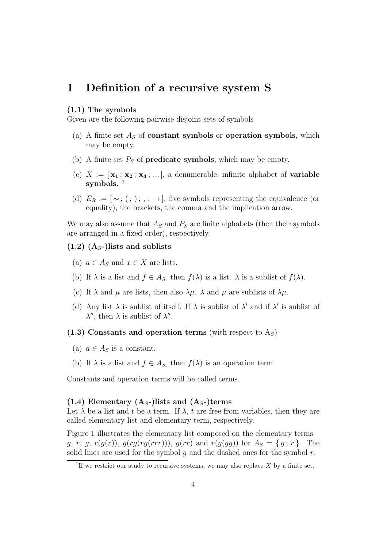## 1 Definition of a recursive system S

#### (1.1) The symbols

Given are the following pairwise disjoint sets of symbols

- (a) A finite set  $A<sub>S</sub>$  of **constant symbols** or **operation symbols**, which may be empty.
- (b) A finite set  $P<sub>S</sub>$  of **predicate symbols**, which may be empty.
- (c)  $X := [\mathbf{x_1}; \mathbf{x_2}; \mathbf{x_3}; \dots]$ , a denumerable, infinite alphabet of **variable** symbols. 1
- (d)  $E_R := [\sim; (\; ; \; ); \; ; \to],$  five symbols representing the equivalence (or equality), the brackets, the comma and the implication arrow.

We may also assume that  $A<sub>S</sub>$  and  $P<sub>S</sub>$  are finite alphabets (then their symbols are arranged in a fixed order), respectively.

- $(1.2)$   $(A<sub>S</sub>)$  lists and sublists
	- (a)  $a \in A_S$  and  $x \in X$  are lists.
	- (b) If  $\lambda$  is a list and  $f \in A_S$ , then  $f(\lambda)$  is a list.  $\lambda$  is a sublist of  $f(\lambda)$ .
	- (c) If  $\lambda$  and  $\mu$  are lists, then also  $\lambda\mu$ .  $\lambda$  and  $\mu$  are sublists of  $\lambda\mu$ .
	- (d) Any list  $\lambda$  is sublist of itself. If  $\lambda$  is sublist of  $\lambda'$  and if  $\lambda'$  is sublist of  $\lambda''$ , then  $\lambda$  is sublist of  $\lambda''$ .

 $(1.3)$  Constants and operation terms (with respect to  $A<sub>S</sub>$ )

- (a)  $a \in A_S$  is a constant.
- (b) If  $\lambda$  is a list and  $f \in A_S$ , then  $f(\lambda)$  is an operation term.

Constants and operation terms will be called terms.

#### (1.4) Elementary  $(A<sub>S</sub>)$  lists and  $(A<sub>S</sub>)$  terms

Let  $\lambda$  be a list and t be a term. If  $\lambda$ , t are free from variables, then they are called elementary list and elementary term, respectively.

Figure 1 illustrates the elementary list composed on the elementary terms  $g, r, g, r(g(r)), g(rg(rgr(r)))$ ,  $g(rr)$  and  $r(g(gg))$  for  $A_s = \{g, r\}$ . The solid lines are used for the symbol  $q$  and the dashed ones for the symbol  $r$ .

<sup>&</sup>lt;sup>1</sup>If we restrict our study to recursive systems, we may also replace  $X$  by a finite set.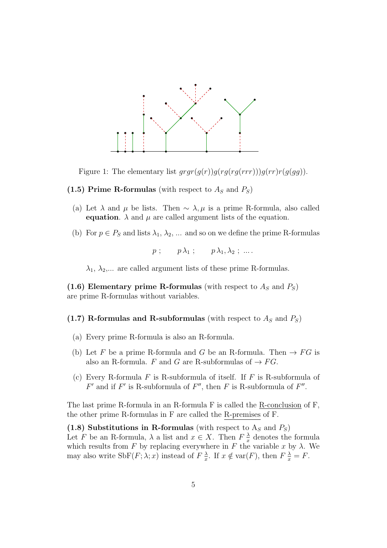

Figure 1: The elementary list  $grgr(g(r))g(rg(rgr))g(rr)r(g(gg))$ .

- (1.5) Prime R-formulas (with respect to  $A<sub>S</sub>$  and  $P<sub>S</sub>$ )
	- (a) Let  $\lambda$  and  $\mu$  be lists. Then  $\sim \lambda, \mu$  is a prime R-formula, also called equation.  $\lambda$  and  $\mu$  are called argument lists of the equation.
	- (b) For  $p \in P_S$  and lists  $\lambda_1, \lambda_2, \ldots$  and so on we define the prime R-formulas

 $p$ ;  $p \lambda_1$ ;  $p \lambda_1, \lambda_2$ ; ...

 $\lambda_1, \lambda_2, \ldots$  are called argument lists of these prime R-formulas.

(1.6) Elementary prime R-formulas (with respect to  $A_s$  and  $P_s$ ) are prime R-formulas without variables.

(1.7) R-formulas and R-subformulas (with respect to  $A<sub>S</sub>$  and  $P<sub>S</sub>$ )

- (a) Every prime R-formula is also an R-formula.
- (b) Let F be a prime R-formula and G be an R-formula. Then  $\rightarrow FG$  is also an R-formula. F and G are R-subformulas of  $\rightarrow FG$ .
- (c) Every R-formula  $F$  is R-subformula of itself. If  $F$  is R-subformula of  $F'$  and if  $F'$  is R-subformula of  $F''$ , then  $F$  is R-subformula of  $F''$ .

The last prime R-formula in an R-formula F is called the R-conclusion of F, the other prime R-formulas in F are called the R-premises of F.

(1.8) Substitutions in R-formulas (with respect to  $A_S$  and  $P_S$ ) Let F be an R-formula,  $\lambda$  a list and  $x \in X$ . Then  $F\frac{\lambda}{x}$  $\frac{\lambda}{x}$  denotes the formula which results from F by replacing everywhere in F the variable x by  $\lambda$ . We may also write  $\text{SbF}(F; \lambda; x)$  instead of  $F \frac{\lambda}{x}$  $\frac{\lambda}{x}$ . If  $x \notin \text{var}(F)$ , then  $F\frac{\lambda}{x} = F$ .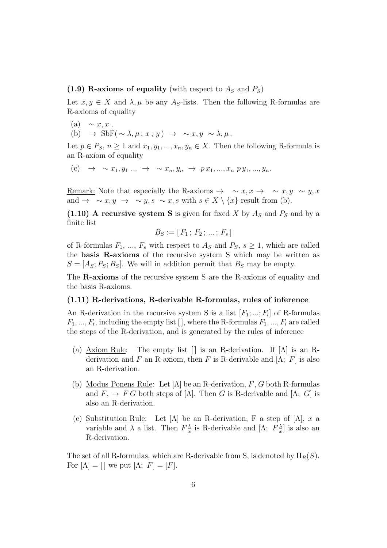(1.9) R-axioms of equality (with respect to  $A<sub>S</sub>$  and  $P<sub>S</sub>$ )

Let  $x, y \in X$  and  $\lambda, \mu$  be any A<sub>S</sub>-lists. Then the following R-formulas are R-axioms of equality

- (a)  $\sim x, x$ .
- (b)  $\rightarrow$  SbF(  $\sim \lambda, \mu; x; y$ )  $\rightarrow$   $\sim x, y \sim \lambda, \mu$ .

Let  $p \in P_S$ ,  $n \geq 1$  and  $x_1, y_1, ..., x_n, y_n \in X$ . Then the following R-formula is an R-axiom of equality

(c)  $\to \sim x_1, y_1 \dots \to \sim x_n, y_n \to p x_1, ..., x_n p y_1, ..., y_n.$ 

Remark: Note that especially the R-axioms  $\rightarrow \sim x, x \rightarrow \sim x, y \sim y, x$ and  $\rightarrow \sim x, y \rightarrow \sim y, s \sim x, s \text{ with } s \in X \setminus \{x\} \text{ result from (b).}$ 

(1.10) A recursive system S is given for fixed X by  $A<sub>S</sub>$  and P<sub>S</sub> and by a finite list

$$
B_S := [F_1; F_2; \dots; F_s]
$$

of R-formulas  $F_1, ..., F_s$  with respect to  $A_s$  and  $P_s$ ,  $s > 1$ , which are called the basis R-axioms of the recursive system S which may be written as  $S = [A<sub>S</sub>; P<sub>S</sub>; B<sub>S</sub>]$ . We will in addition permit that  $B<sub>S</sub>$  may be empty.

The R-axioms of the recursive system S are the R-axioms of equality and the basis R-axioms.

#### (1.11) R-derivations, R-derivable R-formulas, rules of inference

An R-derivation in the recursive system S is a list  $[F_1; \dots; F_l]$  of R-formulas  $F_1, ..., F_l$ , including the empty list [], where the R-formulas  $F_1, ..., F_l$  are called the steps of the R-derivation, and is generated by the rules of inference

- (a) Axiom Rule: The empty list  $\lceil \cdot \rceil$  is an R-derivation. If  $\lceil \Lambda \rceil$  is an Rderivation and F an R-axiom, then F is R-derivable and  $[\Lambda; F]$  is also an R-derivation.
- (b) Modus Ponens Rule: Let  $[\Lambda]$  be an R-derivation, F, G both R-formulas and  $F$ ,  $\rightarrow$  F G both steps of [ $\Lambda$ ]. Then G is R-derivable and [ $\Lambda$ ; G] is also an R-derivation.
- (c) Substitution Rule: Let  $[\Lambda]$  be an R-derivation, F a step of  $[\Lambda]$ , x a variable and  $\lambda$  a list. Then  $F_{\tau}^{\lambda}$  $\frac{\lambda}{x}$  is R-derivable and [Λ;  $F^{\lambda}_{\overline{x}}$  $\frac{\lambda}{x}$  is also an R-derivation.

The set of all R-formulas, which are R-derivable from S, is denoted by  $\Pi_R(S)$ . For  $[\Lambda] = [\ ]$  we put  $[\Lambda; F] = [F].$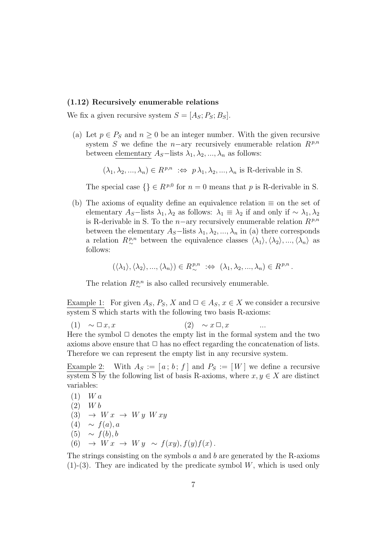#### (1.12) Recursively enumerable relations

We fix a given recursive system  $S = [A<sub>S</sub>; P<sub>S</sub>; B<sub>S</sub>]$ .

(a) Let  $p \in P_S$  and  $n \geq 0$  be an integer number. With the given recursive system S we define the n–ary recursively enumerable relation  $R^{p,n}$ between elementary  $A_S$ –lists  $\lambda_1, \lambda_2, ..., \lambda_n$  as follows:

 $(\lambda_1, \lambda_2, ..., \lambda_n) \in R^{p,n} \; : \Leftrightarrow \; p \lambda_1, \lambda_2, ..., \lambda_n$  is R-derivable in S.

The special case  $\{\}\in R^{p,0}$  for  $n=0$  means that p is R-derivable in S.

(b) The axioms of equality define an equivalence relation  $\equiv$  on the set of elementary  $A_S$ –lists  $\lambda_1, \lambda_2$  as follows:  $\lambda_1 \equiv \lambda_2$  if and only if  $\sim \lambda_1, \lambda_2$ is R-derivable in S. To the n–ary recursively enumerable relation  $R^{p,n}$ between the elementary  $A_S$ –lists  $\lambda_1, \lambda_2, ..., \lambda_n$  in (a) there corresponds a relation  $R^{p,n}_{\sim}$  between the equivalence classes  $\langle \lambda_1 \rangle, \langle \lambda_2 \rangle, ..., \langle \lambda_n \rangle$  as follows:

$$
(\langle \lambda_1 \rangle, \langle \lambda_2 \rangle, ..., \langle \lambda_n \rangle) \in R^{p,n}_{\sim} \; : \Leftrightarrow \; (\lambda_1, \lambda_2, ..., \lambda_n) \in R^{p,n} \, .
$$

The relation  $R^{p,n}_{\sim}$  is also called recursively enumerable.

Example 1: For given  $A_S$ ,  $P_S$ , X and  $\Box \in A_S$ ,  $x \in X$  we consider a recursive system S which starts with the following two basis R-axioms:

(1)  $\sim \Box x, x$  (2)  $\sim x \Box, x$  ...

Here the symbol  $\Box$  denotes the empty list in the formal system and the two axioms above ensure that  $\Box$  has no effect regarding the concatenation of lists. Therefore we can represent the empty list in any recursive system.

Example 2: With  $A_S := [a; b; f]$  and  $P_S := [W]$  we define a recursive system S by the following list of basis R-axioms, where  $x, y \in X$  are distinct variables:

(1) 
$$
Wa
$$
  
\n(2)  $Wb$   
\n(3)  $\rightarrow Wx \rightarrow Wy Wxy$   
\n(4)  $\sim f(a), a$   
\n(5)  $\sim f(b), b$   
\n(6)  $\rightarrow Wx \rightarrow Wy \sim f(xy), f(y)f(x)$ .

The strings consisting on the symbols  $a$  and  $b$  are generated by the R-axioms  $(1)-(3)$ . They are indicated by the predicate symbol W, which is used only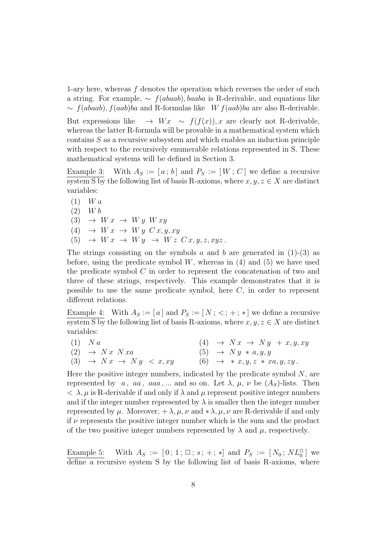1-ary here, whereas f denotes the operation which reverses the order of such a string. For example,  $\sim f(abaab)$ , baaba is R-derivable, and equations like  $\sim f(abaab)$ ,  $f(aab)ba$  and R-formulas like W  $f(aab)ba$  are also R-derivable.

But expressions like  $\rightarrow Wx \sim f(f(x)), x$  are clearly not R-derivable, whereas the latter R-formula will be provable in a mathematical system which contains S as a recursive subsystem and which enables an induction principle with respect to the recursively enumerable relations represented in S. These mathematical systems will be defined in Section 3.

Example 3: With  $A_S := [a; b]$  and  $P_S := [W; C]$  we define a recursive system S by the following list of basis R-axioms, where  $x, y, z \in X$  are distinct variables:

 $(1)$  W a  $(2)$  W b (3)  $\rightarrow$  W  $x \rightarrow$  W  $y$  W  $xy$ (4)  $\rightarrow$  W  $x \rightarrow$  W  $y \, C \, x, y, xy$  $(5) \rightarrow Wx \rightarrow Wy \rightarrow Wz \, Cx, y, z, xyz$ .

The strings consisting on the symbols a and b are generated in  $(1)-(3)$  as before, using the predicate symbol  $W$ , whereas in  $(4)$  and  $(5)$  we have used the predicate symbol  $C$  in order to represent the concatenation of two and three of these strings, respectively. This example demonstrates that it is possible to use the same predicate symbol, here C, in order to represent different relations.

Example 4: With  $A_S := [a]$  and  $P_S := [N; <; +; *]$  we define a recursive system S by the following list of basis R-axioms, where  $x, y, z \in X$  are distinct variables:

| $(1)$ Na                                                          | $(4) \rightarrow Nx \rightarrow Ny + x, y, xy$ |  |
|-------------------------------------------------------------------|------------------------------------------------|--|
| $(2) \rightarrow Nx Nxa$                                          | $(5) \rightarrow Ny * a, y, y$                 |  |
| (3) $\rightarrow$ $Nx$ $\rightarrow$ $Ny$ $\langle x, xy \rangle$ | $(6) \rightarrow *x, y, z * xa, y, zy.$        |  |

Here the positive integer numbers, indicated by the predicate symbol  $N$ , are represented by a, aa, aaa,... and so on. Let  $\lambda$ ,  $\mu$ ,  $\nu$  be  $(A<sub>S</sub>)$ -lists. Then  $< \lambda, \mu$  is R-derivable if and only if  $\lambda$  and  $\mu$  represent positive integer numbers and if the integer number represented by  $\lambda$  is smaller then the integer number represented by  $\mu$ . Moreover,  $+ \lambda$ ,  $\mu$ ,  $\nu$  and  $* \lambda$ ,  $\mu$ ,  $\nu$  are R-derivable if and only if  $\nu$  represents the positive integer number which is the sum and the product of the two positive integer numbers represented by  $\lambda$  and  $\mu$ , respectively.

Example 5: With  $A_S := [0; 1; \Box; s; +; *]$  and  $P_S := [N_0; NL_0^{\Box}]$  we define a recursive system S by the following list of basis R-axioms, where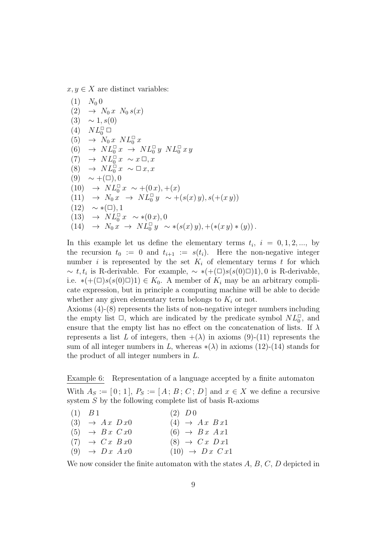$x, y \in X$  are distinct variables:

$$
(1) N_0 0
$$
  
\n
$$
(2) \rightarrow N_0 x N_0 s(x)
$$
  
\n
$$
(3) \sim 1, s(0)
$$
  
\n
$$
(4) NL_0^{\square} \square
$$
  
\n
$$
(5) \rightarrow N_0 x NL_0^{\square} x
$$
  
\n
$$
(6) \rightarrow NL_0^{\square} x \rightarrow NL_0^{\square} y NL_0^{\square} x y
$$
  
\n
$$
(7) \rightarrow NL_0^{\square} x \sim x \square, x
$$
  
\n
$$
(8) \rightarrow NL_0^{\square} x \sim \square x, x
$$
  
\n
$$
(9) \sim +(\square), 0
$$
  
\n
$$
(10) \rightarrow NL_0^{\square} x \sim + (0x), + (x)
$$
  
\n
$$
(11) \rightarrow N_0 x \rightarrow NL_0^{\square} y \sim + (s(x) y), s(+ (x y))
$$
  
\n
$$
(12) \sim *(\square), 1
$$
  
\n
$$
(13) \rightarrow NL_0^{\square} x \sim * (0x), 0
$$
  
\n
$$
(14) \rightarrow N_0 x \rightarrow NL_0^{\square} y \sim * (s(x) y), + (* (x y) * (y))
$$

In this example let us define the elementary terms  $t_i$ ,  $i = 0, 1, 2, \dots$ , by the recursion  $t_0 := 0$  and  $t_{i+1} := s(t_i)$ . Here the non-negative integer number i is represented by the set  $K_i$  of elementary terms t for which  $\sim t, t_i$  is R-derivable. For example,  $\sim \ast(+(\square)s(s(0)\square)1), 0$  is R-derivable, i.e.  $*(+(\Box)s(s(0)\Box)) \in K_0$ . A member of  $K_i$  may be an arbitrary complicate expression, but in principle a computing machine will be able to decide whether any given elementary term belongs to  $K_i$  or not.

Axioms (4)-(8) represents the lists of non-negative integer numbers including the empty list  $\Box$ , which are indicated by the predicate symbol  $NL_0^{\Box}$ , and ensure that the empty list has no effect on the concatenation of lists. If  $\lambda$ represents a list L of integers, then  $+(\lambda)$  in axioms (9)-(11) represents the sum of all integer numbers in *L*, whereas  $*(\lambda)$  in axioms (12)-(14) stands for the product of all integer numbers in *L*.

Example 6: Representation of a language accepted by a finite automaton

With  $A_S := [0; 1]$ ,  $P_S := [A; B; C; D]$  and  $x \in X$  we define a recursive system S by the following complete list of basis R-axioms

| $(1)$ $B1$                     | $(2)$ D 0                    |
|--------------------------------|------------------------------|
| $(3) \rightarrow Ax \cdot Dx0$ | $(4) \rightarrow Ax \; Bx1$  |
| $(5) \rightarrow Bx \ Cx0$     | $(6) \rightarrow Bx \; Ax1$  |
| $(7) \rightarrow Cx \; Bx0$    | $(8) \rightarrow Cx \; Dx1$  |
| $(9) \rightarrow Dx \; Ax0$    | $(10) \rightarrow Dx \; Cx1$ |

We now consider the finite automaton with the states  $A, B, C, D$  depicted in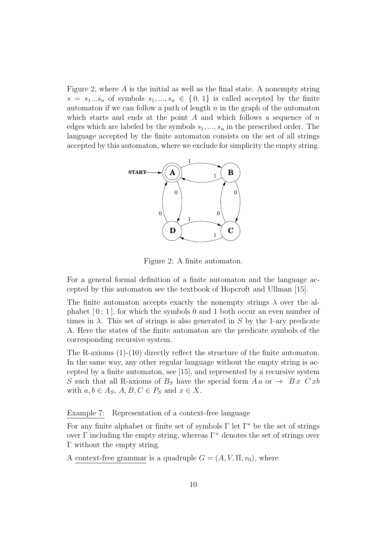Figure 2, where  $\vec{A}$  is the initial as well as the final state. A nonempty string  $s = s_1...s_n$  of symbols  $s_1,...,s_n \in \{0,1\}$  is called accepted by the finite automaton if we can follow a path of length  $n$  in the graph of the automaton which starts and ends at the point  $A$  and which follows a sequence of  $n$ edges which are labeled by the symbols  $s_1, ..., s_n$  in the prescribed order. The language accepted by the finite automaton consists on the set of all strings accepted by this automaton, where we exclude for simplicity the empty string.



Figure 2: A finite automaton.

For a general formal definition of a finite automaton and the language accepted by this automaton see the textbook of Hopcroft and Ullman [15].

The finite automaton accepts exactly the nonempty strings  $\lambda$  over the alphabet  $[0; 1]$ , for which the symbols 0 and 1 both occur an even number of times in  $\lambda$ . This set of strings is also generated in S by the 1-ary predicate A. Here the states of the finite automaton are the predicate symbols of the corresponding recursive system.

The R-axioms (1)-(10) directly reflect the structure of the finite automaton. In the same way, any other regular language without the empty string is accepted by a finite automaton, see [15], and represented by a recursive system S such that all R-axioms of  $B<sub>S</sub>$  have the special form  $A a$  or  $\rightarrow B x C x b$ with  $a, b \in A_S$ ,  $A, B, C \in P_S$  and  $x \in X$ .

#### Example 7: Representation of a context-free language

For any finite alphabet or finite set of symbols  $\Gamma$  let  $\Gamma^*$  be the set of strings over Γ including the empty string, whereas  $Γ^+$  denotes the set of strings over Γ without the empty string.

A context-free grammar is a quadruple  $G = (A, V, \Pi, v_0)$ , where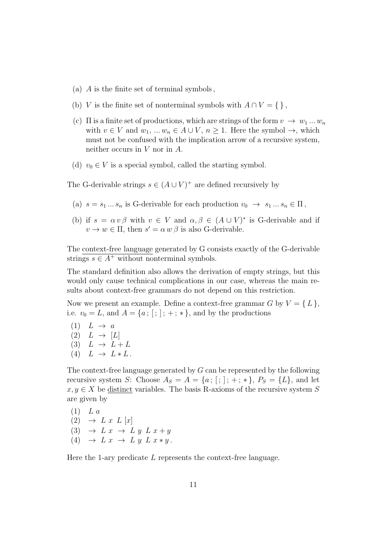- (a) A is the finite set of terminal symbols ,
- (b) V is the finite set of nonterminal symbols with  $A \cap V = \{\}\,$ ,
- (c)  $\Pi$  is a finite set of productions, which are strings of the form  $v \to w_1 ... w_n$ with  $v \in V$  and  $w_1, ..., w_n \in A \cup V$ ,  $n \ge 1$ . Here the symbol  $\rightarrow$ , which must not be confused with the implication arrow of a recursive system, neither occurs in V nor in A.
- (d)  $v_0 \in V$  is a special symbol, called the starting symbol.

The G-derivable strings  $s \in (A \cup V)^+$  are defined recursively by

- (a)  $s = s_1 ... s_n$  is G-derivable for each production  $v_0 \rightarrow s_1 ... s_n \in \Pi$ ,
- (b) if  $s = \alpha v \beta$  with  $v \in V$  and  $\alpha, \beta \in (A \cup V)^*$  is G-derivable and if  $v \to w \in \Pi$ , then  $s' = \alpha w \beta$  is also G-derivable.

The context-free language generated by G consists exactly of the G-derivable strings  $s \in A^+$  without nonterminal symbols.

The standard definition also allows the derivation of empty strings, but this would only cause technical complications in our case, whereas the main results about context-free grammars do not depend on this restriction.

Now we present an example. Define a context-free grammar G by  $V = \{L\},\$ i.e.  $v_0 = L$ , and  $A = \{a; [\,;] ; +; * \}$ , and by the productions

 $(1)$   $L \rightarrow a$  $(2) L \rightarrow [L]$ (3)  $L \rightarrow L + L$ (4)  $L \rightarrow L * L$ .

The context-free language generated by  $G$  can be represented by the following recursive system S: Choose  $A_S = A = \{a; ; ;; \dots, * \}, P_S = \{L\}$ , and let  $x, y \in X$  be distinct variables. The basis R-axioms of the recursive system S are given by

 $(1)$  L a  $(2) \rightarrow L x L [x]$ 

- (3)  $\rightarrow$  L x  $\rightarrow$  L y L x + y
- (4)  $\rightarrow$  L x  $\rightarrow$  L y L x \* y.

Here the 1-ary predicate L represents the context-free language.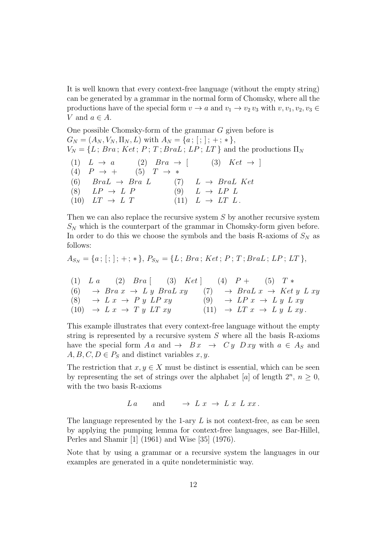It is well known that every context-free language (without the empty string) can be generated by a grammar in the normal form of Chomsky, where all the productions have of the special form  $v \to a$  and  $v_1 \to v_2 v_3$  with  $v, v_1, v_2, v_3 \in$ V and  $a \in A$ .

One possible Chomsky-form of the grammar G given before is  $G_N = (A_N, V_N, \Pi_N, L)$  with  $A_N = \{a; ; ;; +; *\},$  $V_N = \{L$ ;  $Bra$ ;  $Ket$ ;  $P$ ;  $T$ ;  $BraL$ ;  $LP$ ;  $LT$ } and the productions  $\Pi_N$ (1)  $L \rightarrow a$  (2)  $Bra \rightarrow [$  (3)  $Ket \rightarrow ]$ (4)  $P \to +$  (5)  $T \to *$ (6)  $BraL \rightarrow Bra L$  (7)  $L \rightarrow BraL$  Ket (8)  $LP \rightarrow L \quad P$  (9)  $L \rightarrow LP \quad L$ (10)  $LT \rightarrow L \ T$  (11)  $L \rightarrow LT \ L$ .

Then we can also replace the recursive system  $S$  by another recursive system  $S_N$  which is the counterpart of the grammar in Chomsky-form given before. In order to do this we choose the symbols and the basis R-axioms of  $S_N$  as follows:

$$
A_{S_N} = \{a\,;\, [\,;\,];\, +\,;\, *\,\},\, P_{S_N} = \{L\,;\, Bra\,;\, Ket\,;\, P\,;\, T\,;\,Bral\,;\, LP\,;\, LT\,\},
$$

|  | (1) $L a$ (2) $Bra$ [ (3) $Ket$ [ (4) $P +$ (5) $T*$                                                        |                                              |
|--|-------------------------------------------------------------------------------------------------------------|----------------------------------------------|
|  | (6) $\rightarrow$ Bra $x \rightarrow L y$ Bra $L xy$ (7) $\rightarrow$ Bra $L x \rightarrow$ Ket $y$ L $xy$ |                                              |
|  | (8) $\rightarrow L x \rightarrow P y L P xy$                                                                | (9) $\rightarrow LPx \rightarrow Ly Lxy$     |
|  | $(10) \rightarrow L x \rightarrow T y L T xy$                                                               | $(11) \rightarrow LT x \rightarrow Ly L xy.$ |

This example illustrates that every context-free language without the empty string is represented by a recursive system  $S$  where all the basis R-axioms have the special form  $A a$  and  $\rightarrow B x \rightarrow C y D xy$  with  $a \in A_S$  and  $A, B, C, D \in P_S$  and distinct variables x, y.

The restriction that  $x, y \in X$  must be distinct is essential, which can be seen by representing the set of strings over the alphabet [a] of length  $2^n$ ,  $n \geq 0$ , with the two basis R-axioms

 $La$  and  $\rightarrow L x \rightarrow L x L x x$ .

The language represented by the 1-ary  $L$  is not context-free, as can be seen by applying the pumping lemma for context-free languages, see Bar-Hillel, Perles and Shamir [1] (1961) and Wise [35] (1976).

Note that by using a grammar or a recursive system the languages in our examples are generated in a quite nondeterministic way.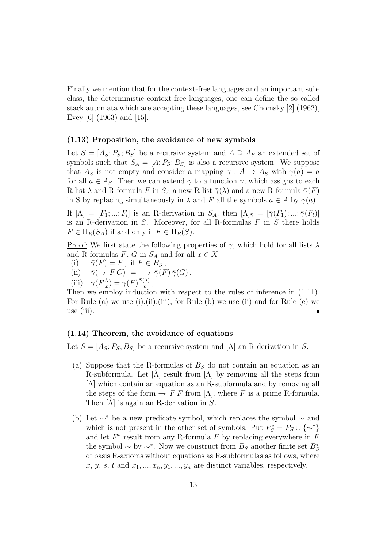Finally we mention that for the context-free languages and an important subclass, the deterministic context-free languages, one can define the so called stack automata which are accepting these languages, see Chomsky [2] (1962), Evey [6] (1963) and [15].

#### (1.13) Proposition, the avoidance of new symbols

Let  $S = [A_S; P_S; B_S]$  be a recursive system and  $A \supseteq A_S$  an extended set of symbols such that  $S_A = [A; P_S; B_S]$  is also a recursive system. We suppose that  $A_S$  is not empty and consider a mapping  $\gamma : A \to A_S$  with  $\gamma(a) = a$ for all  $a \in A_S$ . Then we can extend  $\gamma$  to a function  $\overline{\gamma}$ , which assigns to each R-list  $\lambda$  and R-formula F in  $S_A$  a new R-list  $\bar{\gamma}(\lambda)$  and a new R-formula  $\bar{\gamma}(F)$ in S by replacing simultaneously in  $\lambda$  and F all the symbols  $a \in A$  by  $\gamma(a)$ .

If  $[\Lambda] = [F_1; \ldots; F_l]$  is an R-derivation in  $S_A$ , then  $[\Lambda]_{\bar{\gamma}} = [\bar{\gamma}(F_1); \ldots; \bar{\gamma}(F_l)]$ is an R-derivation in  $S$ . Moreover, for all R-formulas  $F$  in  $S$  there holds  $F \in \Pi_R(S_A)$  if and only if  $F \in \Pi_R(S)$ .

<u>Proof:</u> We first state the following properties of  $\bar{\gamma}$ , which hold for all lists  $\lambda$ and R-formulas F, G in  $S_A$  and for all  $x \in X$ 

- (i)  $\overline{\gamma}(F) = F$ , if  $F \in B_S$ ,
- (ii)  $\bar{\gamma}(\rightarrow F G) = \rightarrow \bar{\gamma}(F) \bar{\gamma}(G)$ .
- (iii)  $\bar{\gamma}(F_x^{\lambda})$  $(\frac{\lambda}{x})=\bar{\gamma}(F)\frac{\bar{\gamma}(\lambda)}{x}$  $\frac{(\lambda)}{x}$ ,

Then we employ induction with respect to the rules of inference in  $(1.11)$ . For Rule (a) we use  $(i), (ii), (iii),$  for Rule (b) we use  $(ii)$  and for Rule (c) we use (iii).

#### (1.14) Theorem, the avoidance of equations

Let  $S = [A_S; P_S; B_S]$  be a recursive system and  $[\Lambda]$  an R-derivation in S.

- (a) Suppose that the R-formulas of  $B<sub>S</sub>$  do not contain an equation as an R-subformula. Let  $[\Lambda]$  result from  $[\Lambda]$  by removing all the steps from [Λ] which contain an equation as an R-subformula and by removing all the steps of the form  $\rightarrow$  F F from [ $\Lambda$ ], where F is a prime R-formula. Then  $[\hat{\Lambda}]$  is again an R-derivation in S.
- (b) Let  $\sim^*$  be a new predicate symbol, which replaces the symbol  $\sim$  and which is not present in the other set of symbols. Put  $P_S^* = P_S \cup {\sim^*}$ and let  $F^*$  result from any R-formula F by replacing everywhere in  $\overline{F}$ the symbol  $\sim$  by  $\sim^*$ . Now we construct from  $B_S$  another finite set  $B_S^*$ of basis R-axioms without equations as R-subformulas as follows, where  $x, y, s, t$  and  $x_1, ..., x_n, y_1, ..., y_n$  are distinct variables, respectively.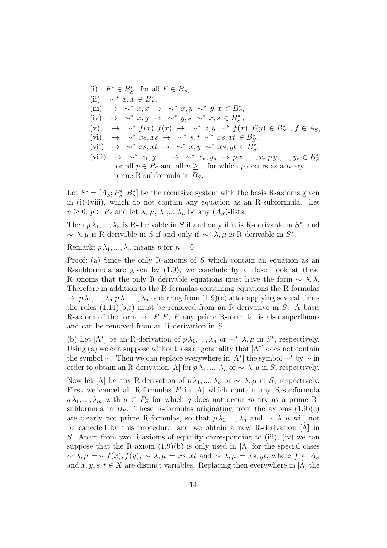(i)  $F^* \in B_S^*$  for all  $F \in B_S$ , (ii)  $\sim^* x, x \in B_S^*$ , (iii)  $\rightarrow \sim^* x, x \rightarrow \sim^* x, y \sim^* y, x \in B_S^*$ (iv)  $\rightarrow \sim^* x, y \rightarrow \sim^* y, s \sim^* x, s \in B_S^*$ , (v)  $\rightarrow \sim^* f(x), f(x) \rightarrow \sim^* x, y \sim^* f(x), f(y) \in B_S^*$ ,  $f \in A_S$  $(vi) \rightarrow \sim^* xs, xs \rightarrow \sim^* s, t \sim^* xs, xt \in B_S^*$ (vii)  $\rightarrow \sim^* xs, xt \rightarrow \sim^* x, y \sim^* xs, yt \in B_S^*$ (viii)  $\rightarrow \sim^* x_1, y_1 \dots \rightarrow \sim^* x_n, y_n \rightarrow p x_1, ..., x_n p y_1, ..., y_n \in B_S^*$ for all  $p \in P_S$  and all  $n \geq 1$  for which p occurs as a n-ary

prime R-subformula in  $B<sub>S</sub>$ .

Let  $S^* = [A_S; P^*_S]$  $S^*$ ;  $B^*$ ] be the recursive system with the basis R-axioms given in (i)-(viii), which do not contain any equation as an R-subformula. Let  $n \geq 0$ ,  $p \in P_S$  and let  $\lambda$ ,  $\mu$ ,  $\lambda_1, ..., \lambda_n$  be any  $(A_S)$ -lists.

Then  $p \lambda_1, ..., \lambda_n$  is R-derivable in S if and only if it is R-derivable in  $S^*$ , and  $\sim \lambda, \mu$  is R-derivable in S if and only if  $\sim^* \lambda, \mu$  is R-derivable in S<sup>\*</sup>.

<u>Remark:</u>  $p \lambda_1, ..., \lambda_n$  means p for  $n = 0$ .

Proof: (a) Since the only R-axioms of S which contain an equation as an R-subformula are given by  $(1.9)$ , we conclude by a closer look at these R-axioms that the only R-derivable equations must have the form  $\sim \lambda, \lambda$ . Therefore in addition to the R-formulas containing equations the R-formulas  $\rightarrow p \lambda_1, ..., \lambda_n p \lambda_1, ..., \lambda_n$  occurring from  $(1.9)(c)$  after applying several times the rules  $(1.11)(b,c)$  must be removed from an R-derivative in S. A basis R-axiom of the form  $\rightarrow$  F F, F any prime R-formula, is also superfluous and can be removed from an R-derivation in S.

(b) Let  $[\Lambda^*]$  be an R-derivation of  $p \lambda_1, ..., \lambda_n$  or  $\sim^* \lambda, \mu$  in  $S^*$ , respectively. Using (a) we can suppose without loss of generality that  $[\Lambda^*]$  does not contain the symbol  $\sim$ . Then we can replace everywhere in  $[\Lambda^*]$  the symbol  $\sim^*$  by  $\sim$  in order to obtain an R-derivation [ $\Lambda$ ] for  $p \lambda_1, ..., \lambda_n$  or  $\sim \lambda$ ,  $\mu$  in S, respectively.

Now let [ $\Lambda$ ] be any R-derivation of  $p\lambda_1, ..., \lambda_n$  or  $\sim \lambda$ ,  $\mu$  in S, respectively. First we cancel all R-formulas  $F$  in  $[\Lambda]$  which contain any R-subformula  $q \lambda_1, ..., \lambda_m$  with  $q \in P_S$  for which q does not occur m-ary as a prime Rsubformula in  $B<sub>S</sub>$ . These R-formulas originating from the axioms  $(1.9)(c)$ are clearly not prime R-formulas, so that  $p\lambda_1, ..., \lambda_n$  and  $\sim \lambda, \mu$  will not be canceled by this procedure, and we obtain a new R-derivation  $[\tilde{\Lambda}]$  in S. Apart from two R-axioms of equality corresponding to (iii), (iv) we can suppose that the R-axiom  $(1.9)(b)$  is only used in [ $\Lambda$ ] for the special cases  $\sim \lambda, \mu = \sim f(x), f(y), \sim \lambda, \mu = xs, xt$  and  $\sim \lambda, \mu = xs, yt$ , where  $f \in A_s$ and  $x, y, s, t \in X$  are distinct variables. Replacing then everywhere in  $[\Lambda]$  the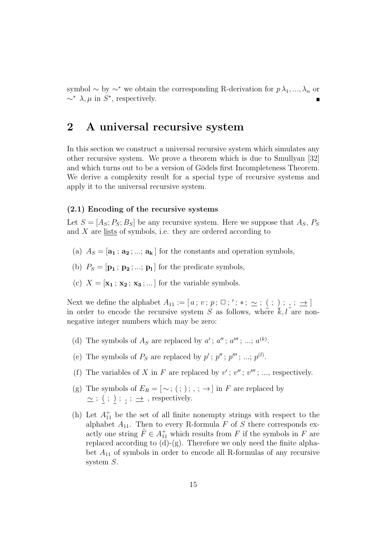symbol ∼ by ∼<sup>∗</sup> we obtain the corresponding R-derivation for  $p \lambda_1, ..., \lambda_n$  or  $\sim^* \lambda, \mu$  in  $S^*$ , respectively.

## 2 A universal recursive system

In this section we construct a universal recursive system which simulates any other recursive system. We prove a theorem which is due to Smullyan [32] and which turns out to be a version of Gödels first Incompleteness Theorem. We derive a complexity result for a special type of recursive systems and apply it to the universal recursive system.

#### (2.1) Encoding of the recursive systems

Let  $S = [A_S; P_S; B_S]$  be any recursive system. Here we suppose that  $A_S$ ,  $P_S$ and X are lists of symbols, i.e. they are ordered according to

- (a)  $A_S = [\mathbf{a_1}; \mathbf{a_2}; \dots; \mathbf{a_k}]$  for the constants and operation symbols,
- (b)  $P_S = [\mathbf{p_1} ; \mathbf{p_2} ; ... ; \mathbf{p_l}]$  for the predicate symbols,
- (c)  $X = [\mathbf{x}_1; \mathbf{x}_2; \mathbf{x}_3; \dots]$  for the variable symbols.

Next we define the alphabet  $A_{11} := [a; v; p; \square; '; *, \sim; ( ; ); , ; \rightarrow]$ in order to encode the recursive system S as follows, where  $\bar{k}, l$  are nonnegative integer numbers which may be zero:

- (d) The symbols of  $A_S$  are replaced by  $a'$ ;  $a''$ ;  $a'''$ ; ...;  $a^{(k)}$ .
- (e) The symbols of  $P_S$  are replaced by  $p'$ ;  $p''$ ;  $p'''$ ; ...;  $p^{(l)}$ .
- (f) The variables of X in F are replaced by  $v'$ ;  $v''$ ;  $v'''$ ; ..., respectively.
- (g) The symbols of  $E_R = [\sim; , ; ; ; \rightarrow]$  in F are replaced by  $\sim$ ; (; ); ,;  $\rightarrow$ , respectively.
- (h) Let  $A_{11}^+$  be the set of all finite nonempty strings with respect to the alphabet  $A_{11}$ . Then to every R-formula F of S there corresponds exactly one string  $\tilde{F} \in A_{11}^+$  which results from F if the symbols in F are replaced according to  $(d)-(g)$ . Therefore we only need the finite alphabet  $A_{11}$  of symbols in order to encode all R-formulas of any recursive system S.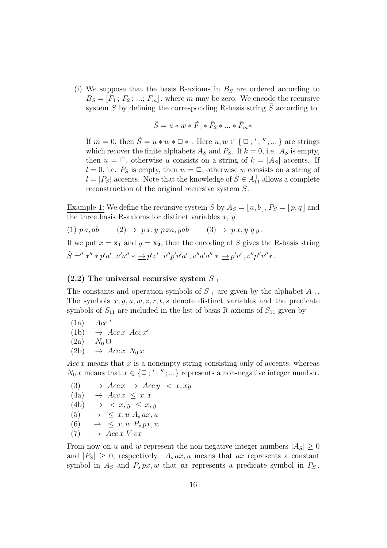(i) We suppose that the basis R-axioms in  $B<sub>S</sub>$  are ordered according to  $B_S = [F_1; F_2; ...; F_m]$ , where m may be zero. We encode the recursive system S by defining the corresponding R-basis string  $\tilde{S}$  according to

$$
\tilde{S}=u*w*\tilde{F}_1*\tilde{F}_2*...*\tilde{F}_m*
$$

If  $m = 0$ , then  $\tilde{S} = u * w * \square *$ . Here  $u, w \in \{ \square; ' ; '' ; \dots \}$  are strings which recover the finite alphabets  $A_S$  and  $P_S$ . If  $k = 0$ , i.e.  $A_S$  is empty, then  $u = \Box$ , otherwise u consists on a string of  $k = |A_{S}|$  accents. If  $l = 0$ , i.e.  $P_S$  is empty, then  $w = \square$ , otherwise w consists on a string of  $l = |P_S|$  accents. Note that the knowledge of  $\tilde{S} \in A_{11}^+$  allows a complete reconstruction of the original recursive system S.

Example 1: We define the recursive system S by  $A_S = [a, b], P_S = [p, q]$  and the three basis R-axioms for distinct variables  $x, y$ 

(1)  $p a, a b$  (2)  $\rightarrow p x, y \ p x a, y a b$  (3)  $\rightarrow p x, y \ q y$ .

If we put  $x = x_1$  and  $y = x_2$ , then the encoding of S gives the R-basis string  $\tilde{S} ='' *'' * p'a', a'a'' * \longrightarrow p'v', v''p'v'a', v''a'a'' * \longrightarrow p'v', v''p''v''*.$ 

#### $(2.2)$  The universal recursive system  $S_{11}$

The constants and operation symbols of  $S_{11}$  are given by the alphabet  $A_{11}$ . The symbols  $x, y, u, w, z, r, t, s$  denote distinct variables and the predicate symbols of  $S_{11}$  are included in the list of basis R-axioms of  $S_{11}$  given by

$$
\begin{array}{cc}\n\text{(1a)} & Acc' \\
\text{(11)} & \text{(12)}\n\end{array}
$$

- (1b)  $\rightarrow Acc \, x \, Acc \, x'$
- $(2a)$   $N_0 \square$
- $(2b) \rightarrow Acc \, x \, N_0 \, x$

 $Acc x$  means that  $x$  is a nonempty string consisting only of accents, whereas  $N_0 x$  means that  $x \in {\{\square;}',", \ldots\}$  represents a non-negative integer number.

$$
(3) \rightarrow Acc \rightarrow Acc \rightarrow Acc \rightarrow Acc \rightarrow x, xy
$$
  
\n
$$
(4a) \rightarrow Acc \times z, x
$$
  
\n
$$
(4b) \rightarrow \langle x, y \leq x, y
$$
  
\n
$$
(5) \rightarrow \langle x, u \land_s ax, u
$$
  
\n
$$
(6) \rightarrow \langle x, w \land_s px, w \rangle
$$
  
\n
$$
(7) \rightarrow Acc \times V \cup x
$$

From now on u and w represent the non-negative integer numbers  $|A_S| \geq 0$ and  $|P_S| \geq 0$ , respectively.  $A_s a x, u$  means that ax represents a constant symbol in  $A_S$  and  $P_s px, w$  that px represents a predicate symbol in  $P_S$ .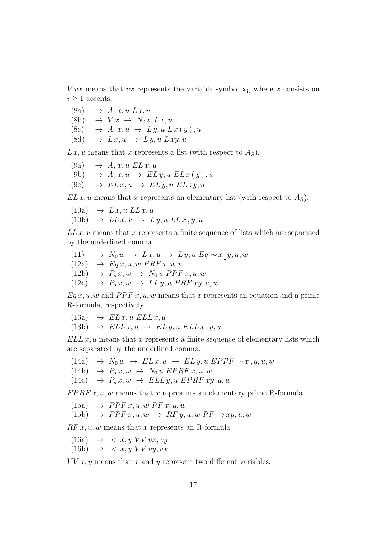$Vvx$  means that vx represents the variable symbol  $\mathbf{x}_i$ , where x consists on  $i \geq 1$  accents.

- $(8a) \rightarrow A_s x, u \, L x, u$
- (8b)  $\rightarrow V x \rightarrow N_0 u L x, u$
- (8c)  $\rightarrow A_s x, u \rightarrow L y, u L x (y), u$
- (8d)  $\rightarrow L x, u \rightarrow L y, u L x y, u$

 $L x, u$  means that x represents a list (with respect to  $A<sub>S</sub>$ ).

- $(9a) \rightarrow A_s x, u \, ELx, u$ (9b)  $\rightarrow A_s x, u \rightarrow EL y, u EL x (y), u$
- $(9c) \rightarrow ELx, u \rightarrow ELy, u ELxy, u$

 $EL x, u$  means that x represents an elementary list (with respect to  $A<sub>S</sub>$ ).

- $(10a) \rightarrow Lx, u LLx, u$
- $(10b) \rightarrow LLx, u \rightarrow Ly, u LLx, y, u$

 $LL x, u$  means that x represents a finite sequence of lists which are separated by the underlined comma.

(11)  $\rightarrow N_0 w \rightarrow L x, u \rightarrow L y, u E q \sim x, y, u, w$  $(12a) \rightarrow Eqx, u, w \, PRFx, u, w$  $(12b) \rightarrow P_s x, w \rightarrow N_0 u \text{ } PRF x, u, w$  $(12c) \rightarrow P_s x, w \rightarrow LL y, u \, PRF xy, u, w$ 

 $Eq x, u, w$  and  $PRF x, u, w$  means that x represents an equation and a prime R-formula, respectively.

 $(13a) \rightarrow ELx, u ELLx, u$ (13b)  $\rightarrow$   $ELL x, u \rightarrow EL y, u \, ELL x, y, u$ 

 $ELL x, u$  means that x represents a finite sequence of elementary lists which are separated by the underlined comma.

- (14a) →  $N_0 w \rightarrow EL x, u \rightarrow EL y, u EPRF \sim x, y, u, w$
- (14b)  $\rightarrow P_s x, w \rightarrow N_0 u EPRF x, u, w$
- $(14c) \rightarrow P_s x, w \rightarrow ELL y, u EPRF xy, u, w$

 $EPRF x, u, w$  means that x represents an elementary prime R-formula.

 $(15a) \rightarrow PRF x, u, w \, RF x, u, w$ (15b)  $\rightarrow PRF x, u, w \rightarrow RF y, u, w RF \rightarrow xy, u, w$ 

 $RF x, u, w$  means that x represents an R-formula.

 $(16a) \rightarrow \langle x, y \rangle V V v x, v y$  $(16b) \rightarrow \langle x, y \ VV \ vu, vx \rangle$ 

 $VV x, y$  means that x and y represent two different variables.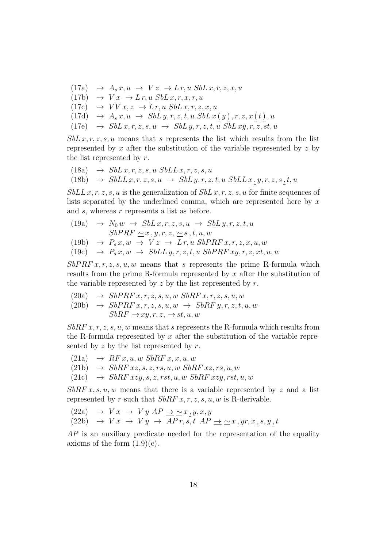$(17a) \rightarrow A_s x, u \rightarrow V z \rightarrow L r, u S b L x, r, z, x, u$  $(17b) \rightarrow Vx \rightarrow Lr, u SbLx, r, x, r, u$  $(17c) \rightarrow VV x, z \rightarrow L r, u SbL x, r, z, x, u$  $(17d) \rightarrow A_s x, u \rightarrow SbL y, r, z, t, u SbL x (y), r, z, x (t), u$  $(17e) \rightarrow SubL x, r, z, s, u \rightarrow SubL y, r, z, t, u \overline{SbL xy, r, z, st, u}$ 

 $SbL x, r, z, s, u$  means that s represents the list which results from the list represented by x after the substitution of the variable represented by z by the list represented by r.

(18a) 
$$
\rightarrow
$$
 *SbLx, r, z, s, u SbLLx, r, z, s, u*  
(18b)  $\rightarrow$  *SbLLx, r, z, s, u*  $\rightarrow$  *SbLy, r, z, t, u SbLLx, y, r, z, s, t, u*

 $SbLL x, r, z, s, u$  is the generalization of  $SbL x, r, z, s, u$  for finite sequences of lists separated by the underlined comma, which are represented here by  $x$ and s, whereas r represents a list as before.

(19a) 
$$
\rightarrow N_0 w \rightarrow SbL x, r, z, s, u \rightarrow SbL y, r, z, t, u
$$
  
\n $SbPRF \sim x, y, r, z, \sim s, t, u, w$   
\n(19b)  $\rightarrow P_s x, w \rightarrow V z \rightarrow L r, u SbPRF x, r, z, x, u, w$ 

(19c) 
$$
\rightarrow
$$
 P<sub>s</sub> x, w  $\rightarrow$  SbLL y, r, z, t, u SbPRF xy, r, z, xt, u, w

 $SbPRF x, r, z, s, u, w$  means that s represents the prime R-formula which results from the prime R-formula represented by  $x$  after the substitution of the variable represented by  $z$  by the list represented by  $r$ .

- $(20a) \rightarrow SbPRF x, r, z, s, u, w SbRF x, r, z, s, u, w$
- (20b)  $\rightarrow$  SbPRF x, r, z, s, u, w  $\rightarrow$  SbRF y, r, z, t, u, w  $SbRF \rightarrow xy, r, z, \rightarrow st, u, w$

 $SbRF x, r, z, s, u, w$  means that s represents the R-formula which results from the R-formula represented by  $x$  after the substitution of the variable represented by z by the list represented by  $r$ .

- $(21a) \rightarrow RF x, u, w \, SbRF x, x, u, w$
- $(21b) \rightarrow SbRF xz, s, z, rs, u, w SbRF xz, rs, u, w$
- $(21c) \rightarrow SbRFxzy, s, z, rst, u, w SbRFxzy, rst, u, w$

 $SbRF x, s, u, w$  means that there is a variable represented by z and a list represented by r such that  $SbRF x, r, z, s, u, w$  is R-derivable.

(22a)  $\rightarrow V x \rightarrow V y AP \rightarrow \simeq x, y, x, y$ (22b) →  $V x \rightarrow V y \rightarrow AP r, s, t \; AP \rightarrow \simeq x_2 y r, x_2 s, y_2 t$ 

 $AP$  is an auxiliary predicate needed for the representation of the equality axioms of the form  $(1.9)(c)$ .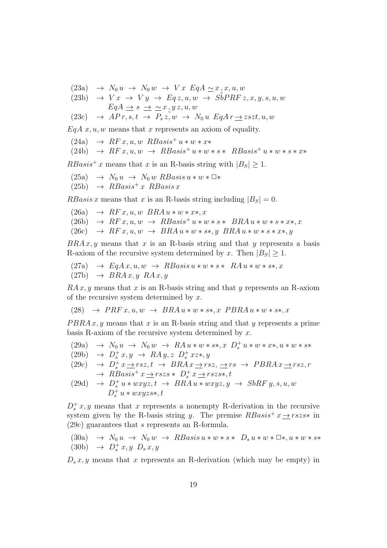(23a) →  $N_0 u \rightarrow N_0 w \rightarrow V x E q A \simeq x, x, u, w$ 

(23b) 
$$
\rightarrow
$$
 V x  $\rightarrow$  V y  $\rightarrow$  Eq z, u, w  $\rightarrow$  SbPRF z, x, y, s, u, w  
\nEqA  $\rightarrow$  s  $\rightarrow \sim$  x, y z, u, w

$$
(23c) \quad \rightarrow \text{ } AP\,r, s, t \ \rightarrow \ P_s\,z, w \ \rightarrow \ N_0\,u \ \textit{EqA}\,r \,\underline{\rightarrow}\,z s z t, u, w
$$

 $EqA x, u, w$  means that x represents an axiom of equality.

 $(24a) \rightarrow RF x, u, w RBasis^+ u * w * x*$ 

(24b) 
$$
\rightarrow RF x, u, w \rightarrow RBasis^+ u * w * s * RBasis^+ u * w * s * x*
$$

 $RBasis^+ x$  means that x is an R-basis string with  $|B_S| \geq 1$ .

 $(25a) \rightarrow N_0 u \rightarrow N_0 w RBasis u * w * \square *$  $(25b) \rightarrow RBasis^{+} x RBasis x$ 

RBasis x means that x is an R-basis string including  $|B_S| = 0$ .

(26a) 
$$
\rightarrow
$$
 RF x, u, w *BRAu* \* w \* x\*, x  
(26b)  $\rightarrow$  RF x, u, w  $\rightarrow$  RBasis<sup>+</sup> u \* w \* s \* *BRAu* \* w \* s \* x\*, x  
(26c)  $\rightarrow$  RF x, u, w  $\rightarrow$  BRAu \* w \* s\*, y *BRAu* \* w \* s \* x\*, y

 $BRA x, y$  means that x is an R-basis string and that y represents a basis R-axiom of the recursive system determined by x. Then  $|B_S| \geq 1$ .

$$
(27a) \rightarrow EqAx, u, w \rightarrow RBasis u * w * s * RA u * w * s*, x
$$

 $(27b) \rightarrow BRAx, y, RAx, y$ 

 $RA x, y$  means that x is an R-basis string and that y represents an R-axiom of the recursive system determined by  $x$ .

(28) 
$$
\rightarrow PRFx, u, w \rightarrow BRAu * w * s*, x \ PBRAu * w * s*, x
$$

 $P B R A x, y$  means that x is an R-basis string and that y represents a prime basis R-axiom of the recursive system determined by  $x$ .

(29a) 
$$
\rightarrow N_0 u \rightarrow N_0 w \rightarrow R A u * w * s *, x D_s^+ u * w * x *, u * w * s *
$$

$$
(29b) \rightarrow D_s^+ x, y \rightarrow RA y, z D_s^+ x z *, y
$$

(29c) 
$$
\rightarrow D_s^+ x \rightarrow rsz, t \rightarrow BRAx \rightarrow rsz, \rightarrow PBRAx \rightarrow rsz, r
$$
  
 $\rightarrow RBasis^+ x \rightarrow rszs * D_s^+ x \rightarrow rszs*, t$ 

(29d) 
$$
\rightarrow
$$
  $D_s^+ u * wxyz, t \rightarrow BRA u * wxyz, y \rightarrow SbRF y, s, u, w$   
 $D_s^+ u * wxyzs*, t$ 

 $D_s^+ x, y$  means that x represents a nonempty R-derivation in the recursive system given by the R-basis string y. The premise  $RBasis^+ x \rightarrow rszs^*$  in (29c) guarantees that s represents an R-formula.

(30a)  $\rightarrow N_0 u \rightarrow N_0 w \rightarrow RBasis u * w * s * D_s u * w * \mathbb{R} * w * s *$ (30b)  $\rightarrow D_s^+ x, y, D_s x, y$ 

 $D_s x, y$  means that x represents an R-derivation (which may be empty) in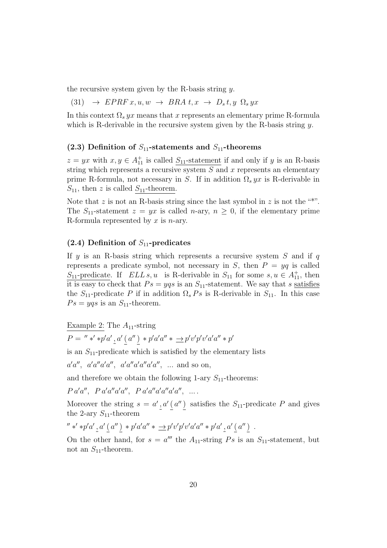the recursive system given by the R-basis string  $y$ .

 $(31) \rightarrow EPRF x, u, w \rightarrow BRA t, x \rightarrow D_s t, y \Omega_s yx$ 

In this context  $\Omega_s yx$  means that x represents an elementary prime R-formula which is R-derivable in the recursive system given by the R-basis string  $y$ .

#### (2.3) Definition of  $S_{11}$ -statements and  $S_{11}$ -theorems

 $z = yx$  with  $x, y \in A_{11}^+$  is called  $S_{11}$ -statement if and only if y is an R-basis string which represents a recursive system  $S$  and  $x$  represents an elementary prime R-formula, not necessary in S. If in addition  $\Omega_s yx$  is R-derivable in  $S_{11}$ , then z is called  $S_{11}$ -theorem.

Note that z is not an R-basis string since the last symbol in z is not the "\*". The  $S_{11}$ -statement  $z = yx$  is called *n*-ary,  $n \geq 0$ , if the elementary prime R-formula represented by  $x$  is *n*-ary.

#### $(2.4)$  Definition of  $S_{11}$ -predicates

If y is an R-basis string which represents a recursive system  $S$  and if q represents a predicate symbol, not necessary in S, then  $P = yq$  is called  $S_{11}$ -predicate. If  $ELL s, u$  is R-derivable in  $S_{11}$  for some  $s, u \in A_{11}^+$ , then it is easy to check that  $Ps = yqs$  is an  $S_{11}$ -statement. We say that s satisfies the  $S_{11}$ -predicate P if in addition  $\Omega_s$  Ps is R-derivable in  $S_{11}$ . In this case  $Ps = yqs$  is an  $S_{11}$ -theorem.

Example 2: The  $A_{11}$ -string

 $P = " *' * p'a', a' (a'') * p'a'a'' * \underline{\rightarrow} p'v'p'v'a'a'' * p'$ 

is an  $S_{11}$ -predicate which is satisfied by the elementary lists

 $a'a'', a'a''a'a'', a'a''a'a''a'', \dots$  and so on,

and therefore we obtain the following 1-ary  $S_{11}$ -theorems:

 $P a' a'', P a' a'' a' a'', P a' a'' a' a'' a' a'', \dots$ 

Moreover the string  $s = a', a' (a'')$  satisfies the  $S_{11}$ -predicate P and gives the 2-ary  $S_{11}$ -theorem

$$
''*' * p'a' \, _2 a' \, _2(a'') * p'a'a'' * \underline{\rightarrow} p'v'p'v'a'a'' * p'a' \, _2 a' \, _2 a'') .
$$

On the other hand, for  $s = a'''$  the  $A_{11}$ -string  $Ps$  is an  $S_{11}$ -statement, but not an  $S_{11}$ -theorem.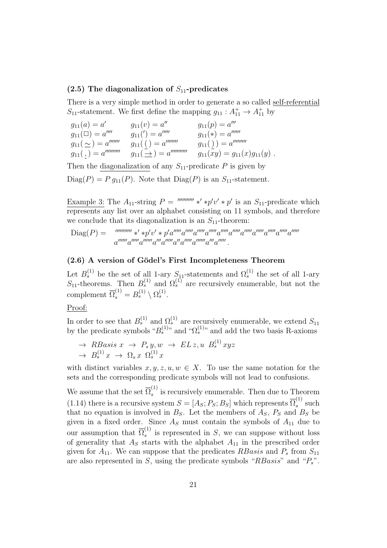#### (2.5) The diagonalization of  $S_{11}$ -predicates

There is a very simple method in order to generate a so called self-referential  $S_{11}$ -statement. We first define the mapping  $g_{11}: A_{11}^+ \rightarrow A_{11}^+$  by

| $g_{11}(a) = a'$                                                          | $g_{11}(v) = a''$                             | $g_{11}(p) = a'''$                  |
|---------------------------------------------------------------------------|-----------------------------------------------|-------------------------------------|
| $g_{11}(\square) = a''''$                                                 | $g_{11}(')=a'''''$                            | $g_{11}(*) = a''''''$               |
| $g_{11}(\simeq) = a^{\prime\prime\prime\prime\prime\prime\prime}$         | $g_{11}(\ )=a''''''''$                        | $g_{11}(\ )$ ) = $a''''''''$        |
| $g_{11}(\, ,)=a^{\prime\prime\prime\prime\prime\prime\prime\prime\prime}$ | $g_{11}(\underline{\rightarrow}) = a^{nummn}$ | $g_{11}(xy) = g_{11}(x)g_{11}(y)$ . |

Then the diagonalization of any  $S_{11}$ -predicate P is given by  $Diag(P) = P g_{11}(P)$ . Note that  $Diag(P)$  is an  $S_{11}$ -statement.

Example 3: The  $A_{11}$ -string  $P = \frac{numum}{r} * p'v' * p'$  is an  $S_{11}$ -predicate which represents any list over an alphabet consisting on 11 symbols, and therefore we conclude that its diagonalization is an  $S_{11}$ -theorem:

$$
\text{Diag}(P) = \lim_{a''''''''} \frac{1}{a''''''} \frac{1}{a''''''} \frac{1}{a''''''} \frac{1}{a''''''} \frac{1}{a''''''} \frac{1}{a''''''} \frac{1}{a''''''} \frac{1}{a''''''} \frac{1}{a''''''} \frac{1}{a''''''} \frac{1}{a''''''} \frac{1}{a''''''} \frac{1}{a''''''} \frac{1}{a''''''} \frac{1}{a''''} \frac{1}{a''''} \frac{1}{a''''} \frac{1}{a''''} \frac{1}{a''''} \frac{1}{a''''} \frac{1}{a''''} \frac{1}{a''''} \frac{1}{a''''} \frac{1}{a''''} \frac{1}{a''''} \frac{1}{a''''} \frac{1}{a''''} \frac{1}{a''''} \frac{1}{a''''} \frac{1}{a''''} \frac{1}{a''''} \frac{1}{a''''} \frac{1}{a''''} \frac{1}{a''''} \frac{1}{a''''} \frac{1}{a''''} \frac{1}{a''''} \frac{1}{a''''} \frac{1}{a''''} \frac{1}{a''''} \frac{1}{a''''} \frac{1}{a''''} \frac{1}{a''''} \frac{1}{a''''} \frac{1}{a''} \frac{1}{a''} \frac{1}{a''} \frac{1}{a''} \frac{1}{a''} \frac{1}{a''} \frac{1}{a''} \frac{1}{a''} \frac{1}{a''} \frac{1}{a''} \frac{1}{a''} \frac{1}{a''} \frac{1}{a''} \frac{1}{a''} \frac{1}{a''} \frac{1}{a''} \frac{1}{a''} \frac{1}{a''} \frac{1}{a''} \frac{1}{a''} \frac{1}{a''} \frac{1}{a''} \frac{1}{a''} \frac{1}{a''} \frac{1}{a''} \frac{1}{a''} \frac{1}{a''} \frac{1}{a''} \frac{1}{a''} \frac{1}{a''} \frac{1}{a''} \frac{1}{a''} \frac{1}{a''} \frac{1}{a''} \frac{1}{a''} \frac{1}{a''} \frac{1}{a''} \frac{1}{a''} \frac{1}{a''} \frac{1}{a''} \frac{1}{a''} \frac{1
$$

#### $(2.6)$  A version of Gödel's First Incompleteness Theorem

Let  $B_s^{(1)}$  be the set of all 1-ary  $S_{11}$ -statements and  $\Omega_s^{(1)}$  the set of all 1-ary  $S_{11}$ -theorems. Then  $B_s^{(1)}$  and  $\Omega_s^{(1)}$  are recursively enumerable, but not the complement  $\overline{\Omega}_s^{(1)} = B_s^{(1)} \setminus \Omega_s^{(1)}$ .

Proof:

In order to see that  $B_s^{(1)}$  and  $\Omega_s^{(1)}$  are recursively enumerable, we extend  $S_{11}$ by the predicate symbols " $B_s^{(1)}$ " and " $\Omega_s^{(1)}$ " and add the two basis R-axioms

$$
\rightarrow RBasis x \rightarrow P_s y, w \rightarrow EL z, u B_s^{(1)} xyz
$$
  

$$
\rightarrow B_s^{(1)} x \rightarrow \Omega_s x \Omega_s^{(1)} x
$$

with distinct variables  $x, y, z, u, w \in X$ . To use the same notation for the sets and the corresponding predicate symbols will not lead to confusions.

We assume that the set  $\overline{\Omega}_s^{(1)}$  $s<sup>(1)</sup>$  is recursively enumerable. Then due to Theorem (1.14) there is a recursive system  $S = [A_S; P_S; B_S]$  which represents  $\overline{\Omega}_s^{(1)}$  $s^{\left(1\right)}$  such that no equation is involved in  $B<sub>S</sub>$ . Let the members of  $A<sub>S</sub>$ ,  $P<sub>S</sub>$  and  $B<sub>S</sub>$  be given in a fixed order. Since  $A<sub>S</sub>$  must contain the symbols of  $A<sub>11</sub>$  due to our assumption that  $\overline{\Omega}_s^{(1)}$  $s<sup>(1)</sup>$  is represented in S, we can suppose without loss of generality that  $A_S$  starts with the alphabet  $A_{11}$  in the prescribed order given for  $A_{11}$ . We can suppose that the predicates RBasis and  $P_s$  from  $S_{11}$ are also represented in S, using the predicate symbols " $RBasis$ " and " $P_s$ ".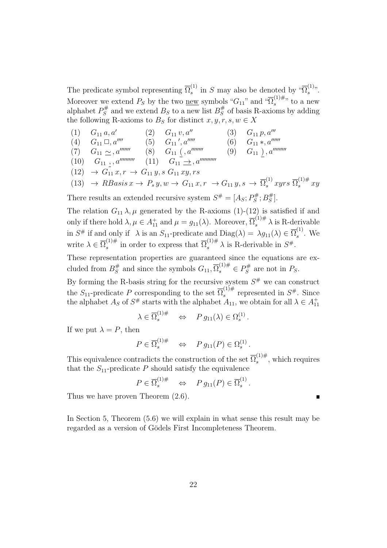The predicate symbol representing  $\overline{\Omega}_s^{(1)}$  $s^{(1)}$  in S may also be denoted by " $\overline{\Omega}_s^{(1)}$  $\frac{(1)}{s}$ . Moreover we extend  $P_S$  by the two <u>new</u> symbols " $G_{11}$ " and " $\overline{\Omega}_s^{(1)\#}$  $s^{(1)\#}$ ; to a new alphabet  $P_S^{\#}$  $B_S^{\#}$  and we extend  $B_S$  to a new list  $B_S^{\#}$  $\frac{\pi}{S}$  of basis R-axioms by adding the following R-axioms to  $B_S$  for distinct  $x, y, r, s, w \in X$ 

(1) 
$$
G_{11} a, a'
$$
 (2)  $G_{11} v, a''$  (3)  $G_{11} p, a'''$   
\n(4)  $G_{11} \square, a''''$  (5)  $G_{11}', a''''$  (6)  $G_{11} * , a''''''$   
\n(7)  $G_{11} \sim a''''''$  (8)  $G_{11} (a''''''''$  (9)  $G_{11} ) , a''''''''$   
\n(10)  $G_{11} , a''''''''$  (11)  $G_{11} \rightarrow a''''''''''$   
\n(12)  $\rightarrow G_{11} x, r \rightarrow G_{11} y, s G_{11} xy, rs$   
\n(13)  $\rightarrow RBasis x \rightarrow P_s y, w \rightarrow G_{11} x, r \rightarrow G_{11} y, s \rightarrow \overline{\Omega}_s^{(1)} xyz \overline{\Omega}_s^{(1)\#} xy$ 

There results an extended recursive system  $S^{\#} = [A_S; P^{\#}_S]$  $B_S^{\#};B_S^{\#}$  $_{S}^{\#}].$ 

The relation  $G_{11} \lambda$ ,  $\mu$  generated by the R-axioms (1)-(12) is satisfied if and only if there hold  $\lambda, \mu \in A_{11}^+$  and  $\mu = g_{11}(\lambda)$ . Moreover,  $\overline{\Omega}_s^{(1)\#} \lambda$  is R-derivable in  $S^{\#}$  if and only if  $\lambda$  is an  $S_{11}$ -predicate and  $Diag(\lambda) = \lambda g_{11}(\lambda) \in \overline{\Omega}_s^{(1)}$  $s^{\prime\prime}$ . We write  $\lambda \in \overline{\Omega}_s^{(1)\#}$ <sup>(1)#</sup> in order to express that  $\overline{\Omega}_s^{(1)\#} \lambda$  is R-derivable in  $S^{\#}$ .

These representation properties are guaranteed since the equations are excluded from  $B_S^{\#}$  $S<sup>\#</sup>$  and since the symbols  $G_{11}, \overline{\Omega}_{s}^{(1)\#} \in P_{S}^{\#}$  $S^{\#}$  are not in  $P_S$ .

By forming the R-basis string for the recursive system  $S^{\#}$  we can construct the  $S_{11}$ -predicate P corresponding to the set  $\overline{\Omega}_s^{(1)\#}$  $s^{(1)\#}$  represented in  $S^{\#}$ . Since the alphabet  $A_S$  of  $S^{\#}$  starts with the alphabet  $A_{11}$ , we obtain for all  $\lambda \in A_{11}^+$ 

$$
\lambda \in \overline{\Omega}_s^{(1)\#} \quad \Leftrightarrow \quad P \, g_{11}(\lambda) \in \Omega_s^{(1)} \, .
$$

If we put  $\lambda = P$ , then

$$
P \in \overline{\Omega}_s^{(1)\#} \iff P g_{11}(P) \in \Omega_s^{(1)}.
$$

This equivalence contradicts the construction of the set  $\overline{\Omega}_s^{(1)\#}$  $s^{(1)\#}$ , which requires that the  $S_{11}$ -predicate P should satisfy the equivalence

$$
P \in \overline{\Omega}_s^{(1)\#} \quad \Leftrightarrow \quad P g_{11}(P) \in \overline{\Omega}_s^{(1)}.
$$

Thus we have proven Theorem (2.6).

In Section 5, Theorem (5.6) we will explain in what sense this result may be regarded as a version of Gödels First Incompleteness Theorem.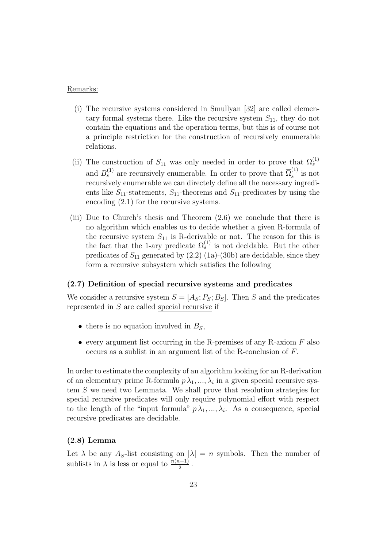#### Remarks:

- (i) The recursive systems considered in Smullyan [32] are called elementary formal systems there. Like the recursive system  $S_{11}$ , they do not contain the equations and the operation terms, but this is of course not a principle restriction for the construction of recursively enumerable relations.
- (ii) The construction of  $S_{11}$  was only needed in order to prove that  $\Omega_s^{(1)}$ and  $B_s^{(1)}$  are recursively enumerable. In order to prove that  $\overline{\Omega}_s^{(1)}$  $s^{(1)}$  is not recursively enumerable we can directely define all the necessary ingredients like  $S_{11}$ -statements,  $S_{11}$ -theorems and  $S_{11}$ -predicates by using the encoding (2.1) for the recursive systems.
- (iii) Due to Church's thesis and Theorem (2.6) we conclude that there is no algorithm which enables us to decide whether a given R-formula of the recursive system  $S_{11}$  is R-derivable or not. The reason for this is the fact that the 1-ary predicate  $\Omega_s^{(1)}$  is not decidable. But the other predicates of  $S_{11}$  generated by  $(2.2)$  (1a)-(30b) are decidable, since they form a recursive subsystem which satisfies the following

#### (2.7) Definition of special recursive systems and predicates

We consider a recursive system  $S = [A_S; P_S; B_S]$ . Then S and the predicates represented in S are called special recursive if

- there is no equation involved in  $B<sub>S</sub>$ ,
- every argument list occurring in the R-premises of any R-axiom  $F$  also occurs as a sublist in an argument list of the R-conclusion of F.

In order to estimate the complexity of an algorithm looking for an R-derivation of an elementary prime R-formula  $p \lambda_1, ..., \lambda_i$  in a given special recursive system S we need two Lemmata. We shall prove that resolution strategies for special recursive predicates will only require polynomial effort with respect to the length of the "input formula"  $p\lambda_1, ..., \lambda_i$ . As a consequence, special recursive predicates are decidable.

#### (2.8) Lemma

Let  $\lambda$  be any  $A_S$ -list consisting on  $|\lambda| = n$  symbols. Then the number of sublists in  $\lambda$  is less or equal to  $\frac{n(n+1)}{2}$ .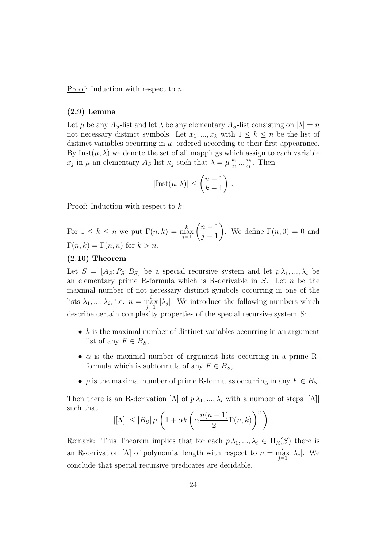Proof: Induction with respect to n.

#### (2.9) Lemma

Let  $\mu$  be any  $A_S$ -list and let  $\lambda$  be any elementary  $A_S$ -list consisting on  $|\lambda| = n$ not necessary distinct symbols. Let  $x_1, ..., x_k$  with  $1 \leq k \leq n$  be the list of distinct variables occurring in  $\mu$ , ordered according to their first appearance. By Inst( $\mu$ ,  $\lambda$ ) we denote the set of all mappings which assign to each variable  $x_j$  in  $\mu$  an elementary  $A_S$ -list  $\kappa_j$  such that  $\lambda = \mu \frac{\kappa_1}{x_1}$  $\frac{\kappa_1}{x_1} \cdots \frac{\kappa_k}{x_k}$  $\frac{\kappa_k}{x_k}$ . Then

$$
|\text{Inst}(\mu,\lambda)| \le \binom{n-1}{k-1} .
$$

Proof: Induction with respect to k.

For  $1 \leq k \leq n$  we put  $\Gamma(n,k) = \max_{j=1}^k {n-1 \choose j-1}$  $j-1$  $\setminus$ . We define  $\Gamma(n,0) = 0$  and  $\Gamma(n, k) = \Gamma(n, n)$  for  $k > n$ .

#### (2.10) Theorem

Let  $S = [A_S; P_S; B_S]$  be a special recursive system and let  $p \lambda_1, ..., \lambda_i$  be an elementary prime R-formula which is R-derivable in  $S$ . Let  $n$  be the maximal number of not necessary distinct symbols occurring in one of the lists  $\lambda_1, ..., \lambda_i$ , i.e.  $n = \max_{j=1}^i |\lambda_j|$ . We introduce the following numbers which describe certain complexity properties of the special recursive system  $S$ :

- $k$  is the maximal number of distinct variables occurring in an argument list of any  $F \in B_S$ ,
- $\alpha$  is the maximal number of argument lists occurring in a prime Rformula which is subformula of any  $F \in B_S$ ,
- $\rho$  is the maximal number of prime R-formulas occurring in any  $F \in B_S$ .

Then there is an R-derivation  $[\Lambda]$  of  $p \lambda_1, ..., \lambda_i$  with a number of steps  $|[\Lambda]|$ such that

$$
|[{\Lambda}]| \leq |B_S| \rho \left(1 + \alpha k \left(\alpha \frac{n(n+1)}{2} \Gamma(n,k)\right)^{\alpha}\right).
$$

<u>Remark:</u> This Theorem implies that for each  $p \lambda_1, ..., \lambda_i \in \Pi_R(S)$  there is an R-derivation [Λ] of polynomial length with respect to  $n = \max_{j=1}^{i} |\lambda_j|$ . We conclude that special recursive predicates are decidable.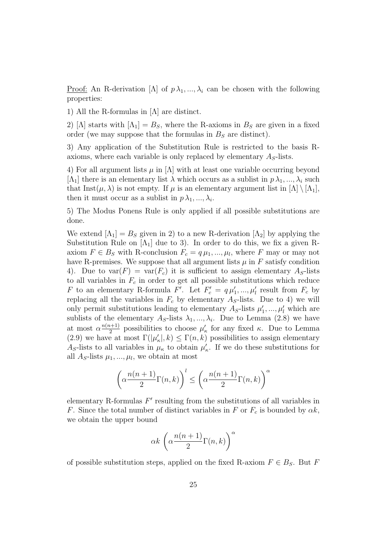<u>Proof:</u> An R-derivation  $[\Lambda]$  of  $p\lambda_1, ..., \lambda_i$  can be chosen with the following properties:

1) All the R-formulas in [Λ] are distinct.

2) [ $\Lambda$ ] starts with  $\Lambda_1$ ] =  $B_S$ , where the R-axioms in  $B_S$  are given in a fixed order (we may suppose that the formulas in  $B<sub>S</sub>$  are distinct).

3) Any application of the Substitution Rule is restricted to the basis Raxioms, where each variable is only replaced by elementary  $A<sub>S</sub>$ -lists.

4) For all argument lists  $\mu$  in  $[\Lambda]$  with at least one variable occurring beyond [ $\Lambda_1$ ] there is an elementary list  $\lambda$  which occurs as a sublist in  $p \lambda_1, ..., \lambda_i$  such that Inst( $\mu$ ,  $\lambda$ ) is not empty. If  $\mu$  is an elementary argument list in  $[\Lambda] \setminus [\Lambda_1]$ , then it must occur as a sublist in  $p \lambda_1, ..., \lambda_i$ .

5) The Modus Ponens Rule is only applied if all possible substitutions are done.

We extend  $[\Lambda_1] = B_S$  given in 2) to a new R-derivation  $[\Lambda_2]$  by applying the Substitution Rule on  $[\Lambda_1]$  due to 3). In order to do this, we fix a given Raxiom  $F \in B_S$  with R-conclusion  $F_c = q \mu_1, ..., \mu_l$ , where F may or may not have R-premises. We suppose that all argument lists  $\mu$  in  $F$  satisfy condition 4). Due to  $\text{var}(F) = \text{var}(F_c)$  it is sufficient to assign elementary  $A_S$ -lists to all variables in  $F_c$  in order to get all possible substitutions which reduce F to an elementary R-formula F'. Let  $F'_c = q \mu'_1, ..., \mu'_l$  result from  $F_c$  by replacing all the variables in  $F_c$  by elementary  $A<sub>S</sub>$ -lists. Due to 4) we will only permit substitutions leading to elementary  $A_S$ -lists  $\mu'_1$  $\mu'_1, \ldots, \mu'_l$  which are sublists of the elementary  $A_S$ -lists  $\lambda_1, ..., \lambda_i$ . Due to Lemma (2.8) we have at most  $\alpha \frac{n(n+1)}{2}$  $\frac{\mu+1}{2}$  possibilities to choose  $\mu'$  $\kappa$  for any fixed  $\kappa$ . Due to Lemma (2.9) we have at most  $\Gamma(|\mu|)$  $K_{\kappa}|,k) \leq \Gamma(n,k)$  possibilities to assign elementary  $A<sub>S</sub>$ -lists to all variables in  $\mu_{\kappa}$  to obtain  $\mu'_{\kappa}$  $\kappa$ . If we do these substitutions for all  $A_S$ -lists  $\mu_1, ..., \mu_l$ , we obtain at most

$$
\left(\alpha \frac{n(n+1)}{2}\Gamma(n,k)\right)^l \le \left(\alpha \frac{n(n+1)}{2}\Gamma(n,k)\right)^{\alpha}
$$

elementary R-formulas  $F'$  resulting from the substitutions of all variables in F. Since the total number of distinct variables in F or  $F_c$  is bounded by  $\alpha k$ , we obtain the upper bound

$$
\alpha k \, \left(\alpha \frac{n(n+1)}{2} \Gamma(n,k)\right)^{\alpha}
$$

of possible substitution steps, applied on the fixed R-axiom  $F \in B_S$ . But F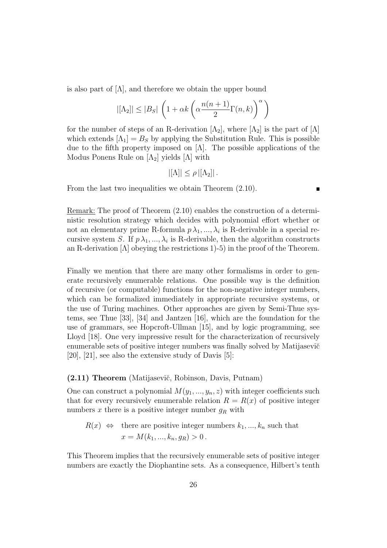is also part of  $[\Lambda]$ , and therefore we obtain the upper bound

$$
|[\Lambda_2]| \le |B_S| \left(1 + \alpha k \left(\alpha \frac{n(n+1)}{2} \Gamma(n,k)\right)^{\alpha}\right)
$$

for the number of steps of an R-derivation  $[\Lambda_2]$ , where  $[\Lambda_2]$  is the part of  $[\Lambda]$ which extends  $[\Lambda_1] = B_S$  by applying the Substitution Rule. This is possible due to the fifth property imposed on  $[\Lambda]$ . The possible applications of the Modus Ponens Rule on  $[\Lambda_2]$  yields  $[\Lambda]$  with

$$
|[\Lambda]| \leq \rho |[\Lambda_2]|.
$$

From the last two inequalities we obtain Theorem (2.10).

 $\blacksquare$ 

Remark: The proof of Theorem (2.10) enables the construction of a deterministic resolution strategy which decides with polynomial effort whether or not an elementary prime R-formula  $p\lambda_1, ..., \lambda_i$  is R-derivable in a special recursive system S. If  $p \lambda_1, ..., \lambda_i$  is R-derivable, then the algorithm constructs an R-derivation  $[\Lambda]$  obeying the restrictions 1)-5) in the proof of the Theorem.

Finally we mention that there are many other formalisms in order to generate recursively enumerable relations. One possible way is the definition of recursive (or computable) functions for the non-negative integer numbers, which can be formalized immediately in appropriate recursive systems, or the use of Turing machines. Other approaches are given by Semi-Thue systems, see Thue [33], [34] and Jantzen [16], which are the foundation for the use of grammars, see Hopcroft-Ullman [15], and by logic programming, see Lloyd [18]. One very impressive result for the characterization of recursively enumerable sets of positive integer numbers was finally solved by Matijasevič [20], [21], see also the extensive study of Davis [5]:

#### (2.11) Theorem (Matijasevi˘c, Robinson, Davis, Putnam)

One can construct a polynomial  $M(y_1, ..., y_n, z)$  with integer coefficients such that for every recursively enumerable relation  $R = R(x)$  of positive integer numbers x there is a positive integer number  $g_R$  with

$$
R(x) \Leftrightarrow
$$
 there are positive integer numbers  $k_1, ..., k_n$  such that  
 $x = M(k_1, ..., k_n, g_R) > 0$ .

This Theorem implies that the recursively enumerable sets of positive integer numbers are exactly the Diophantine sets. As a consequence, Hilbert's tenth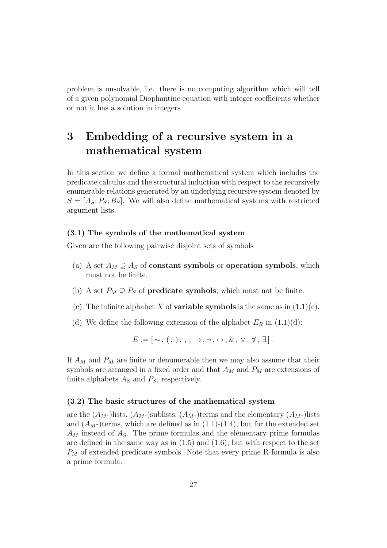problem is unsolvable, i.e. there is no computing algorithm which will tell of a given polynomial Diophantine equation with integer coefficients whether or not it has a solution in integers.

## 3 Embedding of a recursive system in a mathematical system

In this section we define a formal mathematical system which includes the predicate calculus and the structural induction with respect to the recursively enumerable relations generated by an underlying recursive system denoted by  $S = [A<sub>S</sub>; P<sub>S</sub>; B<sub>S</sub>]$ . We will also define mathematical systems with restricted argument lists.

#### (3.1) The symbols of the mathematical system

Given are the following pairwise disjoint sets of symbols

- (a) A set  $A_M \supseteq A_S$  of **constant symbols** or **operation symbols**, which must not be finite.
- (b) A set  $P_M \supseteq P_S$  of **predicate symbols**, which must not be finite.
- (c) The infinite alphabet X of **variable symbols** is the same as in  $(1.1)(c)$ .
- (d) We define the following extension of the alphabet  $E_R$  in  $(1.1)(d)$ :

 $E := [\sim; (\cdot; \cdot); \ldots; \rightarrow; \neg; \leftrightarrow; \&; \vee; \forall; \exists].$ 

If  $A_M$  and  $P_M$  are finite or denumerable then we may also assume that their symbols are arranged in a fixed order and that  $A_M$  and  $P_M$  are extensions of finite alphabets  $A<sub>S</sub>$  and  $P<sub>S</sub>$ , respectively.

#### (3.2) The basic structures of the mathematical system

are the  $(A_M)$ lists,  $(A_M)$ sublists,  $(A_M)$ terms and the elementary  $(A_M)$ lists and  $(A_M)$ terms, which are defined as in  $(1.1)-(1.4)$ , but for the extended set  $A_M$  instead of  $A_S$ . The prime formulas and the elementary prime formulas are defined in the same way as in  $(1.5)$  and  $(1.6)$ , but with respect to the set  $P_M$  of extended predicate symbols. Note that every prime R-formula is also a prime formula.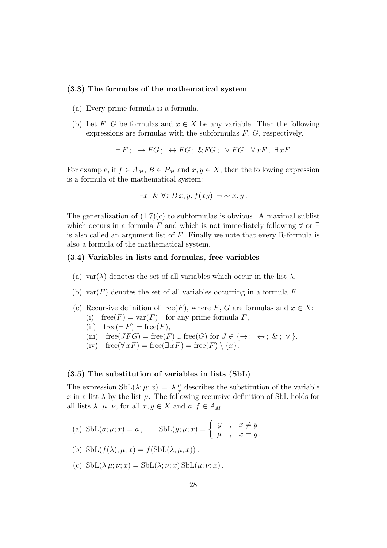#### (3.3) The formulas of the mathematical system

- (a) Every prime formula is a formula.
- (b) Let F, G be formulas and  $x \in X$  be any variable. Then the following expressions are formulas with the subformulas  $F, G$ , respectively.

$$
\neg F \colon \to FG \colon \leftrightarrow FG \colon \& FG \colon \lor FG \colon \forall xF \colon \exists xF
$$

For example, if  $f \in A_M$ ,  $B \in P_M$  and  $x, y \in X$ , then the following expression is a formula of the mathematical system:

$$
\exists x \& \forall x B x, y, f(xy) \neg \sim x, y.
$$

The generalization of  $(1.7)(c)$  to subformulas is obvious. A maximal sublist which occurs in a formula F and which is not immediately following  $\forall$  or  $\exists$ is also called an argument list of F. Finally we note that every R-formula is also a formula of the mathematical system.

#### (3.4) Variables in lists and formulas, free variables

- (a) var( $\lambda$ ) denotes the set of all variables which occur in the list  $\lambda$ .
- (b) var $(F)$  denotes the set of all variables occurring in a formula F.
- (c) Recursive definition of free(F), where F, G are formulas and  $x \in X$ : (i) free( $F$ ) = var( $F$ ) for any prime formula  $F$ ,
	- (ii) free( $\neg F$ ) = free(F),
	- (iii) free( $JFG$ ) = free(F) ∪ free(G) for  $J \in \{\rightarrow; \leftrightarrow; \&; \vee\}.$
	- (iv)  $\text{free}(\forall x F) = \text{free}(\exists x F) = \text{free}(F) \setminus \{x\}.$

#### (3.5) The substitution of variables in lists (SbL)

The expression  $\text{SbL}(\lambda; \mu; x) = \lambda \frac{\mu}{x}$  $\frac{\mu}{x}$  describes the substitution of the variable x in a list  $\lambda$  by the list  $\mu$ . The following recursive definition of SbL holds for all lists  $\lambda$ ,  $\mu$ ,  $\nu$ , for all  $x, y \in X$  and  $a, f \in A_M$ 

(a) 
$$
SbL(a; \mu; x) = a, \qquad SbL(y; \mu; x) = \begin{cases} y, & x \neq y \\ \mu, & x = y. \end{cases}
$$

(b) 
$$
SbL(f(\lambda);\mu;x) = f(SbL(\lambda;\mu;x)).
$$

(c)  $SbL(\lambda \mu; \nu; x) = SbL(\lambda; \nu; x) SbL(\mu; \nu; x)$ .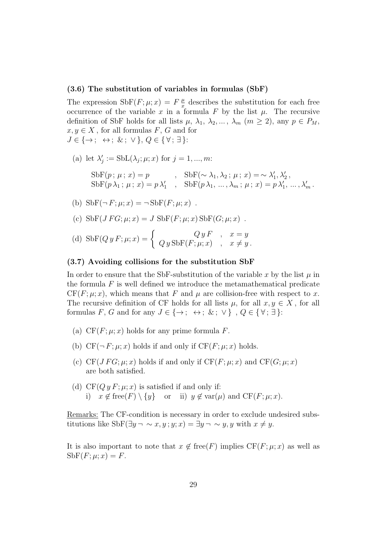#### (3.6) The substitution of variables in formulas (SbF)

The expression  $\text{SbF}(F;\mu;x) = F\frac{\mu}{x}$  $\frac{\mu}{x}$  describes the substitution for each free occurrence of the variable x in a formula F by the list  $\mu$ . The recursive definition of SbF holds for all lists  $\mu$ ,  $\lambda_1$ ,  $\lambda_2$ , ...,  $\lambda_m$  ( $m \geq 2$ ), any  $p \in P_M$ ,  $x, y \in X$ , for all formulas F, G and for  $J \in \{\rightarrow; \leftrightarrow; \&; \vee\}, Q \in \{\forall; \exists\}.$ 

(a) let  $\lambda'$  $j'_{j} := Sub(\lambda_{j}; \mu; x) \text{ for } j = 1, ..., m:$ 

$$
\begin{array}{ll}\text{SbF}(p \, ; \, \mu \, ; \, x) = p & , \quad \text{SbF}(\sim \lambda_1, \lambda_2 \, ; \, \mu \, ; \, x) = \sim \lambda_1', \lambda_2' \, , \\ \text{SbF}(p \, \lambda_1 \, ; \, \mu \, ; \, x) = p \, \lambda_1' & , \quad \text{SbF}(p \, \lambda_1, \, \ldots, \lambda_m \, ; \, \mu \, ; \, x) = p \, \lambda_1' \, , \, \ldots, \lambda_m' \, . \end{array}
$$

(b) 
$$
\text{SbF}(\neg F; \mu; x) = \neg \text{SbF}(F; \mu; x)
$$
.

- (c)  $SbF(JFG; \mu; x) = J$   $SbF(F; \mu; x)$   $SbF(G; \mu; x)$ .
- (d)  $\operatorname{SbF}(Q \, y \, F; \mu; x) = \begin{cases} Q \, y \, F, & x = y \\ Q \, x \, \operatorname{SbF}(F; \mu; x) & x \neq y \end{cases}$  $Q y Sbf(F; \mu; x)$ ,  $x \neq y$ .

#### (3.7) Avoiding collisions for the substitution SbF

In order to ensure that the SbF-substitution of the variable x by the list  $\mu$  in the formula  $F$  is well defined we introduce the metamathematical predicate  $CF(F; \mu; x)$ , which means that F and  $\mu$  are collision-free with respect to x. The recursive definition of CF holds for all lists  $\mu$ , for all  $x, y \in X$ , for all formulas F, G and for any  $J \in \{\rightarrow; \leftrightarrow; \&; \vee\}$ ,  $Q \in \{\forall; \exists\}$ :

- (a)  $CF(F; \mu; x)$  holds for any prime formula F.
- (b)  $CF(\neg F; \mu; x)$  holds if and only if  $CF(F; \mu; x)$  holds.
- (c) CF(*J FG*;  $\mu$ ; x) holds if and only if CF(*F*;  $\mu$ ; x) and CF(*G*;  $\mu$ ; x) are both satisfied.
- (d)  $CF(Qy F; \mu; x)$  is satisfied if and only if: i)  $x \notin \text{free}(F) \setminus \{y\}$  or ii)  $y \notin \text{var}(\mu)$  and  $CF(F; \mu; x)$ .

Remarks: The CF-condition is necessary in order to exclude undesired substitutions like SbF( $\exists y \neg \sim x, y; y; x$ ) =  $\exists y \neg \sim y, y$  with  $x \neq y$ .

It is also important to note that  $x \notin free(F)$  implies  $CF(F; \mu; x)$  as well as  $Sbf(F; \mu; x) = F.$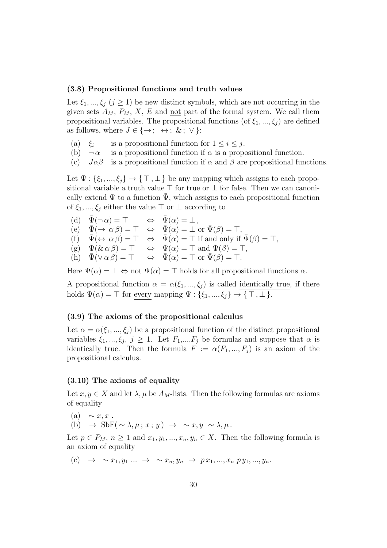#### (3.8) Propositional functions and truth values

Let  $\xi_1, ..., \xi_j$   $(j \geq 1)$  be new distinct symbols, which are not occurring in the given sets  $A_M$ ,  $P_M$ , X, E and not part of the formal system. We call them propositional variables. The propositional functions (of  $\xi_1, ..., \xi_i$ ) are defined as follows, where  $J \in \{\rightarrow; \leftrightarrow; \&; \vee\}$ :

- $(a) \xi_i$ is a propositional function for  $1 \leq i \leq j$ .
- (b)  $\neg \alpha$  is a propositional function if  $\alpha$  is a propositional function.
- (c)  $J\alpha\beta$  is a propositional function if  $\alpha$  and  $\beta$  are propositional functions.

Let  $\Psi : \{\xi_1, ..., \xi_j\} \to \{\top, \bot\}$  be any mapping which assigns to each propositional variable a truth value ⊤ for true or ⊥ for false. Then we can canonically extend  $\Psi$  to a function  $\bar{\Psi}$ , which assigns to each propositional function of  $\xi_1, ..., \xi_j$  either the value  $\top$  or  $\bot$  according to

(d)  $\bar{\Psi}(\neg \alpha) = \top$   $\Leftrightarrow$   $\bar{\Psi}(\alpha) = \bot$ ,  $(e) \quad \bar{\Psi}(\rightarrow \alpha \beta) = \top \quad \Leftrightarrow \quad \bar{\Psi}(\alpha) = \bot \text{ or } \bar{\Psi}(\beta) = \top,$ (f)  $\bar{\Psi}(\leftrightarrow \alpha \beta) = \top \Leftrightarrow \bar{\Psi}(\alpha) = \top$  if and only if  $\bar{\Psi}(\beta) = \top$ ,  $(g) \quad \bar{\Psi}(\& \alpha \beta) = \top \quad \Leftrightarrow \quad \bar{\Psi}(\alpha) = \top \text{ and } \bar{\Psi}(\beta) = \top,$ (h)  $\bar{\Psi}(\vee \alpha \beta) = \top \Leftrightarrow \bar{\Psi}(\alpha) = \top$  or  $\bar{\Psi}(\beta) = \top$ .

Here  $\bar{\Psi}(\alpha) = \bot \Leftrightarrow$  not  $\bar{\Psi}(\alpha) = \top$  holds for all propositional functions  $\alpha$ .

A propositional function  $\alpha = \alpha(\xi_1, ..., \xi_j)$  is called identically true, if there holds  $\bar{\Psi}(\alpha) = \top$  for every mapping  $\Psi : \{\xi_1, ..., \xi_j\} \to \{\top, \bot\}.$ 

#### (3.9) The axioms of the propositional calculus

Let  $\alpha = \alpha(\xi_1, ..., \xi_i)$  be a propositional function of the distinct propositional variables  $\xi_1, ..., \xi_j, j \ge 1$ . Let  $F_1, ..., F_j$  be formulas and suppose that  $\alpha$  is identically true. Then the formula  $F := \alpha(F_1, ..., F_i)$  is an axiom of the propositional calculus.

#### (3.10) The axioms of equality

Let  $x, y \in X$  and let  $\lambda, \mu$  be  $A_M$ -lists. Then the following formulas are axioms of equality

(a)  $\sim x, x$ . (b)  $\rightarrow$  SbF(  $\sim \lambda, \mu; x; y$ )  $\rightarrow$  ~ x, y ~  $\lambda, \mu$ .

Let  $p \in P_M$ ,  $n \geq 1$  and  $x_1, y_1, ..., x_n, y_n \in X$ . Then the following formula is an axiom of equality

(c) 
$$
\rightarrow \sim x_1, y_1 \dots \rightarrow \sim x_n, y_n \rightarrow px_1, ..., x_n \, py_1, ..., y_n.
$$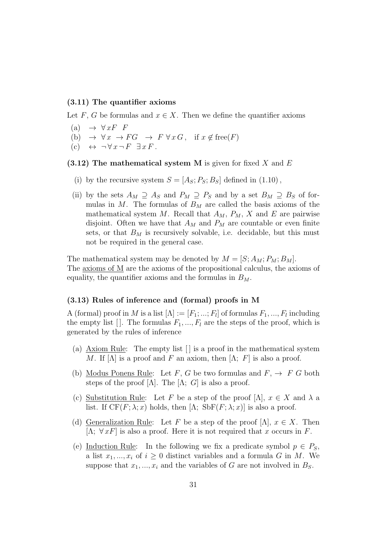#### (3.11) The quantifier axioms

Let F, G be formulas and  $x \in X$ . Then we define the quantifier axioms

- (a)  $\rightarrow \forall x F \ F$
- (b)  $\rightarrow \forall x \rightarrow FG \rightarrow F \forall x G, \text{ if } x \notin \text{free}(F)$
- (c)  $\leftrightarrow \neg \forall x \neg F \exists x F$ .

#### (3.12) The mathematical system M is given for fixed X and  $E$

- (i) by the recursive system  $S = [A_S; P_S; B_S]$  defined in (1.10),
- (ii) by the sets  $A_M \supseteq A_S$  and  $P_M \supseteq P_S$  and by a set  $B_M \supseteq B_S$  of formulas in M. The formulas of  $B_M$  are called the basis axioms of the mathematical system M. Recall that  $A_M$ ,  $P_M$ , X and E are pairwise disjoint. Often we have that  $A_M$  and  $P_M$  are countable or even finite sets, or that  $B_M$  is recursively solvable, i.e. decidable, but this must not be required in the general case.

The mathematical system may be denoted by  $M = [S; A_M; P_M; B_M]$ . The  $\frac{\text{axioms of } M}{\text{area}}$  are the axioms of the propositional calculus, the axioms of equality, the quantifier axioms and the formulas in  $B_M$ .

#### (3.13) Rules of inference and (formal) proofs in M

A (formal) proof in M is a list  $[\Lambda]:=[F_1;...;F_l]$  of formulas  $F_1,...,F_l$  including the empty list []. The formulas  $F_1, ..., F_l$  are the steps of the proof, which is generated by the rules of inference

- (a) Axiom Rule: The empty list  $\lfloor \cdot \rfloor$  is a proof in the mathematical system M. If  $[\Lambda]$  is a proof and F an axiom, then  $[\Lambda; F]$  is also a proof.
- (b) Modus Ponens Rule: Let F, G be two formulas and  $F$ ,  $\rightarrow$  F G both steps of the proof  $[\Lambda]$ . The  $[\Lambda; G]$  is also a proof.
- (c) Substitution Rule: Let F be a step of the proof  $[\Lambda]$ ,  $x \in X$  and  $\lambda$  a list. If  $CF(F; \lambda; x)$  holds, then  $[\Lambda; SbF(F; \lambda; x)]$  is also a proof.
- (d) Generalization Rule: Let F be a step of the proof  $[\Lambda]$ ,  $x \in X$ . Then [ $\Lambda$ ;  $\forall x F$ ] is also a proof. Here it is not required that x occurs in F.
- (e) Induction Rule: In the following we fix a predicate symbol  $p \in P_S$ , a list  $x_1, ..., x_i$  of  $i \geq 0$  distinct variables and a formula G in M. We suppose that  $x_1, ..., x_i$  and the variables of G are not involved in  $B_s$ .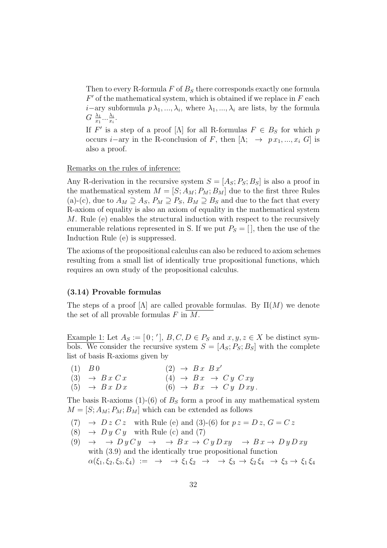Then to every R-formula  $F$  of  $B<sub>S</sub>$  there corresponds exactly one formula  $F'$  of the mathematical system, which is obtained if we replace in  $F$  each *i*−ary subformula  $p\lambda_1, ..., \lambda_i$ , where  $\lambda_1, ..., \lambda_i$  are lists, by the formula  $G \frac{\lambda_1}{r_1}$  $\frac{\lambda_1}{x_1}...\frac{\lambda_i}{x_i}$  $\frac{\lambda_i}{x_i}.$ 

If  $F'$  is a step of a proof [ $\Lambda$ ] for all R-formulas  $F \in B_S$  for which p occurs *i*−ary in the R-conclusion of F, then  $[\Lambda; \rightarrow px_1, ..., x_i]$  is also a proof.

Remarks on the rules of inference:

Any R-derivation in the recursive system  $S = [A<sub>S</sub>; P<sub>S</sub>; B<sub>S</sub>]$  is also a proof in the mathematical system  $M = [S; A_M; P_M; B_M]$  due to the first three Rules (a)-(c), due to  $A_M \supseteq A_S$ ,  $P_M \supseteq P_S$ ,  $B_M \supseteq B_S$  and due to the fact that every R-axiom of equality is also an axiom of equality in the mathematical system M. Rule (e) enables the structural induction with respect to the recursively enumerable relations represented in S. If we put  $P_S = []$ , then the use of the Induction Rule (e) is suppressed.

The axioms of the propositional calculus can also be reduced to axiom schemes resulting from a small list of identically true propositional functions, which requires an own study of the propositional calculus.

#### (3.14) Provable formulas

The steps of a proof  $[\Lambda]$  are called provable formulas. By  $\Pi(M)$  we denote the set of all provable formulas  $F$  in  $M$ .

Example 1: Let  $A_S := [0; '], B, C, D \in P_S$  and  $x, y, z \in X$  be distinct symbols. We consider the recursive system  $S = [A_S; P_S; B_S]$  with the complete list of basis R-axioms given by

(1)  $B \, 0$  (2)  $\rightarrow B \, x \, B \, x'$ (3)  $\rightarrow B x C x$  (4)  $\rightarrow B x \rightarrow C y C x y$ (5)  $\rightarrow B x D x$  (6)  $\rightarrow B x \rightarrow C y D x y$ .

The basis R-axioms (1)-(6) of  $B<sub>S</sub>$  form a proof in any mathematical system  $M = [S; A_M; P_M; B_M]$  which can be extended as follows

- (7)  $\rightarrow$  D z C z with Rule (e) and (3)-(6) for  $pz = Dz$ ,  $G = Cz$
- (8)  $\rightarrow D y C y$  with Rule (c) and (7)
- (9)  $\rightarrow \rightarrow D y C y \rightarrow \rightarrow B x \rightarrow C y D x y \rightarrow B x \rightarrow D y D x y$ with (3.9) and the identically true propositional function  $\alpha(\xi_1, \xi_2, \xi_3, \xi_4) := \rightarrow \rightarrow \xi_1 \xi_2 \rightarrow \rightarrow \xi_3 \rightarrow \xi_2 \xi_4 \rightarrow \xi_3 \rightarrow \xi_1 \xi_4$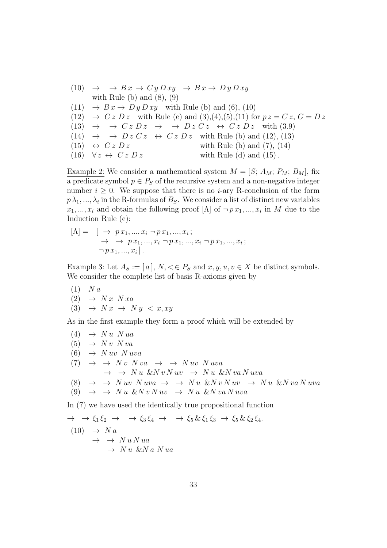(10) 
$$
\rightarrow
$$
  $\rightarrow$  *Bx*  $\rightarrow$  *Cy Dxy*  $\rightarrow$  *Bx*  $\rightarrow$  *Dy Dxy*  
with Rule (b) and (8), (9)  
(11)  $\rightarrow$  *Bx*  $\rightarrow$  *Dy Dxy* with Rule (b) and (6), (10)  
(12)  $\rightarrow$  *Cz Dz* with Rule (e) and (3), (4), (5), (11) for  $pz = Cz$ ,  $G = Dz$   
(13)  $\rightarrow$   $\rightarrow$  *Cz Dz*  $\rightarrow$  *Dz Cz*  $\leftrightarrow$  *Cz Dz* with (3.9)  
(14)  $\rightarrow$   $\rightarrow$  *Dz Cz*  $\leftrightarrow$  *Cz Dz* with Rule (b) and (12), (13)  
(15)  $\leftrightarrow$  *Cz Dz* with Rule (b) and (7), (14)  
(16)  $\forall z \leftrightarrow$  *Cz Dz* with Rule (d) and (15).

Example 2: We consider a mathematical system  $M = [S; A_M; P_M; B_M]$ , fix a predicate symbol  $p \in P_S$  of the recursive system and a non-negative integer number  $i \geq 0$ . We suppose that there is no *i*-ary R-conclusion of the form  $p\,\lambda_1,...,\lambda_i$  in the R-formulas of  $B_S$ . We consider a list of distinct new variables  $x_1, \ldots, x_i$  and obtain the following proof [ $\Lambda$ ] of  $\neg p x_1, \ldots, x_i$  in M due to the Induction Rule (e):

$$
[\Lambda] = [\rightarrow px_1, ..., x_i \neg px_1, ..., x_i; \rightarrow px_1, ..., x_i \neg px_1, ..., x_i \neg px_1, ..., x_i; \neg px_1, ..., x_i].
$$

Example 3: Let  $A_S := [a], N, \leq \in P_S$  and  $x, y, u, v \in X$  be distinct symbols. We consider the complete list of basis R-axioms given by

$$
(1) \quad N a
$$
  

$$
(2) \quad \rightarrow \quad N x \quad N x a
$$
  

$$
(3) \quad \rightarrow \quad N x \quad \rightarrow \quad N y \quad \ll x, xy
$$

As in the first example they form a proof which will be extended by

 $(4) \rightarrow Nu N u a$  $(5) \rightarrow Nv Nva$  $(6) \rightarrow N uv N uva$  $(7) \rightarrow \rightarrow Nv N v a \rightarrow \rightarrow N u v N u v a$  $\rightarrow \rightarrow N u \& N v N u v \rightarrow N u \& N v a N u v a$ (8)  $\rightarrow \rightarrow N uv N uva \rightarrow \rightarrow N u \& N v N u v \rightarrow N u \& N v a N uva$ (9)  $\rightarrow \rightarrow N u \& N v N u v \rightarrow N u \& N v a N u v a$ 

In (7) we have used the identically true propositional function

$$
\rightarrow \rightarrow \xi_1 \xi_2 \rightarrow \rightarrow \xi_3 \xi_4 \rightarrow \rightarrow \xi_5 \& \xi_1 \xi_3 \rightarrow \xi_5 \& \xi_2 \xi_4.
$$
  
(10) 
$$
\rightarrow Na
$$
  

$$
\rightarrow \rightarrow Nu N u a
$$
  

$$
\rightarrow Nu \& Na N u a
$$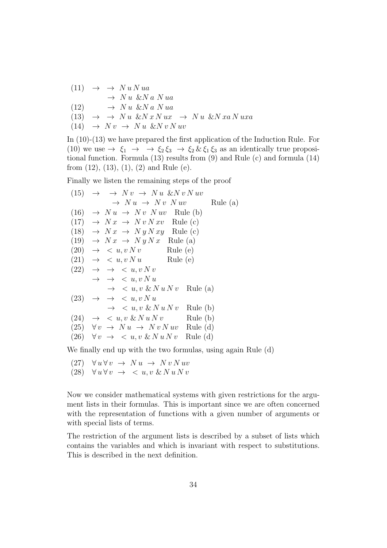$$
(11) \rightarrow \rightarrow Nu N u a
$$
  
\n
$$
\rightarrow Nu \& Na N u a
$$
  
\n
$$
(12) \rightarrow Nu \& Na u a
$$
  
\n
$$
(13) \rightarrow \rightarrow Nu \& N x N u x \rightarrow Nu \& N x a N u x a
$$
  
\n
$$
(14) \rightarrow N v \rightarrow Nu \& N v N u v
$$

In (10)-(13) we have prepared the first application of the Induction Rule. For (10) we use  $\rightarrow \xi_1 \rightarrow \xi_2 \xi_3 \rightarrow \xi_2 \& \xi_1 \xi_3$  as an identically true propositional function. Formula (13) results from (9) and Rule (c) and formula (14) from  $(12)$ ,  $(13)$ ,  $(1)$ ,  $(2)$  and Rule  $(e)$ .

Finally we listen the remaining steps of the proof

(15) 
$$
\rightarrow \rightarrow Nv \rightarrow Nu \& Nv Nuv
$$
  
\t $\rightarrow Nu \rightarrow Nv \rightarrow Nu \& Nv Nuv$  Rule (a)  
\t(16)  $\rightarrow Nu \rightarrow Nv Nuv$  Rule (b)  
\t(17)  $\rightarrow Nx \rightarrow Nv Nxv$  Rule (c)  
\t(18)  $\rightarrow Nx \rightarrow Ny Nxy$  Rule (c)  
\t(19)  $\rightarrow Nx \rightarrow Ny Nxy$  Rule (a)  
\t(20)  $\rightarrow \langle u, v Nv \rangle$  Rule (e)  
\t(21)  $\rightarrow \langle u, v Nv \rangle$  Rule (e)  
\t(22)  $\rightarrow \langle u, v Nv \rangle$  Rule (e)  
\t(23)  $\rightarrow \langle u, v Nv \rangle$  Rule (a)  
\t(24)  $\rightarrow \langle u, v \& Nu Nv \rangle$  Rule (a)  
\t(25)  $\rightarrow \langle u, v \& Nu Nv \rangle$  Rule (b)  
\t(26)  $\forall v \rightarrow Nu \rightarrow Nv Nuv$  Rule (d)  
\t(26)  $\forall v \rightarrow \langle u, v \& Nu Nv \rangle$  Rule (d)

We finally end up with the two formulas, using again Rule (d)

(27)  $\forall u \forall v \rightarrow Nu \rightarrow Nv Nuv$ (28)  $\forall u \forall v \rightarrow \langle u, v \& N u N v \rangle$ 

Now we consider mathematical systems with given restrictions for the argument lists in their formulas. This is important since we are often concerned with the representation of functions with a given number of arguments or with special lists of terms.

The restriction of the argument lists is described by a subset of lists which contains the variables and which is invariant with respect to substitutions. This is described in the next definition.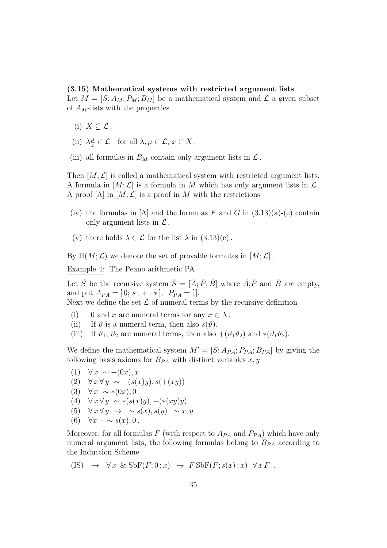#### (3.15) Mathematical systems with restricted argument lists

Let  $M = [S; A_M; P_M; B_M]$  be a mathematical system and  $\mathcal L$  a given subset of  $A_M$ -lists with the properties

- (i)  $X \subseteq \mathcal{L}$ ,
- (ii)  $\lambda \frac{\mu}{x}$  $\frac{\mu}{x} \in \mathcal{L}$  for all  $\lambda, \mu \in \mathcal{L}, x \in X$ ,
- (iii) all formulas in  $B_M$  contain only argument lists in  $\mathcal L$ .

Then  $[M; \mathcal{L}]$  is called a mathematical system with restricted argument lists. A formula in  $[M; \mathcal{L}]$  is a formula in M which has only argument lists in  $\mathcal{L}$ . A proof  $[\Lambda]$  in  $[M; \mathcal{L}]$  is a proof in M with the restrictions

- (iv) the formulas in  $[\Lambda]$  and the formulas F and G in  $(3.13)(a)$ -(e) contain only argument lists in  $\mathcal{L}$ ,
- (v) there holds  $\lambda \in \mathcal{L}$  for the list  $\lambda$  in  $(3.13)(c)$ .

By Π $(M; \mathcal{L})$  we denote the set of provable formulas in  $[M; \mathcal{L}]$ .

Example 4: The Peano arithmetic PA

Let  $\tilde{S}$  be the recursive system  $\tilde{S} = [\tilde{A}; \tilde{P}; \tilde{B}]$  where  $\tilde{A}, \tilde{P}$  and  $\tilde{B}$  are empty, and put  $A_{PA} = [0; s; +; *], P_{PA} = []$ . Next we define the set  $\mathcal L$  of numeral terms by the recursive definition

- (i) 0 and x are numeral terms for any  $x \in X$ .
- (ii) If  $\vartheta$  is a numeral term, then also  $s(\vartheta)$ .
- (iii) If  $\vartheta_1$ ,  $\vartheta_2$  are numeral terms, then also  $+(\vartheta_1\vartheta_2)$  and  $*(\vartheta_1\vartheta_2)$ .

We define the mathematical system  $M' = [\hat{S}; A_{PA}; P_{PA}; B_{PA}]$  by giving the following basis axioms for  $B_{PA}$  with distinct variables  $x, y$ 

(1)  $\forall x \sim +(0x), x$ (2)  $\forall x \forall y \sim +(s(x)y), s(+(xy))$ (3)  $∀ x ∼ *(0x),0$ (4)  $\forall x \forall y \sim *(s(x)y), +(*(xy)y)$ (5)  $\forall x \forall y \rightarrow \sim s(x), s(y) \sim x, y$ (6)  $\forall x \neg \sim s(x), 0$ .

Moreover, for all formulas F (with respect to  $A_{PA}$  and  $P_{PA}$ ) which have only numeral argument lists, the following formulas belong to  $B_{PA}$  according to the Induction Scheme

$$
(IS) \rightarrow \forall x \& Sbf(F;0;x) \rightarrow FSbf(F;s(x);x) \forall x F.
$$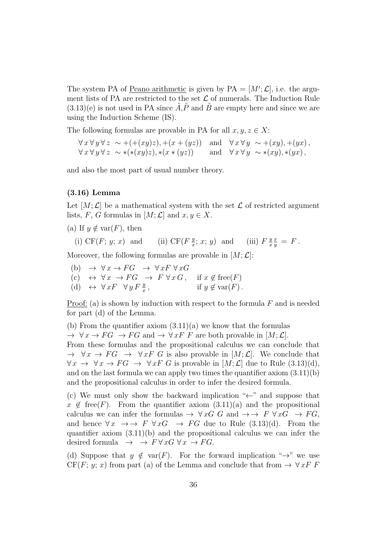The system PA of <u>Peano arithmetic</u> is given by  $PA = [M'; \mathcal{L}]$ , i.e. the argument lists of PA are restricted to the set  $\mathcal L$  of numerals. The Induction Rule  $(3.13)(e)$  is not used in PA since  $\tilde{A}, \tilde{P}$  and  $\tilde{B}$  are empty here and since we are using the Induction Scheme (IS).

The following formulas are provable in PA for all  $x, y, z \in X$ :

 $\forall x \forall y \forall z \sim +(+(xy)z),+(x+(yz))$  and  $\forall x \forall y \sim +(xy),+(yx)$ ,  $\forall x \forall y \forall z \sim *(*(xy)z), *(x * (yz))$  and  $\forall x \forall y \sim *(xy), *(yx)$ ,

and also the most part of usual number theory.

#### (3.16) Lemma

Let  $[M; \mathcal{L}]$  be a mathematical system with the set  $\mathcal L$  of restricted argument lists, F, G formulas in  $[M; \mathcal{L}]$  and  $x, y \in X$ .

(a) If  $y \notin \text{var}(F)$ , then

(i) CF(F;  $y$ ; x) and  $\overline{y}$  $\frac{y}{x}$ ; x; y) and (iii)  $F\frac{y}{x}$ x  $\frac{x}{y} = F$ .

Moreover, the following formulas are provable in  $[M; \mathcal{L}]$ :

(b)  $\rightarrow \forall x \rightarrow FG \rightarrow \forall x F \forall x G$ (c)  $\leftrightarrow \forall x \rightarrow FG \rightarrow F \forall x G, \text{ if } x \notin \text{free}(F)$ (d)  $\leftrightarrow \forall x F \forall y F \frac{y}{x}$ if  $y \notin \text{var}(F)$ .

Proof: (a) is shown by induction with respect to the formula  $F$  and is needed for part (d) of the Lemma.

(b) From the quantifier axiom  $(3.11)(a)$  we know that the formulas

 $\rightarrow \forall x \rightarrow FG \rightarrow FG$  and  $\rightarrow \forall x F F$  are both provable in  $[M; \mathcal{L}]$ .

From these formulas and the propositional calculus we can conclude that  $\rightarrow \forall x \rightarrow FG \rightarrow \forall x F G$  is also provable in  $[M; \mathcal{L}]$ . We conclude that  $\forall x \rightarrow \forall x \rightarrow FG \rightarrow \forall x F G$  is provable in  $[M; \mathcal{L}]$  due to Rule (3.13)(d), and on the last formula we can apply two times the quantifier axiom (3.11)(b) and the propositional calculus in order to infer the desired formula.

(c) We must only show the backward implication " $\leftarrow$ " and suppose that  $x \notin \text{free}(F)$ . From the quantifier axiom  $(3.11)(a)$  and the propositional calculus we can infer the formulas  $\rightarrow \forall x G \ G$  and  $\rightarrow \rightarrow F \ \forall x G \rightarrow FG$ , and hence  $\forall x \rightarrow F \forall x G \rightarrow FG$  due to Rule (3.13)(d). From the quantifier axiom  $(3.11)(b)$  and the propositional calculus we can infer the desired formula  $\rightarrow$   $\rightarrow$   $F \forall x G \forall x \rightarrow FG$ .

(d) Suppose that  $y \notin \text{var}(F)$ . For the forward implication " $\rightarrow$ " we use  $CF(F; y; x)$  from part (a) of the Lemma and conclude that from  $\rightarrow \forall x F F$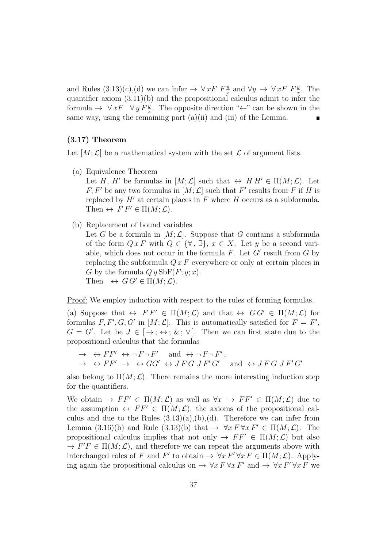and Rules  $(3.13)(c)$ , (d) we can infer  $\rightarrow \forall x F \ F_x^y$  and  $\forall y \rightarrow \forall x F \ F_x^y$ . The quantifier axiom  $(3.11)(b)$  and the propositional calculus admit to infer the formula  $\rightarrow \forall x F \quad \forall y F_x^y$ . The opposite direction "←" can be shown in the same way, using the remaining part  $(a)(ii)$  and  $(iii)$  of the Lemma.

#### (3.17) Theorem

Let  $[M; \mathcal{L}]$  be a mathematical system with the set  $\mathcal L$  of argument lists.

- (a) Equivalence Theorem Let H, H' be formulas in  $[M; \mathcal{L}]$  such that  $\leftrightarrow$  HH'  $\in \Pi(M; \mathcal{L})$ . Let  $F, F'$  be any two formulas in  $[M; \mathcal{L}]$  such that  $F'$  results from F if H is replaced by  $H'$  at certain places in  $F$  where  $H$  occurs as a subformula. Then  $\leftrightarrow$   $F F' \in \Pi(M; \mathcal{L})$ .
- (b) Replacement of bound variables Let G be a formula in  $[M; \mathcal{L}]$ . Suppose that G contains a subformula of the form  $Q x F$  with  $Q \in \{ \forall , \exists \}, x \in X$ . Let y be a second variable, which does not occur in the formula  $F$ . Let  $G'$  result from  $G$  by replacing the subformula  $Q x F$  everywhere or only at certain places in G by the formula  $Q y Sbf(F; y; x)$ . Then  $\leftrightarrow G G' \in \Pi(M; \mathcal{L}).$

Proof: We employ induction with respect to the rules of forming formulas.

(a) Suppose that  $\leftrightarrow$   $FF' \in \Pi(M; \mathcal{L})$  and that  $\leftrightarrow$   $GG' \in \Pi(M; \mathcal{L})$  for formulas  $F, F', G, G'$  in  $[M; \mathcal{L}]$ . This is automatically satisfied for  $F = F'$ ,  $G = G'$ . Let be  $J \in [\rightarrow; \leftrightarrow; \&; \vee]$ . Then we can first state due to the propositional calculus that the formulas

 $\rightarrow$   $\leftrightarrow$   $FF'$   $\leftrightarrow$   $\neg$   $F \neg F'$  and  $\leftrightarrow$   $\neg$   $F \neg F'$ ,  $\rightarrow \leftrightarrow FF' \rightarrow \leftrightarrow GG' \leftrightarrow JFG \; JF'G'$  and  $\leftrightarrow JFG \; JF'G'$ 

also belong to  $\Pi(M; \mathcal{L})$ . There remains the more interesting induction step for the quantifiers.

We obtain  $\rightarrow FF' \in \Pi(M; \mathcal{L})$  as well as  $\forall x \rightarrow FF' \in \Pi(M; \mathcal{L})$  due to the assumption  $\leftrightarrow FF' \in \Pi(M; \mathcal{L})$ , the axioms of the propositional calculus and due to the Rules  $(3.13)(a),(b),(d)$ . Therefore we can infer from Lemma (3.16)(b) and Rule (3.13)(b) that  $\rightarrow \forall x F \forall x F' \in \Pi(M; \mathcal{L})$ . The propositional calculus implies that not only  $\rightarrow FF' \in \Pi(M; \mathcal{L})$  but also  $\rightarrow$   $F'F \in \Pi(M; \mathcal{L})$ , and therefore we can repeat the arguments above with interchanged roles of F and F' to obtain  $\rightarrow \forall x F' \forall x F \in \Pi(M; \mathcal{L})$ . Applying again the propositional calculus on  $\rightarrow \forall x F \forall x F'$  and  $\rightarrow \forall x F' \forall x F$  we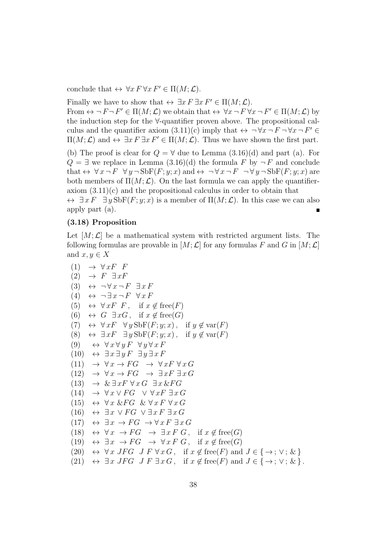conclude that  $\leftrightarrow \forall x F \forall x F' \in \Pi(M; \mathcal{L}).$ 

Finally we have to show that  $\leftrightarrow \exists x F \exists x F' \in \Pi(M; \mathcal{L})$ .

From  $\leftrightarrow \neg F \neg F' \in \Pi(M; \mathcal{L})$  we obtain that  $\leftrightarrow \forall x \neg F \forall x \neg F' \in \Pi(M; \mathcal{L})$  by the induction step for the ∀-quantifier proven above. The propositional calculus and the quantifier axiom  $(3.11)(c)$  imply that  $\leftrightarrow \neg \forall x \neg F \neg \forall x \neg F' \in$  $\Pi(M; \mathcal{L})$  and  $\leftrightarrow \exists x F \exists x F' \in \Pi(M; \mathcal{L})$ . Thus we have shown the first part.

(b) The proof is clear for  $Q = \forall$  due to Lemma  $(3.16)(d)$  and part (a). For  $Q = \exists$  we replace in Lemma  $(3.16)(d)$  the formula F by  $\neg F$  and conclude that  $\leftrightarrow \forall x \neg F \forall y \neg \text{SbF}(F; y; x)$  and  $\leftrightarrow \neg \forall x \neg F \neg \forall y \neg \text{SbF}(F; y; x)$  are both members of  $\Pi(M; \mathcal{L})$ . On the last formula we can apply the quantifieraxiom  $(3.11)(c)$  and the propositional calculus in order to obtain that  $\leftrightarrow \exists x F \exists y SbF(F; y; x)$  is a member of  $\Pi(M; \mathcal{L})$ . In this case we can also apply part (a).

#### (3.18) Proposition

Let  $[M; \mathcal{L}]$  be a mathematical system with restricted argument lists. The following formulas are provable in  $[M; \mathcal{L}]$  for any formulas F and G in  $[M; \mathcal{L}]$ and  $x, y \in X$ 

| (1)  | $\rightarrow \forall x F \ F$                                                                                                             |
|------|-------------------------------------------------------------------------------------------------------------------------------------------|
|      | $(2) \rightarrow F \exists x F$                                                                                                           |
|      | (3) $\leftrightarrow \neg \forall x \neg F \exists x F$                                                                                   |
|      | (4) $\leftrightarrow \neg \exists x \neg F \forall x F$                                                                                   |
|      | (5) $\leftrightarrow \forall x F \ F, \text{ if } x \notin \text{free}(F)$                                                                |
|      | (6) $\leftrightarrow$ G $\exists xG$ , if $x \notin \text{free}(G)$                                                                       |
|      | (7) $\leftrightarrow \forall x F \quad \forall y Sbf(F; y; x)$ , if $y \notin \text{var}(F)$                                              |
|      | (8) $\leftrightarrow \exists x F \exists y Sbf(F; y; x)$ , if $y \notin \text{var}(F)$                                                    |
|      | (9) $\leftrightarrow \forall x \forall y F \forall y \forall x F$                                                                         |
|      | $(10) \leftrightarrow \exists x \exists y F \exists y \exists x F$                                                                        |
|      | $(11) \rightarrow \forall x \rightarrow FG \rightarrow \forall x F \forall x G$                                                           |
|      | $(12) \rightarrow \forall x \rightarrow FG \rightarrow \exists x F \exists x G$                                                           |
|      | $(13) \rightarrow \& \exists x F \forall x G \exists x \& FG$                                                                             |
|      | $(14) \rightarrow \forall x \vee FG \vee \forall x F \exists x G$                                                                         |
|      | $(15) \leftrightarrow \forall x \& FG \& \forall x F \forall x G$                                                                         |
|      | $(16) \leftrightarrow \exists x \vee FG \vee \exists x F \exists x G$                                                                     |
| (17) | $\leftrightarrow \exists x \rightarrow FG \rightarrow \forall x F \exists x G$                                                            |
|      | (18) $\leftrightarrow \forall x \rightarrow FG \rightarrow \exists x F G$ , if $x \notin free(G)$                                         |
|      | (19) $\leftrightarrow \exists x \rightarrow FG \rightarrow \forall x F G$ , if $x \notin free(G)$                                         |
|      | (20) $\leftrightarrow \forall x \ JFG \ J \ F \ \forall x \ G$ , if $x \notin \text{free}(F)$ and $J \in \{ \rightarrow ; \lor ; \ \& \}$ |
|      | (21) $\leftrightarrow \exists x \ JFG \ J \ F \ \exists x \ G$ , if $x \notin \text{free}(F)$ and $J \in \{ \rightarrow ; \vee ; \& \}$ . |
|      |                                                                                                                                           |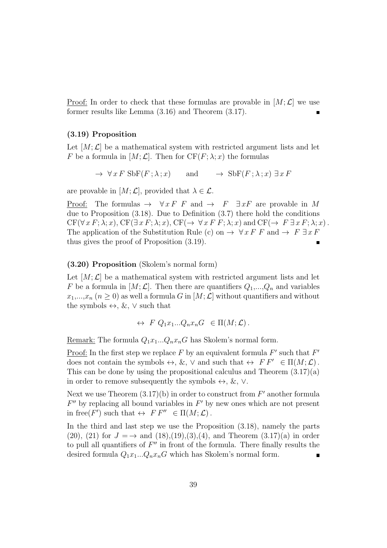<u>Proof:</u> In order to check that these formulas are provable in  $[M; \mathcal{L}]$  we use former results like Lemma (3.16) and Theorem (3.17).

#### (3.19) Proposition

Let  $[M; \mathcal{L}]$  be a mathematical system with restricted argument lists and let F be a formula in  $[M; \mathcal{L}]$ . Then for  $CF(F; \lambda; x)$  the formulas

$$
\rightarrow \forall x F \text{ Sbf}(F; \lambda; x) \qquad \text{and} \qquad \rightarrow \text{ Sbf}(F; \lambda; x) \exists x F
$$

are provable in  $[M; \mathcal{L}]$ , provided that  $\lambda \in \mathcal{L}$ .

Proof: The formulas  $\rightarrow \forall x F \ F$  and  $\rightarrow F \ \exists x F$  are provable in M due to Proposition (3.18). Due to Definition (3.7) there hold the conditions  $CF(\forall x F; \lambda; x)$ ,  $CF(\exists x F; \lambda; x)$ ,  $CF(\rightarrow \forall x F F; \lambda; x)$  and  $CF(\rightarrow F \exists x F; \lambda; x)$ . The application of the Substitution Rule (c) on  $\rightarrow \forall x F F$  and  $\rightarrow F \exists x F$ thus gives the proof of Proposition (3.19).

#### (3.20) Proposition (Skolem's normal form)

Let  $[M; \mathcal{L}]$  be a mathematical system with restricted argument lists and let F be a formula in  $[M; \mathcal{L}]$ . Then there are quantifiers  $Q_1,...,Q_n$  and variables  $x_1,...,x_n$   $(n > 0)$  as well a formula G in  $[M; \mathcal{L}]$  without quantifiers and without the symbols  $\leftrightarrow$ ,  $\&$ ,  $\lor$  such that

$$
\leftrightarrow\ F\ Q_1x_1...Q_nx_nG\ \in\Pi(M;\mathcal{L})\,.
$$

Remark: The formula  $Q_1x_1...Q_nx_nG$  has Skolem's normal form.

Proof: In the first step we replace F by an equivalent formula  $F'$  such that  $F'$ does not contain the symbols  $\leftrightarrow$ ,  $\&$ ,  $\vee$  and such that  $\leftrightarrow$   $FF' \in \Pi(M; \mathcal{L})$ . This can be done by using the propositional calculus and Theorem  $(3.17)(a)$ in order to remove subsequently the symbols  $\leftrightarrow$ , &,  $\vee$ .

Next we use Theorem  $(3.17)(b)$  in order to construct from  $F'$  another formula  $F''$  by replacing all bound variables in  $F'$  by new ones which are not present in free(F') such that  $\Leftrightarrow$   $FF'' \in \Pi(M; \mathcal{L})$ .

In the third and last step we use the Proposition (3.18), namely the parts (20), (21) for  $J = \rightarrow$  and (18),(19),(3),(4), and Theorem (3.17)(a) in order to pull all quantifiers of  $F''$  in front of the formula. There finally results the desired formula  $Q_1x_1...Q_nx_nG$  which has Skolem's normal form.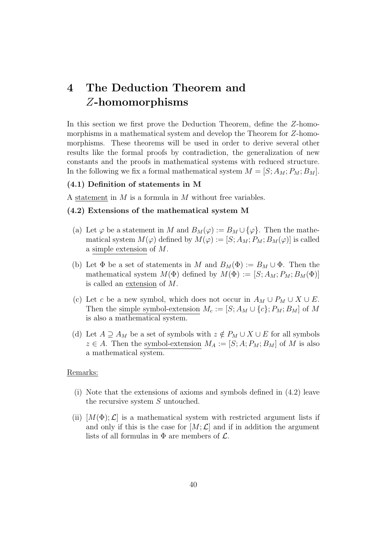## 4 The Deduction Theorem and Z-homomorphisms

In this section we first prove the Deduction Theorem, define the Z-homomorphisms in a mathematical system and develop the Theorem for Z-homomorphisms. These theorems will be used in order to derive several other results like the formal proofs by contradiction, the generalization of new constants and the proofs in mathematical systems with reduced structure. In the following we fix a formal mathematical system  $M = [S; A_M; P_M; B_M]$ .

#### (4.1) Definition of statements in M

A statement in  $M$  is a formula in  $M$  without free variables.

#### (4.2) Extensions of the mathematical system M

- (a) Let  $\varphi$  be a statement in M and  $B_M(\varphi) := B_M \cup {\varphi}.$  Then the mathematical system  $M(\varphi)$  defined by  $M(\varphi) := [S; A_M; P_M; B_M(\varphi)]$  is called a simple extension of M.
- (b) Let  $\Phi$  be a set of statements in M and  $B_M(\Phi) := B_M \cup \Phi$ . Then the mathematical system  $M(\Phi)$  defined by  $M(\Phi) := [S; A_M; P_M; B_M(\Phi)]$ is called an extension of M.
- (c) Let c be a new symbol, which does not occur in  $A_M \cup P_M \cup X \cup E$ . Then the simple symbol-extension  $M_c := [S; A_M \cup \{c\}; P_M; B_M]$  of M is also a mathematical system.
- (d) Let  $A \supseteq A_M$  be a set of symbols with  $z \notin P_M \cup X \cup E$  for all symbols  $z \in A$ . Then the symbol-extension  $M_A := [S; A; P_M; B_M]$  of M is also a mathematical system.

#### Remarks:

- (i) Note that the extensions of axioms and symbols defined in (4.2) leave the recursive system  $S$  untouched.
- (ii)  $[M(\Phi); \mathcal{L}]$  is a mathematical system with restricted argument lists if and only if this is the case for  $[M; \mathcal{L}]$  and if in addition the argument lists of all formulas in  $\Phi$  are members of  $\mathcal{L}$ .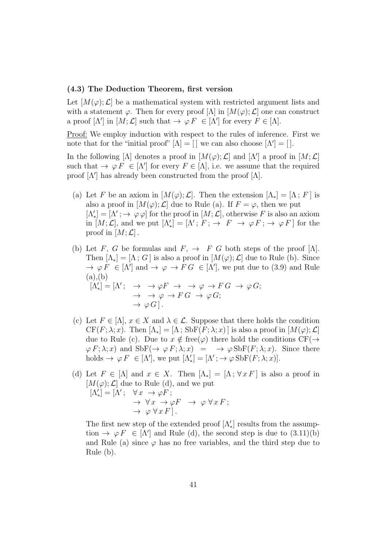#### (4.3) The Deduction Theorem, first version

Let  $[M(\varphi);\mathcal{L}]$  be a mathematical system with restricted argument lists and with a statement  $\varphi$ . Then for every proof  $[\Lambda]$  in  $[M(\varphi); \mathcal{L}]$  one can construct a proof  $[\Lambda']$  in  $[M; \mathcal{L}]$  such that  $\rightarrow \varphi F \in [\Lambda']$  for every  $F \in [\Lambda]$ .

Proof: We employ induction with respect to the rules of inference. First we note that for the "initial proof"  $[\Lambda] = [\ ]$  we can also choose  $[\Lambda'] = [\ ]$ .

In the following [ $\Lambda$ ] denotes a proof in  $[M(\varphi);\mathcal{L}]$  and  $[\Lambda']$  a proof in  $[M;\mathcal{L}]$ such that  $\rightarrow \varphi F \in [\Lambda']$  for every  $F \in [\Lambda]$ , i.e. we assume that the required proof  $[\Lambda']$  has already been constructed from the proof  $[\Lambda]$ .

- (a) Let F be an axiom in  $[M(\varphi);\mathcal{L}]$ . Then the extension  $[\Lambda_*] = [\Lambda; F]$  is also a proof in  $[M(\varphi); \mathcal{L}]$  due to Rule (a). If  $F = \varphi$ , then we put  $[\Lambda_*'] = [\Lambda'; \to \varphi \varphi]$  for the proof in  $[M; \mathcal{L}]$ , otherwise F is also an axiom in  $[M; \mathcal{L}]$ , and we put  $[\Lambda'_{*}] = [\Lambda' ; F; \rightarrow F \rightarrow \varphi F; \rightarrow \varphi F]$  for the proof in  $[M; \mathcal{L}]$ .
- (b) Let F, G be formulas and  $F$ ,  $\rightarrow$  F G both steps of the proof  $[\Lambda]$ . Then  $[\Lambda_*] = [\Lambda; G]$  is also a proof in  $[M(\varphi); \mathcal{L}]$  due to Rule (b). Since  $\rightarrow \varphi F \in [\Lambda']$  and  $\rightarrow \varphi \rightarrow FG \in [\Lambda']$ , we put due to (3.9) and Rule  $(a), (b)$  $[\Lambda'_*] = [\Lambda'; \rightarrow \rightarrow \varphi F \rightarrow \rightarrow \varphi \rightarrow FG \rightarrow \varphi G;$  $\rightarrow \rightarrow \varphi \rightarrow F G \rightarrow \varphi G;$  $\rightarrow \varphi G$ .
- (c) Let  $F \in [\Lambda], x \in X$  and  $\lambda \in \mathcal{L}$ . Suppose that there holds the condition  $CF(F; \lambda; x)$ . Then  $[\Lambda_*] = [\Lambda; SbF(F; \lambda; x)]$  is also a proof in  $[M(\varphi); \mathcal{L}]$ due to Rule (c). Due to  $x \notin \text{free}(\varphi)$  there hold the conditions  $CF(\rightarrow$  $\varphi F; \lambda; x$  and  $SbF(\rightarrow \varphi F; \lambda; x) = \rightarrow \varphi SbF(F; \lambda; x)$ . Since there holds  $\rightarrow \varphi F \in [\Lambda'],$  we put  $[\Lambda'_*] = [\Lambda'; \rightarrow \varphi \operatorname{SbF}(F; \lambda; x)].$
- (d) Let  $F \in [\Lambda]$  and  $x \in X$ . Then  $[\Lambda_*] = [\Lambda; \forall x F]$  is also a proof in  $[M(\varphi); \mathcal{L}]$  due to Rule (d), and we put  $[\Lambda_*'] = [\Lambda'; \quad \forall x \; \rightarrow \varphi \, F;$  $\rightarrow \forall x \rightarrow \varphi F \rightarrow \varphi \forall x F;$  $\rightarrow \varphi \vee x \overrightarrow{F}$ .

The first new step of the extended proof  $[\Lambda'_*]$  results from the assumption  $\rightarrow \varphi F \in [\Lambda']$  and Rule (d), the second step is due to  $(3.11)(b)$ and Rule (a) since  $\varphi$  has no free variables, and the third step due to Rule (b).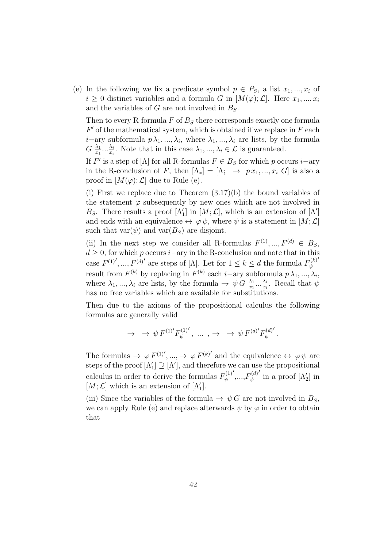(e) In the following we fix a predicate symbol  $p \in P_S$ , a list  $x_1, ..., x_i$  of  $i \geq 0$  distinct variables and a formula G in  $[M(\varphi); \mathcal{L}]$ . Here  $x_1, ..., x_i$ and the variables of G are not involved in  $B<sub>S</sub>$ .

Then to every R-formula  $F$  of  $B<sub>S</sub>$  there corresponds exactly one formula  $F'$  of the mathematical system, which is obtained if we replace in  $F$  each *i*−ary subformula  $p\lambda_1, ..., \lambda_i$ , where  $\lambda_1, ..., \lambda_i$  are lists, by the formula  $G \frac{\lambda_1}{r_1}$  $\frac{\lambda_1}{x_1}...\frac{\lambda_i}{x_i}$  $\frac{\lambda_i}{x_i}$ . Note that in this case  $\lambda_1, ..., \lambda_i \in \mathcal{L}$  is guaranteed.

If  $F'$  is a step of [ $\Lambda$ ] for all R-formulas  $F \in B_S$  for which p occurs *i* $-$ ary in the R-conclusion of F, then  $[\Lambda_*] = [\Lambda; \rightarrow px_1, ..., x_i]$  is also a proof in  $[M(\varphi);\mathcal{L}]$  due to Rule (e).

(i) First we replace due to Theorem (3.17)(b) the bound variables of the statement  $\varphi$  subsequently by new ones which are not involved in B<sub>S</sub>. There results a proof  $[\Lambda'_1]$  in  $[M; \mathcal{L}]$ , which is an extension of  $[\Lambda']$ and ends with an equivalence  $\leftrightarrow \varphi \psi$ , where  $\psi$  is a statement in  $[M; \mathcal{L}]$ such that  $var(\psi)$  and  $var(B<sub>S</sub>)$  are disjoint.

(ii) In the next step we consider all R-formulas  $F^{(1)}, ..., F^{(d)} \in B_S$ ,  $d \geq 0$ , for which p occurs i–ary in the R-conclusion and note that in this case  $F^{(1)'}$ , ...,  $F^{(d)'}$  are steps of [ $\Lambda$ ]. Let for  $1 \leq k \leq d$  the formula  $F^{(k)}_{\psi}$ ψ ′ result from  $F^{(k)}$  by replacing in  $F^{(k)}$  each *i*-ary subformula  $p \lambda_1, ..., \lambda_i$ , where  $\lambda_1, ..., \lambda_i$  are lists, by the formula  $\rightarrow \psi G \frac{\lambda_1}{x_1} ... \frac{\lambda_i}{x_i}$  $\frac{\lambda_i}{x_i}$ . Recall that  $\psi$ has no free variables which are available for substitutions.

Then due to the axioms of the propositional calculus the following formulas are generally valid

$$
\to \to \psi F^{(1)'} F_{\psi}^{(1)'}, \ \ldots \ , \to \ \to \ \psi F^{(d)'} F_{\psi}^{(d)'}.
$$

The formulas  $\rightarrow \varphi F^{(1)'}$ , ...,  $\rightarrow \varphi F^{(k)'}$  and the equivalence  $\leftrightarrow \varphi \psi$  are steps of the proof  $[\Lambda_1'] \supseteq [\Lambda']$ , and therefore we can use the propositional calculus in order to derive the formulas  $F_{\psi}^{(1)}$ ψ  $',...,F_{\psi}^{(d)}$ ψ  $\int$  in a proof  $[\Lambda'_2]$  in  $[M; \mathcal{L}]$  which is an extension of  $[\Lambda'_1]$ .

(iii) Since the variables of the formula  $\rightarrow \psi G$  are not involved in  $B<sub>S</sub>$ , we can apply Rule (e) and replace afterwards  $\psi$  by  $\varphi$  in order to obtain that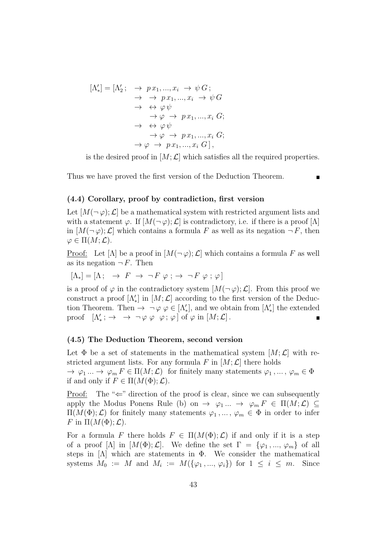$$
[\Lambda_*'] = [\Lambda_2'; \rightarrow px_1, ..., x_i \rightarrow \psi \ G; \rightarrow \rightarrow px_1, ..., x_i \rightarrow \psi \ G\rightarrow \leftrightarrow \varphi \psi\rightarrow \varphi \rightarrow px_1, ..., x_i \ G; \rightarrow \leftrightarrow \varphi \psi\rightarrow \varphi \rightarrow px_1, ..., x_i \ G; \rightarrow \varphi \rightarrow px_1, ..., x_i \ G; \rightarrow \varphi \rightarrow px_1, ..., x_i \ G],
$$

is the desired proof in  $[M; \mathcal{L}]$  which satisfies all the required properties.

Thus we have proved the first version of the Deduction Theorem.

#### (4.4) Corollary, proof by contradiction, first version

Let  $[M(\neg \varphi); \mathcal{L}]$  be a mathematical system with restricted argument lists and with a statement  $\varphi$ . If  $[M(\neg \varphi); \mathcal{L}]$  is contradictory, i.e. if there is a proof  $[\Lambda]$ in  $[M(\neg \varphi); \mathcal{L}]$  which contains a formula F as well as its negation  $\neg F$ , then  $\varphi \in \Pi(M; \mathcal{L}).$ 

Proof: Let  $[\Lambda]$  be a proof in  $[M(\neg \varphi); \mathcal{L}]$  which contains a formula F as well as its negation  $\neg F$ . Then

$$
[\Lambda_*] = [\Lambda; \rightarrow F \rightarrow \neg F \varphi; \rightarrow \neg F \varphi; \varphi]
$$

is a proof of  $\varphi$  in the contradictory system  $[M(\neg \varphi); \mathcal{L}]$ . From this proof we construct a proof  $[\Lambda_*']$  in  $[M; \mathcal{L}]$  according to the first version of the Deduction Theorem. Then  $\rightarrow \neg \varphi \varphi \in [\Lambda_*'],$  and we obtain from  $[\Lambda_*']$  the extended proof  $[\Lambda'_{*}; \rightarrow \rightarrow \neg \varphi \varphi \varphi; \varphi]$  of  $\varphi$  in  $[M; \mathcal{L}]$ .

#### (4.5) The Deduction Theorem, second version

Let  $\Phi$  be a set of statements in the mathematical system  $[M; \mathcal{L}]$  with restricted argument lists. For any formula F in  $[M; \mathcal{L}]$  there holds  $\to \varphi_1 ... \to \varphi_m F \in \Pi(M; \mathcal{L})$  for finitely many statements  $\varphi_1,..., \varphi_m \in \Phi$ if and only if  $F \in \Pi(M(\Phi); \mathcal{L})$ .

Proof: The  $\leq$  direction of the proof is clear, since we can subsequently apply the Modus Ponens Rule (b) on  $\rightarrow \varphi_1 ... \rightarrow \varphi_m F \in \Pi(M; \mathcal{L}) \subseteq$  $\Pi(M(\Phi); \mathcal{L})$  for finitely many statements  $\varphi_1, \dots, \varphi_m \in \Phi$  in order to infer F in  $\Pi(M(\Phi); \mathcal{L})$ .

For a formula F there holds  $F \in \Pi(M(\Phi); \mathcal{L})$  if and only if it is a step of a proof  $[\Lambda]$  in  $[M(\Phi); \mathcal{L}]$ . We define the set  $\Gamma = {\varphi_1, ..., \varphi_m}$  of all steps in  $[\Lambda]$  which are statements in  $\Phi$ . We consider the mathematical systems  $M_0 := M$  and  $M_i := M(\{\varphi_1, ..., \varphi_i\})$  for  $1 \leq i \leq m$ . Since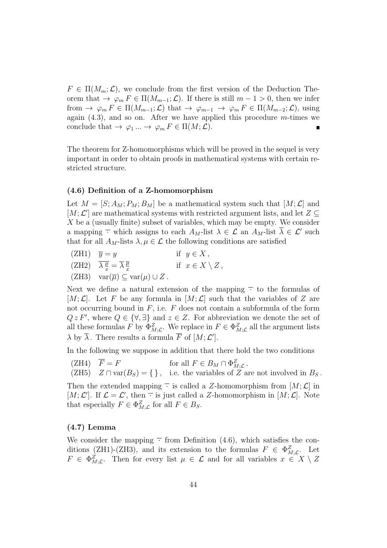$F \in \Pi(M_m; \mathcal{L})$ , we conclude from the first version of the Deduction Theorem that  $\to \varphi_m F \in \Pi(M_{m-1}; \mathcal{L})$ . If there is still  $m-1 > 0$ , then we infer from  $\rightarrow \varphi_m F \in \Pi(M_{m-1}; \mathcal{L})$  that  $\rightarrow \varphi_{m-1} \rightarrow \varphi_m F \in \Pi(M_{m-2}; \mathcal{L})$ , using again  $(4.3)$ , and so on. After we have applied this procedure m-times we conclude that  $\rightarrow \varphi_1 ... \rightarrow \varphi_m F \in \Pi(M; \mathcal{L}).$ 

The theorem for Z-homomorphisms which will be proved in the sequel is very important in order to obtain proofs in mathematical systems with certain restricted structure.

#### (4.6) Definition of a Z-homomorphism

Let  $M = [S; A_M; P_M; B_M]$  be a mathematical system such that  $[M; \mathcal{L}]$  and [ $M; \mathcal{L}'$ ] are mathematical systems with restricted argument lists, and let  $Z \subseteq$ X be a (usually finite) subset of variables, which may be empty. We consider a mapping  $\overline{\cdot}$  which assigns to each  $A_M$ -list  $\lambda \in \mathcal{L}$  an  $A_M$ -list  $\overline{\lambda} \in \mathcal{L}'$  such that for all  $A_M$ -lists  $\lambda, \mu \in \mathcal{L}$  the following conditions are satisfied

- (ZH1)  $\overline{y} = y$  if  $y \in X$ ,
- $(ZH2)$   $\overline{\lambda}\frac{\overline{\mu}}{x} = \overline{\lambda}\frac{\overline{\mu}}{x}$ x if  $x \in X \setminus Z$ ,
- (ZH3)  $var(\overline{\mu}) \subset var(\mu) \cup Z$ .

Next we define a natural extension of the mapping  $\overline{\cdot}$  to the formulas of [M;  $\mathcal{L}$ ]. Let F be any formula in [M;  $\mathcal{L}$ ] such that the variables of Z are not occurring bound in  $F$ , i.e.  $F$  does not contain a subformula of the form  $Q z F'$ , where  $Q \in {\forall, \exists}$  and  $z \in Z$ . For abbreviation we denote the set of all these formulas F by  $\Phi_{M;\mathcal{L}}^Z$ . We replace in  $F \in \Phi_{M;\mathcal{L}}^Z$  all the argument lists  $\lambda$  by  $\overline{\lambda}$ . There results a formula  $\overline{F}$  of  $[M; \mathcal{L}']$ .

In the following we suppose in addition that there hold the two conditions

- (ZH4)  $\overline{F} = F$  for all  $F \in B_M \cap \Phi_{M; \mathcal{L}}^Z$ .
- (ZH5)  $Z \cap \text{var}(B_S) = \{\}\$ , i.e. the variables of Z are not involved in  $B_S$ .

Then the extended mapping  $\overline{\cdot}$  is called a Z-homomorphism from  $[M; \mathcal{L}]$  in [M;  $\mathcal{L}'$ ]. If  $\mathcal{L} = \mathcal{L}'$ , then  $\overline{\cdot}$  is just called a Z-homomorphism in [M;  $\mathcal{L}$ ]. Note that especially  $F \in \Phi_{M;\mathcal{L}}^Z$  for all  $F \in B_S$ .

#### (4.7) Lemma

We consider the mapping  $\overline{\cdot}$  from Definition (4.6), which satisfies the conditions (ZH1)-(ZH3), and its extension to the formulas  $F \in \Phi_{M;L}^Z$ . Let  $F \in \Phi_{M; \mathcal{L}}^Z$ . Then for every list  $\mu \in \mathcal{L}$  and for all variables  $x \in X \setminus Z$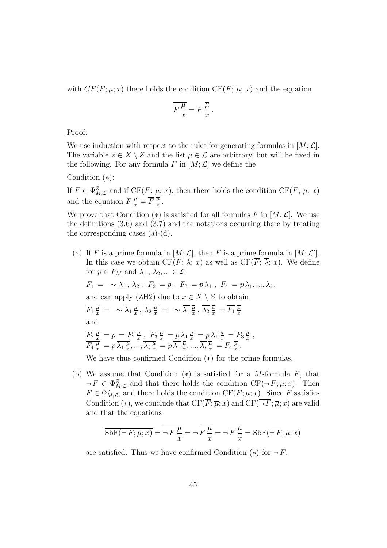with  $CF(F; \mu; x)$  there holds the condition  $CF(\overline{F}; \overline{\mu}; x)$  and the equation

$$
\overline{F\frac{\mu}{x}} = \overline{F}\frac{\overline{\mu}}{x}.
$$

Proof:

We use induction with respect to the rules for generating formulas in  $[M; \mathcal{L}]$ . The variable  $x \in X \setminus Z$  and the list  $\mu \in \mathcal{L}$  are arbitrary, but will be fixed in the following. For any formula F in  $[M; \mathcal{L}]$  we define the

Condition (∗):

If  $F \in \Phi_{M; \mathcal{L}}^Z$  and if  $CF(F; \mu; x)$ , then there holds the condition  $CF(\overline{F}; \overline{\mu}; x)$ and the equation  $\overline{F\frac{\mu}{x}} = \overline{F}\frac{\overline{\mu}}{x}$  $\frac{\mu}{x}$  .

We prove that Condition  $(*)$  is satisfied for all formulas F in  $[M; \mathcal{L}]$ . We use the definitions (3.6) and (3.7) and the notations occurring there by treating the corresponding cases  $(a)-(d)$ .

- (a) If F is a prime formula in  $[M; \mathcal{L}]$ , then  $\overline{F}$  is a prime formula in  $[M; \mathcal{L}']$ . In this case we obtain CF(F;  $\lambda$ ; x) as well as CF( $\overline{F}$ ;  $\overline{\lambda}$ ; x). We define for  $p \in P_M$  and  $\lambda_1, \lambda_2, ... \in \mathcal{L}$  $F_1 = \sim \lambda_1, \, \lambda_2, \, F_2 = p, \, F_3 = p \lambda_1, \, F_4 = p \lambda_1, ..., \lambda_i,$ and can apply (ZH2) due to  $x \in X \setminus Z$  to obtain  $\overline{F_1 \frac{\mu}{x}} = \sqrt{\lambda_1 \frac{\mu}{x}}$  $\overline{\frac{\mu}{x}}\, , \ \overline{\lambda_2 \frac{\mu}{x}} \, = \, \sim \overline{\lambda_1} \, \overline{\frac{\mu}{x}}$  $\frac{\overline{\mu}}{x} \, , \, \overline{\lambda_2} \, \frac{\overline{\mu}}{x} \, = \overline{F_1} \, \frac{\overline{\mu}}{x}$ x and  $\overline{F_2\,\frac{\mu}{x}}\,=p\,=\overline{F_2}\,\frac{\overline{\mu}}{x}$  $\frac{\overline{\mu}}{x}$  ,  $\overline{F_3\,\frac{\mu}{x}}=p\,\overline{\lambda_1\,\frac{\mu}{x}}=p\,\overline{\lambda_1}\,\frac{\overline{\mu}}{x}=\overline{F_3}\,\frac{\overline{\mu}}{x}$  $\frac{\mu}{x}$ ,  $\overline{F_4\frac{\mu}{x}} = p \overline{\lambda_1 \frac{\mu}{x}}$  $\frac{\overline{\mu}}{x},...,\overline{\lambda_i\frac{\mu}{x}}=p\,\overline{\lambda_1}\,\frac{\overline{\mu}}{x}$  $\overline{\frac{\mu}{x}},...,\overline{\lambda_i}\,\overline{\frac{\mu}{x}}\,=\overline{F_4}\,\overline{\frac{\mu}{x}}$  $\frac{\mu}{x}$  . We have thus confirmed Condition (∗) for the prime formulas.
- (b) We assume that Condition  $(*)$  is satisfied for a M-formula F, that  $\neg F \in \Phi_{M; \mathcal{L}}^Z$  and that there holds the condition  $CF(\neg F; \mu; x)$ . Then  $F \in \Phi_{M; \mathcal{L}}^Z$ , and there holds the condition  $CF(F; \mu; x)$ . Since F satisfies Condition (\*), we conclude that  $CF(\overline{F}; \overline{\mu}; x)$  and  $CF(\overline{\neg F}; \overline{\mu}; x)$  are valid and that the equations

$$
\overline{\text{SbF}(\neg F; \mu; x)} = \overline{\neg F \frac{\mu}{x}} = \overline{\neg F \frac{\mu}{x}} = \overline{\neg F \frac{\overline{\mu}}{x}} = \overline{\text{SbF}(\overline{\neg F}; \overline{\mu}; x)}
$$

are satisfied. Thus we have confirmed Condition  $(*)$  for  $\neg F$ .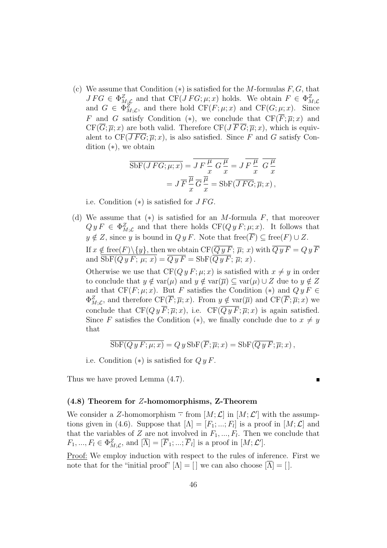(c) We assume that Condition  $(*)$  is satisfied for the M-formulas  $F, G$ , that  $JFG \in \Phi_{M;\mathcal{L}}^Z$  and that  $CF(JFG;\mu;x)$  holds. We obtain  $F \in \Phi_{M;\mathcal{L}}^Z$ and  $G \in \Phi_{M; \mathcal{L}}^Z$ , and there hold  $CF(F; \mu; x)$  and  $CF(G; \mu; x)$ . Since F and G satisfy Condition (\*), we conclude that  $CF(\overline{F}; \overline{\mu}; x)$  and  $CF(\overline{G};\overline{\mu};x)$  are both valid. Therefore  $CF(J\overline{F}\overline{G};\overline{\mu};x)$ , which is equivalent to  $CF(\overline{JFG};\overline{\mu};x)$ , is also satisfied. Since F and G satisfy Condition (∗), we obtain

$$
\overline{\text{SbF}(JFG; \mu; x)} = \overline{J} \overline{F\frac{\mu}{x}} G \frac{\mu}{x} = J \overline{F\frac{\mu}{x}} \overline{G \frac{\mu}{x}}
$$

$$
= J \overline{F} \frac{\overline{\mu}}{x} \overline{G} \frac{\overline{\mu}}{x} = \text{SbF}(\overline{JFG}; \overline{\mu}; x),
$$

i.e. Condition  $(*)$  is satisfied for  $JFG$ .

(d) We assume that  $(*)$  is satisfied for an M-formula F, that moreover  $Q y F \in \Phi_{M; \mathcal{L}}^Z$  and that there holds  $CF(Q y F; \mu; x)$ . It follows that  $y \notin Z$ , since y is bound in  $Q y F$ . Note that free( $\overline{F}$ )  $\subseteq$  free( $F$ )  $\cup Z$ . If  $x \notin \text{free}(F) \backslash \{y\}$ , then we obtain  $\mathrm{CF}(Q\, y\, F; \overline{\mu};\, x)$  with  $Q\, y\, F = Q\, y\, F$ and  $\text{SbF}(Q y F; \mu; x) = Q y F = \text{SbF}(Q y F; \overline{\mu}; x)$ .

Otherwise we use that  $CF(Qy F; \mu; x)$  is satisfied with  $x \neq y$  in order to conclude that  $y \notin \text{var}(\mu)$  and  $y \notin \text{var}(\overline{\mu}) \subseteq \text{var}(\mu) \cup Z$  due to  $y \notin Z$ and that  $CF(F; \mu; x)$ . But F satisfies the Condition (\*) and  $QyF \in$  $\Phi_{M;\mathcal{L}}^Z$ , and therefore  $\mathrm{CF}(\overline{F};\overline{\mu};x)$ . From  $y \notin \text{var}(\overline{\mu})$  and  $\mathrm{CF}(\overline{F};\overline{\mu};x)$  we conclude that  $CF(Q y \overline{F}; \overline{\mu}; x)$ , i.e.  $CF(\overline{Q y F}; \overline{\mu}; x)$  is again satisfied. Since F satisfies the Condition (\*), we finally conclude due to  $x \neq y$ that

$$
\overline{\rm SbF}(Q\,y\,F;\mu;x) = Q\,y\,{\rm SbF}(\overline{F};\overline{\mu};x) = {\rm SbF}(\overline{Q\,y\,F};\overline{\mu};x)\,,
$$

i.e. Condition  $(*)$  is satisfied for  $QyF$ .

Thus we have proved Lemma (4.7).

(4.8) Theorem for Z-homomorphisms, Z-Theorem

We consider a Z-homomorphism  $\overline{\cdot}$  from  $[M; \mathcal{L}]$  in  $[M; \mathcal{L}']$  with the assumptions given in (4.6). Suppose that  $[\Lambda] = [F_1; \ldots; F_l]$  is a proof in  $[M; \mathcal{L}]$  and that the variables of Z are not involved in  $F_1, ..., F_l$ . Then we conclude that  $F_1, ..., F_l \in \Phi_{M; \mathcal{L}}^Z$ , and  $[\overline{\Lambda}] = [\overline{F}_1; ...; \overline{F}_l]$  is a proof in  $[M; \mathcal{L}']$ .

Proof: We employ induction with respect to the rules of inference. First we note that for the "initial proof"  $[\Lambda] = [\ ]$  we can also choose  $[\overline{\Lambda}] = [\ ]$ .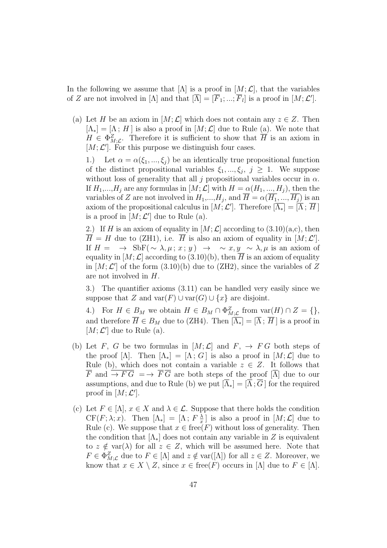In the following we assume that  $[\Lambda]$  is a proof in  $[M; \mathcal{L}]$ , that the variables of Z are not involved in  $[\Lambda]$  and that  $[\overline{\Lambda}] = [\overline{F}_1; ...; \overline{F}_l]$  is a proof in  $[M, \mathcal{L}']$ .

(a) Let H be an axiom in  $[M; \mathcal{L}]$  which does not contain any  $z \in \mathcal{Z}$ . Then  $[\Lambda_*] = [\Lambda; H]$  is also a proof in  $[M; \mathcal{L}]$  due to Rule (a). We note that  $H \in \Phi_{M;L}^Z$ . Therefore it is sufficient to show that  $\overline{H}$  is an axiom in  $[M; \mathcal{L}']$ . For this purpose we distinguish four cases.

1.) Let  $\alpha = \alpha(\xi_1, ..., \xi_j)$  be an identically true propositional function of the distinct propositional variables  $\xi_1, ..., \xi_j, j \geq 1$ . We suppose without loss of generality that all j propositional variables occur in  $\alpha$ . If  $H_1,...,H_j$  are any formulas in  $[M;\mathcal{L}]$  with  $H = \alpha(H_1,...,H_j)$ , then the variables of Z are not involved in  $H_1, ..., H_j$ , and  $H = \alpha(H_1, ..., H_j)$  is an axiom of the propositional calculus in  $[M; \mathcal{L}']$ . Therefore  $\overline{[\Lambda_*]} = \overline{[\Lambda}; \overline{H}]$ is a proof in  $[M; \mathcal{L}']$  due to Rule (a).

2.) If H is an axiom of equality in  $[M; \mathcal{L}]$  according to  $(3.10)(a,c)$ , then  $\overline{H} = H$  due to (ZH1), i.e.  $\overline{H}$  is also an axiom of equality in [M; L']. If  $H = \rightarrow \text{SbF}(\sim \lambda, \mu; x; y) \rightarrow \sim x, y \sim \lambda, \mu$  is an axiom of equality in  $[M; \mathcal{L}]$  according to (3.10)(b), then  $\overline{H}$  is an axiom of equality in  $[M; \mathcal{L}']$  of the form  $(3.10)(b)$  due to  $(ZH2)$ , since the variables of Z are not involved in H.

3.) The quantifier axioms (3.11) can be handled very easily since we suppose that Z and  $var(F) \cup var(G) \cup \{x\}$  are disjoint.

4.) For  $H \in B_M$  we obtain  $H \in B_M \cap \Phi_{M; \mathcal{L}}^Z$  from  $\text{var}(H) \cap Z = \{\},\$ and therefore  $\overline{H} \in B_M$  due to (ZH4). Then  $[\overline{\Lambda}_*] = [\overline{\Lambda}; \overline{H}]$  is a proof in  $[M; \mathcal{L}']$  due to Rule (a).

- (b) Let F, G be two formulas in  $[M; \mathcal{L}]$  and  $F$ ,  $\rightarrow$  FG both steps of the proof  $[\Lambda]$ . Then  $[\Lambda_*] = [\Lambda; G]$  is also a proof in  $[M; \mathcal{L}]$  due to Rule (b), which does not contain a variable  $z \in Z$ . It follows that  $\overline{F}$  and  $\overline{\rightarrow}$   $\overline{F}\overline{G}$  =  $\rightarrow$   $\overline{F}\overline{G}$  are both steps of the proof  $[\overline{\Lambda}]$  due to our assumptions, and due to Rule (b) we put  $[\overline{\Lambda}_*] = [\overline{\Lambda}; \overline{G}]$  for the required proof in  $[M; \mathcal{L}']$ .
- (c) Let  $F \in [\Lambda], x \in X$  and  $\lambda \in \mathcal{L}$ . Suppose that there holds the condition  $CF(F; \lambda; x)$ . Then  $[\Lambda_*] = [\Lambda; F]_{\tau}^{\lambda}$  $\frac{\lambda}{x}$ ] is also a proof in  $[M; \mathcal{L}]$  due to Rule (c). We suppose that  $x \in free(F)$  without loss of generality. Then the condition that  $[\Lambda_*]$  does not contain any variable in Z is equivalent to  $z \notin \text{var}(\lambda)$  for all  $z \in Z$ , which will be assumed here. Note that  $F \in \Phi_{M; \mathcal{L}}^Z$  due to  $F \in [\Lambda]$  and  $z \notin \text{var}([\Lambda])$  for all  $z \in Z$ . Moreover, we know that  $x \in X \setminus Z$ , since  $x \in \text{free}(F)$  occurs in  $[\Lambda]$  due to  $F \in [\Lambda]$ .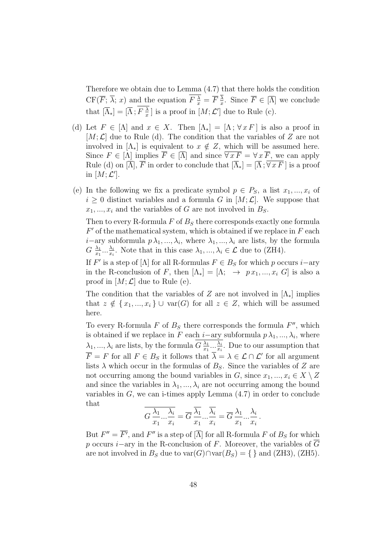Therefore we obtain due to Lemma (4.7) that there holds the condition  $CF(\overline{F}; \overline{\lambda}; x)$  and the equation  $F\frac{\lambda}{x} = \overline{F}\frac{\lambda}{x}$  $\frac{\lambda}{x}$ . Since  $F \in [\Lambda]$  we conclude that  $\left[\overline{\Lambda}_*\right] = \left[\overline{\Lambda}; F\right]\frac{\lambda}{r}$  $\frac{\lambda}{x}$ ] is a proof in  $[M; \mathcal{L}']$  due to Rule (c).

- (d) Let  $F \in [\Lambda]$  and  $x \in X$ . Then  $[\Lambda_*] = [\Lambda; \forall x F]$  is also a proof in  $[M; \mathcal{L}]$  due to Rule (d). The condition that the variables of Z are not involved in  $[\Lambda_*]$  is equivalent to  $x \notin Z$ , which will be assumed here. Since  $F \in [\Lambda]$  implies  $\overline{F} \in [\overline{\Lambda}]$  and since  $\overline{\forall x F} = \forall x \overline{F}$ , we can apply Rule (d) on  $[\overline{\Lambda}]$ ,  $\overline{F}$  in order to conclude that  $[\overline{\Lambda}_*] = [\overline{\Lambda}; \overline{\forall x F}]$  is a proof in  $[M; \mathcal{L}']$ .
- (e) In the following we fix a predicate symbol  $p \in P_S$ , a list  $x_1, ..., x_i$  of  $i \geq 0$  distinct variables and a formula G in  $[M; \mathcal{L}]$ . We suppose that  $x_1, \ldots, x_i$  and the variables of G are not involved in  $B_S$ .

Then to every R-formula  $F$  of  $B<sub>S</sub>$  there corresponds exactly one formula  $F'$  of the mathematical system, which is obtained if we replace in  $F$  each *i*−ary subformula  $p\lambda_1, ..., \lambda_i$ , where  $\lambda_1, ..., \lambda_i$  are lists, by the formula  $G \frac{\lambda_1}{x_1}$  $\frac{\lambda_1}{x_1}...\frac{\lambda_i}{x_i}$  $\frac{\lambda_i}{x_i}$ . Note that in this case  $\lambda_1, ..., \lambda_i \in \mathcal{L}$  due to (ZH4).

If  $F'$  is a step of [ $\Lambda$ ] for all R-formulas  $F \in B_S$  for which p occurs i–ary in the R-conclusion of F, then  $[\Lambda_*] = [\Lambda; \rightarrow px_1, ..., x_i]$  is also a proof in  $[M; \mathcal{L}]$  due to Rule (e).

The condition that the variables of Z are not involved in  $[\Lambda_*]$  implies that  $z \notin \{x_1, ..., x_i\} \cup \text{var}(G)$  for all  $z \in Z$ , which will be assumed here.

To every R-formula  $F$  of  $B<sub>S</sub>$  there corresponds the formula  $F''$ , which is obtained if we replace in F each *i*-ary subformula  $p\lambda_1, ..., \lambda_i$ , where  $\lambda_1, ..., \lambda_i$  are lists, by the formula  $G \frac{\lambda_1}{x_1}$  $\frac{\lambda_1}{x_1}...\frac{\lambda_i}{x_i}$  $\frac{\lambda_i}{x_i}$ . Due to our assumption that  $\overline{F} = F$  for all  $F \in B_S$  it follows that  $\overline{\lambda} = \lambda \in \mathcal{L} \cap \mathcal{L}'$  for all argument lists  $\lambda$  which occur in the formulas of  $B_s$ . Since the variables of Z are not occurring among the bound variables in G, since  $x_1, ..., x_i \in X \setminus Z$ and since the variables in  $\lambda_1, ..., \lambda_i$  are not occurring among the bound variables in  $G$ , we can i-times apply Lemma  $(4.7)$  in order to conclude that

$$
\overline{G\frac{\lambda_1}{x_1}...\frac{\lambda_i}{x_i}} = \overline{G}\frac{\overline{\lambda_1}}{x_1}...\frac{\overline{\lambda_i}}{x_i} = \overline{G}\frac{\lambda_1}{x_1}...\frac{\lambda_i}{x_i}.
$$

But  $F'' = \overline{F'}$ , and  $F''$  is a step of  $[\overline{\Lambda}]$  for all R-formula F of  $B_S$  for which p occurs i–ary in the R-conclusion of F. Moreover, the variables of  $\overline{G}$ are not involved in  $B_S$  due to var $(G) \cap \text{var}(B_S) = \{\}\$ and (ZH3), (ZH5).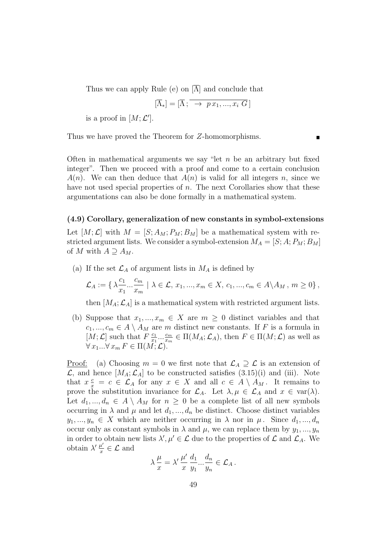Thus we can apply Rule (e) on  $[\overline{\Lambda}]$  and conclude that

$$
[\overline{\Lambda}_*] = [\overline{\Lambda}; \overline{\longrightarrow p x_1, ..., x_i G}]
$$

is a proof in  $[M; \mathcal{L}']$ .

Thus we have proved the Theorem for Z-homomorphisms.

Often in mathematical arguments we say "let  $n$  be an arbitrary but fixed integer". Then we proceed with a proof and come to a certain conclusion  $A(n)$ . We can then deduce that  $A(n)$  is valid for all integers n, since we have not used special properties of  $n$ . The next Corollaries show that these argumentations can also be done formally in a mathematical system.

#### (4.9) Corollary, generalization of new constants in symbol-extensions

Let  $[M; \mathcal{L}]$  with  $M = [S; A_M; P_M; B_M]$  be a mathematical system with restricted argument lists. We consider a symbol-extension  $M_A = [S; A; P_M; B_M]$ of M with  $A \supseteq A_M$ .

(a) If the set  $\mathcal{L}_A$  of argument lists in  $M_A$  is defined by

$$
\mathcal{L}_A := \{ \lambda \frac{c_1}{x_1} ... \frac{c_m}{x_m} \mid \lambda \in \mathcal{L}, \, x_1, ..., x_m \in X, \, c_1, ..., c_m \in A \setminus A_M, \, m \ge 0 \},
$$

then  $[M_A; \mathcal{L}_A]$  is a mathematical system with restricted argument lists.

(b) Suppose that  $x_1, ..., x_m \in X$  are  $m \geq 0$  distinct variables and that  $c_1, ..., c_m \in A \setminus A_M$  are m distinct new constants. If F is a formula in [M;  $\mathcal{L}$ ] such that  $F \frac{c_1}{r_1}$  $\frac{c_1}{x_1} \ldots \frac{c_m}{x_m}$  $\frac{c_m}{x_m} \in \Pi(M_A; \mathcal{L}_A)$ , then  $F \in \Pi(M; \mathcal{L})$  as well as  $\forall x_1...\forall x_m F \in \Pi(M; \mathcal{L}).$ 

<u>Proof:</u> (a) Choosing  $m = 0$  we first note that  $\mathcal{L}_A \supseteq \mathcal{L}$  is an extension of  $\mathcal{L}$ , and hence  $[M_A; \mathcal{L}_A]$  to be constructed satisfies  $(3.15)(i)$  and (iii). Note that  $x \frac{c}{x} = c \in \mathcal{L}_A$  for any  $x \in X$  and all  $c \in A \setminus A_M$ . It remains to prove the substitution invariance for  $\mathcal{L}_A$ . Let  $\lambda, \mu \in \mathcal{L}_A$  and  $x \in \text{var}(\lambda)$ . Let  $d_1, ..., d_n \in A \setminus A_M$  for  $n \geq 0$  be a complete list of all new symbols occurring in  $\lambda$  and  $\mu$  and let  $d_1, ..., d_n$  be distinct. Choose distinct variables  $y_1, ..., y_n \in X$  which are neither occurring in  $\lambda$  nor in  $\mu$ . Since  $d_1, ..., d_n$ occur only as constant symbols in  $\lambda$  and  $\mu$ , we can replace them by  $y_1, ..., y_n$ in order to obtain new lists  $\lambda', \mu' \in \mathcal{L}$  due to the properties of  $\mathcal{L}$  and  $\mathcal{L}_A$ . We obtain  $\lambda' \frac{\mu'}{x}$  $\frac{u}{x} \in \mathcal{L}$  and

$$
\lambda \frac{\mu}{x} = \lambda' \frac{\mu'}{x} \frac{d_1}{y_1} ... \frac{d_n}{y_n} \in \mathcal{L}_A \, .
$$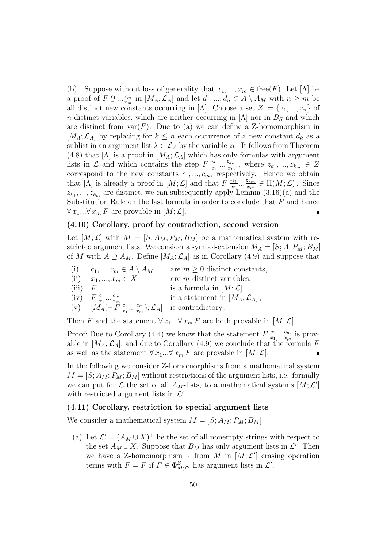(b) Suppose without loss of generality that  $x_1, ..., x_m \in \text{free}(F)$ . Let  $[\Lambda]$  be a proof of  $F\frac{c_1}{r_1}$  $\frac{c_1}{x_1} \dots \frac{c_m}{x_m}$  $\frac{c_m}{x_m}$  in  $[M_A; \mathcal{L}_A]$  and let  $d_1, ..., d_n \in A \setminus A_M$  with  $n \geq m$  be all distinct new constants occurring in [ $\Lambda$ ]. Choose a set  $Z := \{z_1, ..., z_n\}$  of n distinct variables, which are neither occurring in  $[\Lambda]$  nor in  $B<sub>S</sub>$  and which are distinct from  $var(F)$ . Due to (a) we can define a Z-homomorphism in  $[M_A; \mathcal{L}_A]$  by replacing for  $k \leq n$  each occurrence of a new constant  $d_k$  as a sublist in an argument list  $\lambda \in \mathcal{L}_A$  by the variable  $z_k$ . It follows from Theorem (4.8) that [ $\Lambda$ ] is a proof in [ $M_A$ ;  $\mathcal{L}_A$ ] which has only formulas with argument lists in  $\mathcal{L}$  and which contains the step  $F\frac{z_{k_1}}{x_k}$  $\frac{z_{k_1}}{x_1} \ldots \frac{z_{k_m}}{x_m}$  $\frac{z_{k_m}}{x_m}$ , where  $z_{k_1},...,z_{k_m} \in Z$ correspond to the new constants  $c_1, ..., c_m$ , respectively. Hence we obtain that  $[\overline{\hat{\Lambda}}]$  is already a proof in  $[M; \mathcal{L}]$  and that  $F \frac{z_{k_1}}{r_1}$  $\frac{z_{k_1}}{x_1} \ldots \frac{z_{k_m}}{x_m}$  $\frac{z_{k_m}}{x_m} \in \Pi(M; \mathcal{L})$ . Since  $z_{k_1},..., z_{k_m}$  are distinct, we can subsequently apply Lemma  $(3.16)(a)$  and the Substitution Rule on the last formula in order to conclude that  $F$  and hence  $\forall x_1...\forall x_m F$  are provable in  $[M; \mathcal{L}]$ .

#### (4.10) Corollary, proof by contradiction, second version

Let  $[M; \mathcal{L}]$  with  $M = [S; A_M; P_M; B_M]$  be a mathematical system with restricted argument lists. We consider a symbol-extension  $M_A = [S; A; P_M; B_M]$ of M with  $A \supseteq A_M$ . Define  $[M_A; \mathcal{L}_A]$  as in Corollary (4.9) and suppose that

(i)  $c_1, ..., c_m \in A \setminus A_M$  are  $m \geq 0$  distinct constants, (ii)  $x_1, ..., x_m \in X$  are m distinct variables, (iii)  $F$  is a formula in  $[M; \mathcal{L}]$ ,  $(iv)$   $F \frac{c_1}{r_1}$  $\frac{c_1}{x_1} \dots \frac{c_m}{x_m}$  $\bar{x}_m$ is a statement in  $[M_A; \mathcal{L}_A]$ , (v)  $\left[ M_A(-\ddot{F}\frac{c_1}{r_1}\right]$  $\frac{c_1}{x_1} \dots \frac{c_m}{x_m}$  $(\frac{c_m}{x_m}); \mathcal{L}_A]$  is contradictory.

Then F and the statement  $\forall x_1...\forall x_m F$  are both provable in  $[M; \mathcal{L}]$ .

<u>Proof:</u> Due to Corollary (4.4) we know that the statement  $F\frac{c_1}{r_1}$  $\frac{c_1}{x_1} \ldots \frac{c_m}{x_m}$  $\frac{c_m}{x_m}$  is provable in  $[M_A; \mathcal{L}_A]$ , and due to Corollary (4.9) we conclude that the formula F as well as the statement  $\forall x_1...\forall x_m F$  are provable in  $[M; \mathcal{L}]$ .

In the following we consider Z-homomorphisms from a mathematical system  $M = [S; A_M; P_M; B_M]$  without restrictions of the argument lists, i.e. formally we can put for  $\mathcal L$  the set of all  $A_M$ -lists, to a mathematical systems  $[M; \mathcal L']$ with restricted argument lists in  $\mathcal{L}'$ .

#### (4.11) Corollary, restriction to special argument lists

We consider a mathematical system  $M = [S; A_M; P_M; B_M].$ 

(a) Let  $\mathcal{L}' = (A_M \cup X)^+$  be the set of all nonempty strings with respect to the set  $A_M \cup X$ . Suppose that  $B_M$  has only argument lists in  $\mathcal{L}'$ . Then we have a Z-homomorphism  $\overline{\cdot}$  from M in  $[M; \mathcal{L}']$  erasing operation terms with  $\overline{F} = F$  if  $F \in \Phi_{M; \mathcal{L}'}^Z$  has argument lists in  $\mathcal{L}'$ .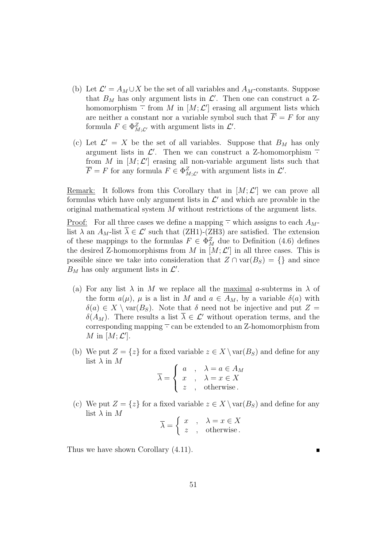- (b) Let  $\mathcal{L}' = A_M \cup X$  be the set of all variables and  $A_M$ -constants. Suppose that  $B_M$  has only argument lists in  $\mathcal{L}'$ . Then one can construct a Zhomomorphism  $\overline{\cdot}$  from M in  $[M; \mathcal{L}']$  erasing all argument lists which are neither a constant nor a variable symbol such that  $\overline{F} = F$  for any formula  $F \in \Phi_{M; \mathcal{L}'}^Z$  with argument lists in  $\mathcal{L}'$ .
- (c) Let  $\mathcal{L}' = X$  be the set of all variables. Suppose that  $B_M$  has only argument lists in  $\mathcal{L}'$ . Then we can construct a Z-homomorphism  $\overline{\cdot}$ from M in  $[M; \mathcal{L}']$  erasing all non-variable argument lists such that  $\overline{F} = F$  for any formula  $F \in \Phi_{M;\mathcal{L}'}^Z$  with argument lists in  $\mathcal{L}'$ .

Remark: It follows from this Corollary that in  $[M; \mathcal{L}']$  we can prove all formulas which have only argument lists in  $\mathcal{L}'$  and which are provable in the original mathematical system M without restrictions of the argument lists.

<u>Proof:</u> For all three cases we define a mapping  $\overline{\cdot}$  which assigns to each  $A_M$ list  $\lambda$  an  $A_M$ -list  $\overline{\lambda} \in \mathcal{L}'$  such that (ZH1)-(ZH3) are satisfied. The extension of these mappings to the formulas  $F \in \Phi_M^Z$  due to Definition (4.6) defines the desired Z-homomorphisms from M in  $[M; \mathcal{L}']$  in all three cases. This is possible since we take into consideration that  $Z \cap \text{var}(B_S) = \{\}\$  and since  $B_M$  has only argument lists in  $\mathcal{L}'$ .

- (a) For any list  $\lambda$  in M we replace all the maximal a-subterms in  $\lambda$  of the form  $a(\mu)$ ,  $\mu$  is a list in M and  $a \in A_M$ , by a variable  $\delta(a)$  with  $\delta(a) \in X \setminus \text{var}(B_S)$ . Note that  $\delta$  need not be injective and put  $Z =$  $\delta(A_M)$ . There results a list  $\overline{\lambda} \in \mathcal{L}'$  without operation terms, and the corresponding mapping  $\overline{\cdot}$  can be extended to an Z-homomorphism from M in  $[M; \mathcal{L}']$ .
- (b) We put  $Z = \{z\}$  for a fixed variable  $z \in X \setminus \text{var}(B_S)$  and define for any list  $\lambda$  in  $M$

$$
\overline{\lambda} = \begin{cases}\n a & , \quad \lambda = a \in A_M \\
 x & , \quad \lambda = x \in X \\
 z & , \quad \text{otherwise.} \n\end{cases}
$$

(c) We put  $Z = \{z\}$  for a fixed variable  $z \in X \setminus \text{var}(B_S)$  and define for any list  $\lambda$  in  $M$ 

$$
\overline{\lambda} = \left\{ \begin{array}{ll} x & , & \lambda = x \in X \\ z & , & \text{otherwise.} \end{array} \right.
$$

Thus we have shown Corollary (4.11).

51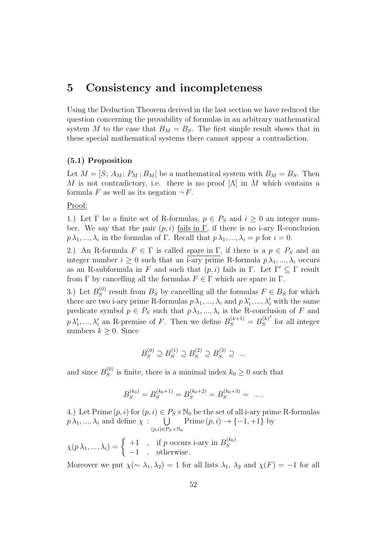### 5 Consistency and incompleteness

Using the Deduction Theorem derived in the last section we have reduced the question concerning the provability of formulas in an arbitrary mathematical system M to the case that  $B_M = B_S$ . The first simple result shows that in these special mathematical systems there cannot appear a contradiction.

#### (5.1) Proposition

Let  $M = [S; A_M; P_M; B_M]$  be a mathematical system with  $B_M = B_S$ . Then M is not contradictory, i.e. there is no proof  $[\Lambda]$  in M which contains a formula F as well as its negation  $\neg F$ .

Proof:

1.) Let  $\Gamma$  be a finite set of R-formulas,  $p \in P_S$  and  $i \geq 0$  an integer number. We say that the pair  $(p, i)$  fails in Γ, if there is no i-ary R-conclusion  $p \lambda_1, ..., \lambda_i$  in the formulas of  $\Gamma$ . Recall that  $p \lambda_1, ..., \lambda_i = p$  for  $i = 0$ .

2.) An R-formula  $F \in \Gamma$  is called spare in  $\Gamma$ , if there is a  $p \in P_S$  and an integer number  $i \geq 0$  such that an i-ary prime R-formula  $p \lambda_1, ..., \lambda_i$  occurs as an R-subformula in F and such that  $(p, i)$  fails in Γ. Let  $\Gamma' \subseteq \Gamma$  result from  $\Gamma$  by cancelling all the formulas  $F \in \Gamma$  which are spare in  $\Gamma$ .

3.) Let  $B_S^{(0)}$  $S^{(0)}$  result from  $B_S$  by cancelling all the formulas  $F \in B_S$  for which there are two i-ary prime R-formulas  $p \lambda_1, ..., \lambda_i$  and  $p \lambda'_1, ..., \lambda'_i$  with the same predicate symbol  $p \in P_S$  such that  $p \lambda_1, ..., \lambda_i$  is the R-conclusion of F and  $p \lambda'_1, ..., \lambda'_i$  an R-premise of F. Then we define  $B_S^{(k+1)} = B_S^{(k)}$ S ′ for all integer numbers  $k > 0$ . Since

$$
B_S^{(0)} \supseteq B_S^{(1)} \supseteq B_S^{(2)} \supseteq B_S^{(3)} \supseteq \dots
$$

and since  $B_S^{(0)}$  $s^{(0)}$  is finite, there is a minimal index  $k_0 \geq 0$  such that

$$
B_S^{(k_0)} = B_S^{(k_0+1)} = B_S^{(k_0+2)} = B_S^{(k_0+3)} = \dots.
$$

4.) Let Prime  $(p, i)$  for  $(p, i) \in P_S \times \mathbb{N}_0$  be the set of all i-ary prime R-formulas  $p \lambda_1, ..., \lambda_i$  and define  $\chi$ :  $\bigcup$  Prime  $(p, i) \to \{-1, +1\}$  by  $(p,i) \in P_S \times \mathbb{N}_0$ 

 $\chi(p \lambda_1, ..., \lambda_i) = \begin{cases} +1, & \text{if } p \text{ occurs i-ary in } B_S^{(k_0)} \end{cases}$ S −1 , otherwise .

Moreover we put  $\chi(\sim \lambda_1, \lambda_2) = 1$  for all lists  $\lambda_1, \lambda_2$  and  $\chi(F) = -1$  for all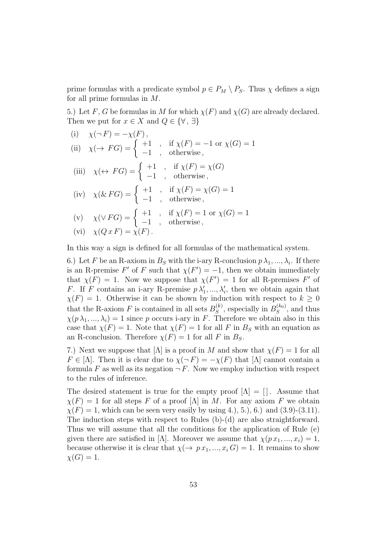prime formulas with a predicate symbol  $p \in P_M \setminus P_S$ . Thus  $\chi$  defines a sign for all prime formulas in M.

5.) Let F, G be formulas in M for which  $\chi(F)$  and  $\chi(G)$  are already declared. Then we put for  $x \in X$  and  $Q \in \{\forall, \exists\}$ 

(i) 
$$
\chi(\neg F) = -\chi(F)
$$
,  
\n(ii)  $\chi(\rightarrow FG) = \begin{cases} +1 \\ -1 \end{cases}$ , if  $\chi(F) = -1$  or  $\chi(G) = 1$   
\n(iii)  $\chi(\leftrightarrow FG) = \begin{cases} +1 \\ -1 \end{cases}$ , otherwise,  
\n(iv)  $\chi(\& FG) = \begin{cases} +1 \\ -1 \end{cases}$ , if  $\chi(F) = \chi(G)$   
\n(v)  $\chi(\& FG) = \begin{cases} +1 \\ -1 \end{cases}$ , otherwise,  
\n(v)  $\chi(\lor FG) = \begin{cases} +1 \\ -1 \end{cases}$ , if  $\chi(F) = 1$  or  $\chi(G) = 1$   
\n(vi)  $\chi(Q \, x \, F) = \chi(F)$ .

In this way a sign is defined for all formulas of the mathematical system.

6.) Let F be an R-axiom in  $B_s$  with the i-ary R-conclusion  $p \lambda_1, ..., \lambda_i$ . If there is an R-premise F' of F such that  $\chi(F') = -1$ , then we obtain immediately that  $\chi(F) = 1$ . Now we suppose that  $\chi(F') = 1$  for all R-premises F' of F. If F contains an i-ary R-premise  $p\lambda'_1, ..., \lambda'_i$ , then we obtain again that  $\chi(F) = 1$ . Otherwise it can be shown by induction with respect to  $k \geq 0$ that the R-axiom F is contained in all sets  $B_S^{(k)}$  $S<sub>S</sub><sup>(k<sub>0</sub>)</sup>$ , especially in  $B<sub>S</sub><sup>(k<sub>0</sub>)</sup>$  $S^{(\kappa_0)}$ , and thus  $\chi(p \lambda_1, ..., \lambda_i) = 1$  since p occurs i-ary in F. Therefore we obtain also in this case that  $\chi(F) = 1$ . Note that  $\chi(F) = 1$  for all F in  $B<sub>S</sub>$  with an equation as an R-conclusion. Therefore  $\chi(F) = 1$  for all F in  $B_S$ .

7.) Next we suppose that  $[\Lambda]$  is a proof in M and show that  $\chi(F) = 1$  for all  $F \in [\Lambda]$ . Then it is clear due to  $\chi(\neg F) = -\chi(F)$  that  $[\Lambda]$  cannot contain a formula F as well as its negation  $\neg F$ . Now we employ induction with respect to the rules of inference.

The desired statement is true for the empty proof  $[\Lambda] = [$ . Assume that  $\chi(F) = 1$  for all steps F of a proof  $[\Lambda]$  in M. For any axiom F we obtain  $\chi(F) = 1$ , which can be seen very easily by using 4., 5., 6. and (3.9)-(3.11). The induction steps with respect to Rules (b)-(d) are also straightforward. Thus we will assume that all the conditions for the application of Rule (e) given there are satisfied in [ $\Lambda$ ]. Moreover we assume that  $\chi(p x_1, ..., x_i) = 1$ , because otherwise it is clear that  $\chi(\rightarrow px_1,...,x_i) = 1$ . It remains to show  $\chi(G) = 1.$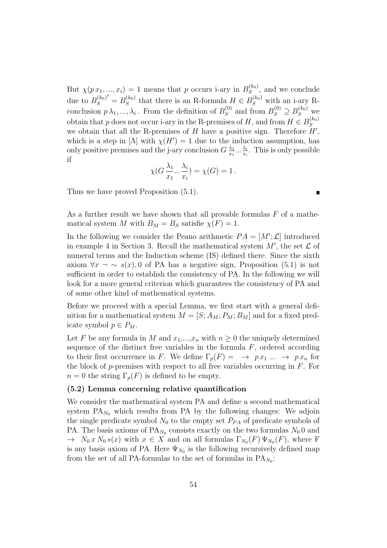But  $\chi(p x_1, ..., x_i) = 1$  means that p occurs i-ary in  $B_S^{(k_0)}$  $S^{(\kappa_0)}$ , and we conclude due to  $B_S^{(k_0)}$ S  $\sigma' = B_S^{(k_0)}$  $S<sub>S</sub><sup>(k<sub>0</sub>)</sup>$  that there is an R-formula  $H \in B<sub>S</sub><sup>(k<sub>0</sub>)</sup>$  with an i-ary Rconclusion  $p\lambda_1, ..., \lambda_i$ . From the definition of  $B_S^{(0)}$  $S^{(0)}$  and from  $B_S^{(0)} \supseteq B_S^{(k_0)}$  we obtain that p does not occur i-ary in the R-premises of H, and from  $H \in B_S^{(k_0)}$ S we obtain that all the R-premises of H have a positive sign. Therefore  $H'$ , which is a step in [ $\Lambda$ ] with  $\chi(H') = 1$  due to the induction assumption, has only positive premises and the j-ary conclusion  $G\frac{\lambda_1}{r_1}$  $\frac{\lambda_1}{x_1}...\frac{\lambda_i}{x_i}$  $\frac{\lambda_i}{x_i}$ . This is only possible if

$$
\chi(G\frac{\lambda_1}{x_1}...\frac{\lambda_i}{x_i}) = \chi(G) = 1.
$$

Thus we have proved Proposition (5.1).

As a further result we have shown that all provable formulas  $F$  of a mathematical system M with  $B_M = B_S$  satisfie  $\chi(F) = 1$ .

In the following we consider the Peano arithmetic  $PA = [M';\mathcal{L}]$  introduced in example 4 in Section 3. Recall the mathematical system  $M'$ , the set  $\mathcal L$  of numeral terms and the Induction scheme (IS) defined there. Since the sixth axiom  $\forall x \neg \sim s(x)$ , 0 of PA has a negative sign, Proposition (5.1) is not sufficient in order to establish the consistency of PA. In the following we will look for a more general criterion which guarantees the consistency of PA and of some other kind of mathematical systems.

Before we proceed with a special Lemma, we first start with a general definition for a mathematical system  $M = [S; A_M; P_M; B_M]$  and for a fixed predicate symbol  $p \in P_M$ .

Let F be any formula in M and  $x_1,...,x_n$  with  $n \geq 0$  the uniquely determined sequence of the distinct free variables in the formula  $F$ , ordered according to their first occurrence in F. We define  $\Gamma_p(F) = \rightarrow px_1 \dots \rightarrow px_n$  for the block of  $p$ -premises with respect to all free variables occurring in  $F$ . For  $n = 0$  the string  $\Gamma_p(F)$  is defined to be empty.

#### (5.2) Lemma concerning relative quantification

We consider the mathematical system PA and define a second mathematical system  $PA_{N_0}$  which results from PA by the following changes: We adjoin the single predicate symbol  $N_0$  to the empty set  $P_{PA}$  of predicate symbols of PA. The basis axioms of  $PA_{N_0}$  consists exactly on the two formulas  $N_0$  0 and  $\rightarrow N_0 x N_0 s(x)$  with  $x \in X$  and on all formulas  $\Gamma_{N_0}(F) \Psi_{N_0}(F)$ , where F is any basis axiom of PA. Here  $\Psi_{N_0}$  is the following recursively defined map from the set of all PA-formulas to the set of formulas in  $PA_{N_0}$ :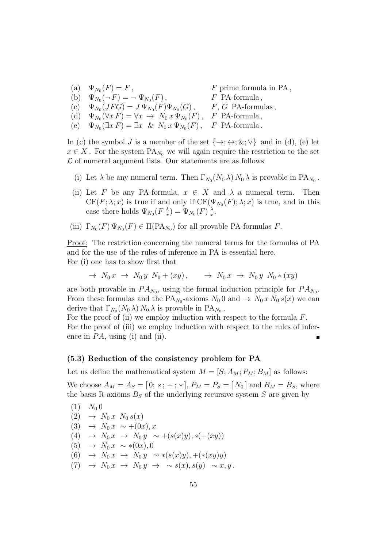(a)  $\Psi_{N_0}(F) = F$ ,  $F$  prime formula in PA, (b)  $\Psi_{N_0}(\neg F) = \neg \Psi_{N_0}$  $F$  PA-formula, (c)  $\Psi_{N_0}(JFG) = J \Psi_{N_0}(F) \Psi_{N_0}(G)$ , F, G PA-formulas, (d)  $\Psi_{N_0}(\forall x F) = \forall x \to N_0 x \Psi_{N_0}(F)$ , F PA-formula, (e)  $\Psi_{N_0}(\exists x F) = \exists x \& N_0 x \Psi_{N_0}(F)$ , F PA-formula.

In (c) the symbol J is a member of the set  $\{\rightarrow; \leftrightarrow; \&; \vee\}$  and in (d), (e) let  $x \in X$ . For the system  $\text{PA}_{N_0}$  we will again require the restriction to the set  $\mathcal L$  of numeral argument lists. Our statements are as follows

- (i) Let  $\lambda$  be any numeral term. Then  $\Gamma_{N_0}(N_0 \lambda) N_0 \lambda$  is provable in PA<sub>N<sub>0</sub></sub>.
- (ii) Let F be any PA-formula,  $x \in X$  and  $\lambda$  a numeral term. Then  $CF(F; \lambda; x)$  is true if and only if  $CF(\Psi_{N_0}(F); \lambda; x)$  is true, and in this case there holds  $\Psi_{N_0}(F\frac{\lambda}{x})$  $(\frac{\lambda}{x})=\Psi_{N_0}(F)\,\frac{\lambda}{x}$  $\frac{\lambda}{x}$ .
- (iii)  $\Gamma_{N_0}(F) \Psi_{N_0}(F) \in \Pi(\text{PA}_{N_0})$  for all provable PA-formulas F.

Proof: The restriction concerning the numeral terms for the formulas of PA and for the use of the rules of inference in PA is essential here. For (i) one has to show first that

$$
\rightarrow N_0 x \rightarrow N_0 y N_0 + (xy), \rightarrow N_0 x \rightarrow N_0 y N_0 * (xy)
$$

are both provable in  $PA_{N_0}$ , using the formal induction principle for  $PA_{N_0}$ . From these formulas and the PA<sub>N<sub>0</sub></sub>-axioms  $N_0$  0 and  $\rightarrow N_0 x N_0 s(x)$  we can derive that  $\Gamma_{N_0}(N_0 \lambda) N_0 \lambda$  is provable in PA<sub>N<sub>0</sub></sub>.

For the proof of (ii) we employ induction with respect to the formula  $F$ . For the proof of (iii) we employ induction with respect to the rules of inference in  $PA$ , using (i) and (ii).

#### (5.3) Reduction of the consistency problem for PA

Let us define the mathematical system  $M = [S; A_M; P_M; B_M]$  as follows:

We choose  $A_M = A_S = [0; s; +; *], P_M = P_S = [N_0]$  and  $B_M = B_S$ , where the basis R-axioms  $B<sub>S</sub>$  of the underlying recursive system S are given by

(1) 
$$
N_0 0
$$
  
\n(2)  $\rightarrow N_0 x N_0 s(x)$   
\n(3)  $\rightarrow N_0 x \sim +(0x), x$   
\n(4)  $\rightarrow N_0 x \rightarrow N_0 y \sim +(s(x)y), s(+(xy))$   
\n(5)  $\rightarrow N_0 x \sim *(0x), 0$   
\n(6)  $\rightarrow N_0 x \rightarrow N_0 y \sim *(s(x)y), +(*(xy)y)$   
\n(7)  $\rightarrow N_0 x \rightarrow N_0 y \rightarrow \sim s(x), s(y) \sim x, y$ .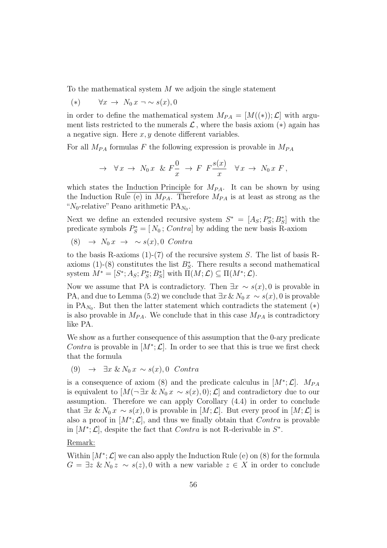To the mathematical system M we adjoin the single statement

(\*)  $\forall x \rightarrow N_0 \ x \neg \sim s(x), 0$ 

in order to define the mathematical system  $M_{PA} = [M((*)); \mathcal{L}]$  with argument lists restricted to the numerals  $\mathcal{L}$ , where the basis axiom (\*) again has a negative sign. Here  $x, y$  denote different variables.

For all  $M_{PA}$  formulas F the following expression is provable in  $M_{PA}$ 

$$
\rightarrow \forall x \rightarrow N_0 x \& F\frac{0}{x} \rightarrow F F \frac{s(x)}{x} \forall x \rightarrow N_0 x F,
$$

which states the Induction Principle for  $M_{PA}$ . It can be shown by using the Induction Rule (e) in  $M_{PA}$ . Therefore  $M_{PA}$  is at least as strong as the " $N_0$ -relative" Peano arithmetic PA<sub>N<sub>0</sub></sub>.

Next we define an extended recursive system  $S^* = [A_S; P_S^*]$  $S^*$ ;  $B^*_S$ ] with the predicate symbols  $P_S^* = [N_0; Control]$  by adding the new basis R-axiom

(8)  $\rightarrow N_0 x \rightarrow \sim s(x), 0$  Contra

to the basis R-axioms  $(1)-(7)$  of the recursive system S. The list of basis Raxioms (1)-(8) constitutes the list  $B_{\mathcal{S}}^*$ . There results a second mathematical system  $M^* = [S^*; A_S; P_S^*]$  $(S^*; B^*_S]$  with  $\Pi(M; \mathcal{L}) \subseteq \Pi(M^*; \mathcal{L}).$ 

Now we assume that PA is contradictory. Then  $\exists x \sim s(x)$ , 0 is provable in PA, and due to Lemma (5.2) we conclude that  $\exists x \& N_0 x \sim s(x)$ , 0 is provable in  $PA_{N_0}$ . But then the latter statement which contradicts the statement  $(*)$ is also provable in  $M_{PA}$ . We conclude that in this case  $M_{PA}$  is contradictory like PA.

We show as a further consequence of this assumption that the 0-ary predicate Contra is provable in  $[M^*; \mathcal{L}]$ . In order to see that this is true we first check that the formula

$$
(9) \rightarrow \exists x \& N_0 x \sim s(x), 0 \quad \text{Contra}
$$

is a consequence of axiom (8) and the predicate calculus in  $[M^*; \mathcal{L}]$ .  $M_{PA}$ is equivalent to  $[M(\neg \exists x \& N_0 x \sim s(x), 0); \mathcal{L}]$  and contradictory due to our assumption. Therefore we can apply Corollary (4.4) in order to conclude that  $\exists x \& N_0 x \sim s(x)$ , 0 is provable in  $[M; \mathcal{L}]$ . But every proof in  $[M; \mathcal{L}]$  is also a proof in  $[M^*; \mathcal{L}]$ , and thus we finally obtain that *Contra* is provable in  $[M^*; \mathcal{L}]$ , despite the fact that *Contra* is not R-derivable in  $S^*$ .

#### Remark:

Within  $[M^*; \mathcal{L}]$  we can also apply the Induction Rule (e) on (8) for the formula  $G = \exists z \& N_0 z \sim s(z)$ , 0 with a new variable  $z \in X$  in order to conclude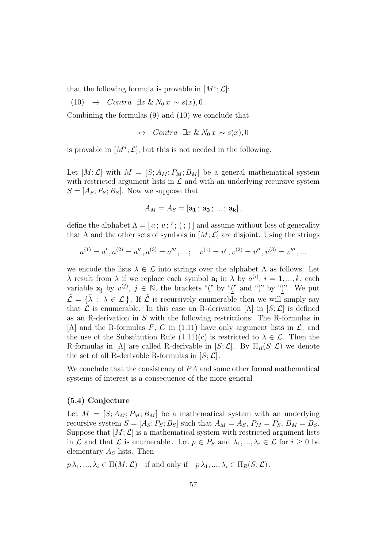that the following formula is provable in  $[M^*; \mathcal{L}]$ :

(10)  $\rightarrow$  Contra  $\exists x \& N_0 x \sim s(x), 0$ .

Combining the formulas (9) and (10) we conclude that

$$
\leftrightarrow\quad \textit{Contra} \ \exists x \ \& \ N_0 \ x \sim s(x), 0
$$

is provable in  $[M^*; \mathcal{L}]$ , but this is not needed in the following.

Let  $[M; \mathcal{L}]$  with  $M = [S; A_M; P_M; B_M]$  be a general mathematical system with restricted argument lists in  $\mathcal L$  and with an underlying recursive system  $S = [A<sub>S</sub>; P<sub>S</sub>; B<sub>S</sub>]$ . Now we suppose that

$$
A_M=A_S=[\mathbf{a_1}\,;\,\mathbf{a_2}\,;\,\ldots\,;\,\mathbf{a_k}]\,,
$$

define the alphabet  $\Lambda = [a; v; '; ( ; )]$  and assume without loss of generality that  $\Lambda$  and the other sets of symbols in  $[M; \mathcal{L}]$  are disjoint. Using the strings

$$
a^{(1)} = a', a^{(2)} = a'', a^{(3)} = a''', \dots; \quad v^{(1)} = v', v^{(2)} = v'', v^{(3)} = v'''', \dots
$$

we encode the lists  $\lambda \in \mathcal{L}$  into strings over the alphabet  $\Lambda$  as follows: Let  $\tilde{\lambda}$  result from  $\lambda$  if we replace each symbol  $a_i$  in  $\lambda$  by  $a^{(i)}$ ,  $i = 1, ..., k$ , each variable  $x_j$  by  $v^{(j)}$ ,  $j \in \mathbb{N}$ , the brackets "(" by "(" and ")" by ")". We put  $\tilde{\mathcal{L}} = {\tilde{\lambda} : \lambda \in \mathcal{L}}$ . If  $\tilde{\mathcal{L}}$  is recursively enumerable then we will simply say that  $\mathcal L$  is enumerable. In this case an R-derivation  $[\Lambda]$  in  $[S; \mathcal L]$  is defined as an R-derivation in S with the following restrictions: The R-formulas in [ $\Lambda$ ] and the R-formulas F, G in (1.11) have only argument lists in  $\mathcal{L}$ , and the use of the Substitution Rule  $(1.11)(c)$  is restricted to  $\lambda \in \mathcal{L}$ . Then the R-formulas in [ $\Lambda$ ] are called R-derivable in [ $S; \mathcal{L}$ ]. By  $\Pi_R(S; \mathcal{L})$  we denote the set of all R-derivable R-formulas in  $[S; \mathcal{L}]$ .

We conclude that the consistency of  $PA$  and some other formal mathematical systems of interest is a consequence of the more general

#### (5.4) Conjecture

Let  $M = [S; A_M; P_M; B_M]$  be a mathematical system with an underlying recursive system  $S = [A_S; P_S; B_S]$  such that  $A_M = A_S$ ,  $P_M = P_S$ ,  $B_M = B_S$ . Suppose that  $[M; \mathcal{L}]$  is a mathematical system with restricted argument lists in  $\mathcal L$  and that  $\mathcal L$  is enumerable. Let  $p \in P_S$  and  $\lambda_1, ..., \lambda_i \in \mathcal L$  for  $i \geq 0$  be elementary  $A<sub>S</sub>$ -lists. Then

 $p \lambda_1, ..., \lambda_i \in \Pi(M; \mathcal{L})$  if and only if  $p \lambda_1, ..., \lambda_i \in \Pi_R(S; \mathcal{L})$ .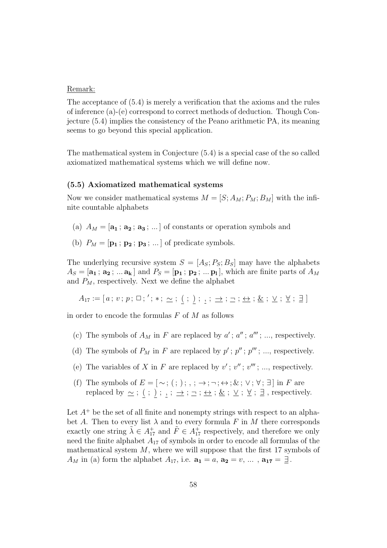#### Remark:

The acceptance of (5.4) is merely a verification that the axioms and the rules of inference (a)-(e) correspond to correct methods of deduction. Though Conjecture (5.4) implies the consistency of the Peano arithmetic PA, its meaning seems to go beyond this special application.

The mathematical system in Conjecture (5.4) is a special case of the so called axiomatized mathematical systems which we will define now.

#### (5.5) Axiomatized mathematical systems

Now we consider mathematical systems  $M = [S; A_M; P_M; B_M]$  with the infinite countable alphabets

- (a)  $A_M = [\mathbf{a_1}; \mathbf{a_2}; \mathbf{a_3}; \dots]$  of constants or operation symbols and
- (b)  $P_M = [\mathbf{p_1} ; \mathbf{p_2} ; \mathbf{p_3} ; \dots]$  of predicate symbols.

The underlying recursive system  $S = [A<sub>S</sub>; P<sub>S</sub>; B<sub>S</sub>]$  may have the alphabets  $A_S = [\mathbf{a_1} \,; \, \mathbf{a_2} \,; \, ... \, \mathbf{a_k}]$  and  $P_S = [\mathbf{p_1} \,; \, \mathbf{p_2} \,; \, ... \, \mathbf{p_l}]$ , which are finite parts of  $A_M$ and  $P_M$ , respectively. Next we define the alphabet

 $A_{17} := [a; v; p; \Box; ',; *, \sim; ( ; ) ; , ; \underline{\rightarrow} ; \underline{\rightarrow} ; \underline{\&} ; \underline{\vee} ; \underline{\forall} ; \exists ]$ 

in order to encode the formulas  $F$  of  $M$  as follows

- (c) The symbols of  $A_M$  in F are replaced by  $a'$ ;  $a''$ ;  $a'''$ ; ..., respectively.
- (d) The symbols of  $P_M$  in F are replaced by  $p'$ ;  $p''$ ;  $p'''$ ; ..., respectively.
- (e) The variables of X in F are replaced by  $v'$ ;  $v''$ ;  $v'''$ ; ..., respectively.
- (f) The symbols of  $E = [\sim; , ;);$ ;  $\rightarrow; \neg; \leftrightarrow; \&; \vee; \forall; \exists$  in F are replaced by  $\sim$ ; (; );,;  $\to$ ;  $\sim$ ;  $\sim$ ;  $\&$ ;  $\vee$ ; ∀; ∃, respectively.

Let  $A^+$  be the set of all finite and nonempty strings with respect to an alphabet A. Then to every list  $\lambda$  and to every formula F in M there corresponds exactly one string  $\tilde{\lambda} \in A_{17}^+$  and  $\tilde{F} \in A_{17}^+$  respectively, and therefore we only need the finite alphabet  $A_{17}$  of symbols in order to encode all formulas of the mathematical system  $M$ , where we will suppose that the first 17 symbols of  $A_M$  in (a) form the alphabet  $A_{17}$ , i.e.  $\mathbf{a_1} = a$ ,  $\mathbf{a_2} = v$ , ...,  $\mathbf{a_{17}} = \mathbf{\underline{1}}$ .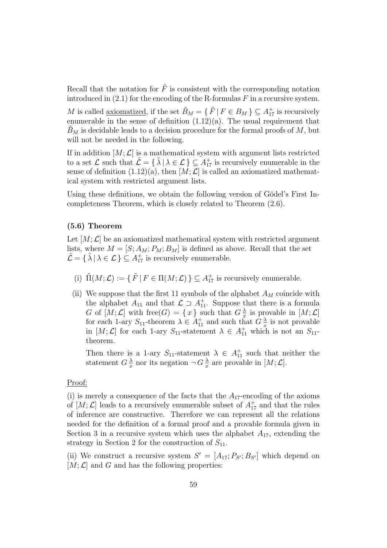Recall that the notation for  $\tilde{F}$  is consistent with the corresponding notation introduced in  $(2.1)$  for the encoding of the R-formulas F in a recursive system.

M is called <u>axiomatized</u>, if the set  $\tilde{B}_M = \{ \tilde{F} \mid F \in B_M \} \subseteq A_{17}^+$  is recursively enumerable in the sense of definition  $(1.12)(a)$ . The usual requirement that  $B_M$  is decidable leads to a decision procedure for the formal proofs of  $M$ , but will not be needed in the following.

If in addition  $[M; \mathcal{L}]$  is a mathematical system with argument lists restricted to a set  $\mathcal L$  such that  $\tilde{\mathcal L} = \{\tilde\lambda \mid \lambda \in \mathcal L\} \subseteq A_{17}^+$  is recursively enumerable in the sense of definition  $(1.12)(a)$ , then  $[M; \mathcal{L}]$  is called an axiomatized mathematical system with restricted argument lists.

Using these definitions, we obtain the following version of Gödel's First Incompleteness Theorem, which is closely related to Theorem (2.6).

#### (5.6) Theorem

Let  $[M; \mathcal{L}]$  be an axiomatized mathematical system with restricted argument lists, where  $M = [S; A_M; P_M; B_M]$  is defined as above. Recall that the set  $\tilde{\mathcal{L}} = \{ \tilde{\lambda} \mid \lambda \in \mathcal{L} \} \subseteq A_{17}^{+}$  is recursively enumerable.

- (i)  $\tilde{\Pi}(M; \mathcal{L}) := \{ \tilde{F} \mid F \in \Pi(M; \mathcal{L}) \} \subseteq A_{17}^{+}$  is recursively enumerable.
- (ii) We suppose that the first 11 symbols of the alphabet  $A_M$  coincide with the alphabet  $A_{11}$  and that  $\mathcal{L} \supset A_{11}^+$ . Suppose that there is a formula G of  $[M; \mathcal{L}]$  with free(G) = {x} such that  $G \frac{\lambda}{r}$  $\frac{\lambda}{x}$  is provable in  $[M; \mathcal{L}]$ for each 1-ary  $S_{11}$ -theorem  $\lambda \in A_{11}^+$  and such that  $G\frac{\lambda}{x}$  $\frac{\lambda}{x}$  is not provable in  $[M; \mathcal{L}]$  for each 1-ary  $S_{11}$ -statement  $\lambda \in A_{11}^+$  which is not an  $S_{11}$ theorem.

Then there is a 1-ary  $S_{11}$ -statement  $\lambda \in A_{11}^+$  such that neither the statement  $G\frac{\lambda}{r}$  $\frac{\lambda}{x}$  nor its negation  $\neg G \frac{\lambda}{x}$  $\frac{\lambda}{x}$  are provable in  $[M; \mathcal{L}]$ .

#### Proof:

(i) is merely a consequence of the facts that the  $A_{17}$ -encoding of the axioms of  $[M; \mathcal{L}]$  leads to a recursively enumerable subset of  $A_{17}^+$  and that the rules of inference are constructive. Therefore we can represent all the relations needed for the definition of a formal proof and a provable formula given in Section 3 in a recursive system which uses the alphabet  $A_{17}$ , extending the strategy in Section 2 for the construction of  $S_{11}$ .

(ii) We construct a recursive system  $S' = [A_{17}; P_{S'}; B_{S'}]$  which depend on  $[M; \mathcal{L}]$  and G and has the following properties: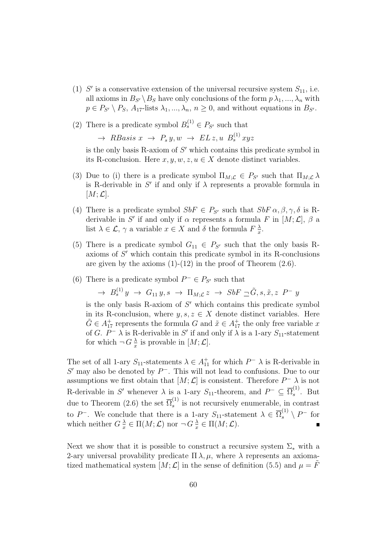- (1)  $S'$  is a conservative extension of the universal recursive system  $S_{11}$ , i.e. all axioms in  $B_{S'} \setminus B_S$  have only conclusions of the form  $p \lambda_1, ..., \lambda_n$  with  $p \in P_{S'} \setminus P_S$ ,  $A_{17}$ -lists  $\lambda_1, ..., \lambda_n$ ,  $n \geq 0$ , and without equations in  $B_{S'}$ .
- (2) There is a predicate symbol  $B_s^{(1)} \in P_{S'}$  such that

 $\rightarrow$  RBasis  $x \rightarrow P_s y, w \rightarrow EL z, u B_s^{(1)} xyz$ 

is the only basis R-axiom of  $S'$  which contains this predicate symbol in its R-conclusion. Here  $x, y, w, z, u \in X$  denote distinct variables.

- (3) Due to (i) there is a predicate symbol  $\Pi_{M;\mathcal{L}} \in P_{S'}$  such that  $\Pi_{M;\mathcal{L}} \lambda$ is R-derivable in  $S'$  if and only if  $\lambda$  represents a provable formula in  $[M; \mathcal{L}].$
- (4) There is a predicate symbol  $SbF \in P_{S'}$  such that  $SbF \alpha, \beta, \gamma, \delta$  is Rderivable in S' if and only if  $\alpha$  represents a formula F in  $[M; \mathcal{L}]$ ,  $\beta$  a list  $\lambda \in \mathcal{L}$ ,  $\gamma$  a variable  $x \in X$  and  $\delta$  the formula  $F\frac{\lambda}{x}$  $\frac{\lambda}{x}$ .
- (5) There is a predicate symbol  $G_{11} \in P_{S'}$  such that the only basis Raxioms of  $S'$  which contain this predicate symbol in its R-conclusions are given by the axioms  $(1)-(12)$  in the proof of Theorem  $(2.6)$ .
- (6) There is a predicate symbol  $P^- \in P_{S'}$  such that

$$
\rightarrow B_s^{(1)}y \rightarrow G_{11}y, s \rightarrow \Pi_{M;\mathcal{L}}z \rightarrow SbF \sqsupseteq \tilde{G}, s, \tilde{x}, z \ P^- y
$$

is the only basis R-axiom of  $S'$  which contains this predicate symbol in its R-conclusion, where  $y, s, z \in X$  denote distinct variables. Here  $\tilde{G} \in A_{17}^+$  represents the formula G and  $\tilde{x} \in A_{17}^+$  the only free variable x of G.  $P^- \lambda$  is R-derivable in S' if and only if  $\lambda$  is a 1-ary  $S_{11}$ -statement for which  $\neg G \frac{\lambda}{r}$  $\frac{\lambda}{x}$  is provable in  $[M; \mathcal{L}]$ .

The set of all 1-ary  $S_{11}$ -statements  $\lambda \in A_{11}^+$  for which  $P^- \lambda$  is R-derivable in  $S'$  may also be denoted by  $P^-$ . This will not lead to confusions. Due to our assumptions we first obtain that  $[M; \mathcal{L}]$  is consistent. Therefore  $P^- \lambda$  is not R-derivable in S' whenever  $\lambda$  is a 1-ary  $S_{11}$ -theorem, and  $P^- \subseteq \overline{\Omega}_s^{(1)}$  $s^{\prime\prime}$ . But due to Theorem (2.6) the set  $\overline{\Omega}_s^{(1)}$  $s<sup>(1)</sup>$  is not recursively enumerable, in contrast to P<sup>-</sup>. We conclude that there is a 1-ary  $S_{11}$ -statement  $\lambda \in \overline{\Omega}_s^{(1)} \setminus P^-$  for which neither  $G\frac{\lambda}{r}$  $\frac{\lambda}{x} \in \Pi(M; \mathcal{L})$  nor  $\neg G \frac{\lambda}{x}$  $\frac{\lambda}{x} \in \Pi(M; \mathcal{L}).$ 

Next we show that it is possible to construct a recursive system  $\Sigma_*$  with a 2-ary universal provability predicate  $\Pi \lambda, \mu$ , where  $\lambda$  represents an axiomatized mathematical system  $[M; \mathcal{L}]$  in the sense of definition (5.5) and  $\mu = F$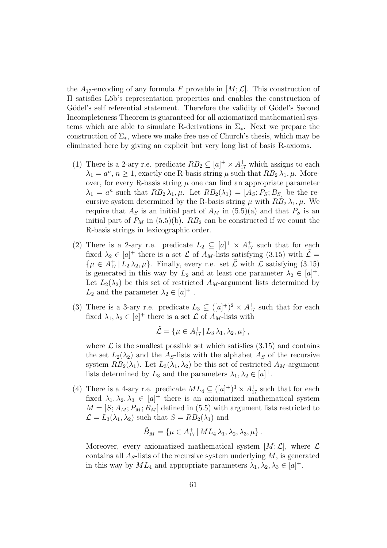the  $A_{17}$ -encoding of any formula F provable in  $[M; \mathcal{L}]$ . This construction of Π satisfies L¨ob's representation properties and enables the construction of Gödel's self referential statement. Therefore the validity of Gödel's Second Incompleteness Theorem is guaranteed for all axiomatized mathematical systems which are able to simulate R-derivations in  $\Sigma_{\ast}$ . Next we prepare the construction of  $\Sigma_*$ , where we make free use of Church's thesis, which may be eliminated here by giving an explicit but very long list of basis R-axioms.

- (1) There is a 2-ary r.e. predicate  $RB_2 \subseteq [a]^+ \times A_{17}^+$  which assigns to each  $\lambda_1 = a^n, n \ge 1$ , exactly one R-basis string  $\mu$  such that  $RB_2 \lambda_1, \mu$ . Moreover, for every R-basis string  $\mu$  one can find an appropriate parameter  $\lambda_1 = a^n$  such that  $RB_2 \lambda_1, \mu$ . Let  $RB_2(\lambda_1) = [A_S; P_S; B_S]$  be the recursive system determined by the R-basis string  $\mu$  with  $RB_2 \lambda_1, \mu$ . We require that  $A<sub>S</sub>$  is an initial part of  $A<sub>M</sub>$  in (5.5)(a) and that  $P<sub>S</sub>$  is an initial part of  $P_M$  in (5.5)(b).  $RB_2$  can be constructed if we count the R-basis strings in lexicographic order.
- (2) There is a 2-ary r.e. predicate  $L_2 \subseteq [a]^+ \times A_{17}^+$  such that for each fixed  $\lambda_2 \in [a]^+$  there is a set  $\mathcal L$  of  $A_M$ -lists satisfying (3.15) with  $\tilde{\mathcal L} =$  $\{\mu \in A_{17}^+ \mid L_2 \lambda_2, \mu\}$ . Finally, every r.e. set  $\tilde{\mathcal{L}}$  with  $\mathcal{L}$  satisfying (3.15) is generated in this way by  $L_2$  and at least one parameter  $\lambda_2 \in [a]^+$ . Let  $L_2(\lambda_2)$  be this set of restricted  $A_M$ -argument lists determined by  $L_2$  and the parameter  $\lambda_2 \in [a]^+$ .
- (3) There is a 3-ary r.e. predicate  $L_3 \subseteq (a)^+)^2 \times A_{17}^+$  such that for each fixed  $\lambda_1, \lambda_2 \in [a]^+$  there is a set  $\mathcal L$  of  $A_M$ -lists with

$$
\tilde{\mathcal{L}} = \{ \mu \in A_{17}^+ \,|\, L_3 \lambda_1, \lambda_2, \mu \},\
$$

where  $\mathcal L$  is the smallest possible set which satisfies  $(3.15)$  and contains the set  $L_2(\lambda_2)$  and the A<sub>S</sub>-lists with the alphabet A<sub>S</sub> of the recursive system  $RB_2(\lambda_1)$ . Let  $L_3(\lambda_1, \lambda_2)$  be this set of restricted  $A_M$ -argument lists determined by  $L_3$  and the parameters  $\lambda_1, \lambda_2 \in [a]^+$ .

(4) There is a 4-ary r.e. predicate  $ML_4 \subseteq ([a]^+)^3 \times A_{17}^+$  such that for each fixed  $\lambda_1, \lambda_2, \lambda_3 \in [a]^+$  there is an axiomatized mathematical system  $M = [S; A_M; P_M; B_M]$  defined in (5.5) with argument lists restricted to  $\mathcal{L} = L_3(\lambda_1, \lambda_2)$  such that  $S = RB_2(\lambda_1)$  and

$$
\tilde{B}_M = \{ \mu \in A_{17}^+ \, | \, ML_4 \, \lambda_1, \lambda_2, \lambda_3, \mu \} \, .
$$

Moreover, every axiomatized mathematical system  $[M; \mathcal{L}]$ , where  $\mathcal L$ contains all  $A<sub>S</sub>$ -lists of the recursive system underlying  $M$ , is generated in this way by  $ML_4$  and appropriate parameters  $\lambda_1, \lambda_2, \lambda_3 \in [a]^+$ .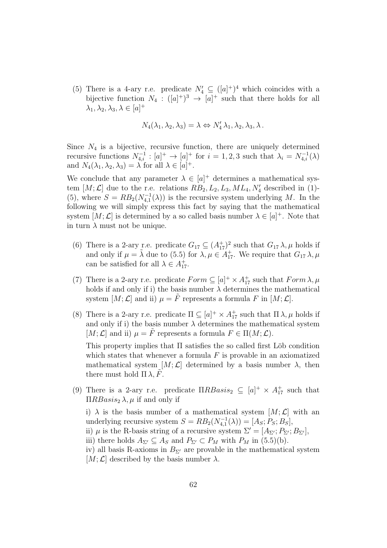(5) There is a 4-ary r.e. predicate  $N'_4 \subseteq (a)^+)^4$  which coincides with a bijective function  $N_4: ([a]^{+})^3 \rightarrow [a]^{+}$  such that there holds for all  $\lambda_1, \lambda_2, \lambda_3, \lambda \in [a]^+$ 

$$
N_4(\lambda_1, \lambda_2, \lambda_3) = \lambda \Leftrightarrow N'_4 \lambda_1, \lambda_2, \lambda_3, \lambda.
$$

Since  $N_4$  is a bijective, recursive function, there are uniquely determined recursive functions  $N_{4,i}^{-1}$ :  $[a]^+ \rightarrow [a]^+$  for  $i = 1, 2, 3$  such that  $\lambda_i = N_{4,i}^{-1}(\lambda)$ and  $N_4(\lambda_1, \lambda_2, \lambda_3) = \lambda$  for all  $\lambda \in [a]^+$ .

We conclude that any parameter  $\lambda \in [a]^+$  determines a mathematical system  $[M; \mathcal{L}]$  due to the r.e. relations  $RB_2, L_2, L_3, ML_4, N'_4$  described in (1)-(5), where  $S = RB_2(N_{4,1}^{-1}(\lambda))$  is the recursive system underlying M. In the following we will simply express this fact by saying that the mathematical system  $[M; \mathcal{L}]$  is determined by a so called basis number  $\lambda \in [a]^+$ . Note that in turn  $\lambda$  must not be unique.

- (6) There is a 2-ary r.e. predicate  $G_{17} \subseteq (A_{17}^+)^2$  such that  $G_{17} \lambda, \mu$  holds if and only if  $\mu = \tilde{\lambda}$  due to (5.5) for  $\lambda, \mu \in A_{17}^+$ . We require that  $G_{17} \lambda, \mu$ can be satisfied for all  $\lambda \in A_{17}^+$ .
- (7) There is a 2-ary r.e. predicate  $Form \subseteq [a]^+ \times A_{17}^+$  such that  $Form \lambda, \mu$ holds if and only if i) the basis number  $\lambda$  determines the mathematical system  $[M; \mathcal{L}]$  and ii)  $\mu = \tilde{F}$  represents a formula F in  $[M; \mathcal{L}]$ .
- (8) There is a 2-ary r.e. predicate  $\Pi \subseteq [a]^+ \times A_{17}^+$  such that  $\Pi \lambda, \mu$  holds if and only if i) the basis number  $\lambda$  determines the mathematical system [ $M; \mathcal{L}$ ] and ii)  $\mu = \tilde{F}$  represents a formula  $F \in \Pi(M; \mathcal{L})$ .

This property implies that  $\Pi$  satisfies the so called first Löb condition which states that whenever a formula  $F$  is provable in an axiomatized mathematical system  $[M; \mathcal{L}]$  determined by a basis number  $\lambda$ , then there must hold  $\Pi \lambda$ , F.

(9) There is a 2-ary r.e. predicate  $\Pi RBasis_2 \subseteq [a]^+ \times A^+_{17}$  such that  $\Pi RBasis_2 \lambda, \mu$  if and only if

i)  $\lambda$  is the basis number of a mathematical system  $[M; \mathcal{L}]$  with an underlying recursive system  $S = RB_2(N_{4,1}^{-1}(\lambda)) = [A_S; P_S; B_S],$ 

- ii)  $\mu$  is the R-basis string of a recursive system  $\Sigma' = [A_{\Sigma'}; P_{\Sigma'}; B_{\Sigma'}],$
- iii) there holds  $A_{\Sigma'} \subseteq A_S$  and  $P_{\Sigma'} \subset P_M$  with  $P_M$  in (5.5)(b).
- iv) all basis R-axioms in  $B_{\Sigma'}$  are provable in the mathematical system  $[M; \mathcal{L}]$  described by the basis number  $\lambda$ .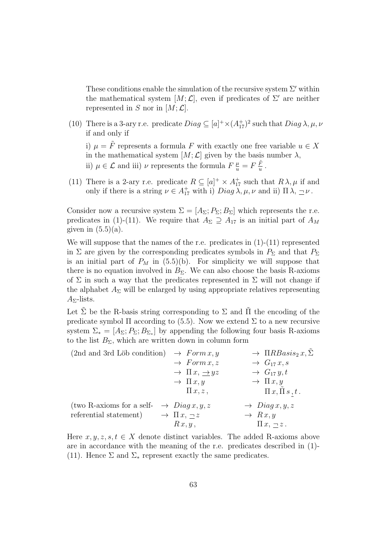These conditions enable the simulation of the recursive system  $\Sigma'$  within the mathematical system  $[M; \mathcal{L}]$ , even if predicates of  $\Sigma'$  are neither represented in S nor in  $[M; \mathcal{L}]$ .

(10) There is a 3-ary r.e. predicate  $Diag \subseteq [a]^+ \times (A_{17}^+)^2$  such that  $Diag \lambda, \mu, \nu$ if and only if

i)  $\mu = \tilde{F}$  represents a formula F with exactly one free variable  $u \in X$ in the mathematical system  $[M; \mathcal{L}]$  given by the basis number  $\lambda$ , ii)  $\mu \in \mathcal{L}$  and iii)  $\nu$  represents the formula  $F\frac{\mu}{u} = F\frac{\tilde{F}}{u}$  $\frac{F}{u}$  .

(11) There is a 2-ary r.e. predicate  $R \subseteq [a]^+ \times A_{17}^+$  such that  $R \lambda, \mu$  if and only if there is a string  $\nu \in A_{17}^+$  with i)  $Diag \lambda, \mu, \nu$  and ii)  $\Pi \lambda, \underline{\neg} \nu$ .

Consider now a recursive system  $\Sigma = [A_{\Sigma}; P_{\Sigma}; B_{\Sigma}]$  which represents the r.e. predicates in (1)-(11). We require that  $A_{\Sigma} \supseteq A_{17}$  is an initial part of  $A_M$ given in  $(5.5)(a)$ .

We will suppose that the names of the r.e. predicates in  $(1)-(11)$  represented in  $\Sigma$  are given by the corresponding predicates symbols in  $P_{\Sigma}$  and that  $P_{\Sigma}$ is an initial part of  $P_M$  in (5.5)(b). For simplicity we will suppose that there is no equation involved in  $B_{\Sigma}$ . We can also choose the basis R-axioms of  $\Sigma$  in such a way that the predicates represented in  $\Sigma$  will not change if the alphabet  $A_{\Sigma}$  will be enlarged by using appropriate relatives representing  $A_{\Sigma}$ -lists.

Let  $\tilde{\Sigma}$  be the R-basis string corresponding to  $\Sigma$  and  $\tilde{\Pi}$  the encoding of the predicate symbol  $\Pi$  according to (5.5). Now we extend  $\Sigma$  to a new recursive system  $\Sigma_* = [A_\Sigma; P_\Sigma; B_{\Sigma_*}]$  by appending the following four basis R-axioms to the list  $B_{\Sigma}$ , which are written down in column form

| $(2nd \text{ and } 3rd \text{ Löb condition})$                 | $\rightarrow$ Form x, y             | $\rightarrow \Pi RBasis_2 x, \Sigma$ |
|----------------------------------------------------------------|-------------------------------------|--------------------------------------|
|                                                                | $\rightarrow$ Form x, z             | $\rightarrow G_{17} x, s$            |
|                                                                | $\rightarrow \Pi x, \rightarrow yz$ | $\rightarrow G_{17}y, t$             |
|                                                                | $\rightarrow \Pi x, y$              | $\rightarrow \Pi x, y$               |
|                                                                | $\Pi x, z$ ,                        | $\Pi x, \Pi s, t$ .                  |
| (two R-axioms for a self- $\rightarrow$ Diag x, y, z           |                                     | $\rightarrow$ Diag x, y, z           |
| referential statement) $\rightarrow \Pi x, \underline{\neg} z$ |                                     | $\rightarrow Rx, y$                  |
|                                                                | Rx, y,                              | $\Pi x, \neg z.$                     |

Here  $x, y, z, s, t \in X$  denote distinct variables. The added R-axioms above are in accordance with the meaning of the r.e. predicates described in (1)- (11). Hence  $\Sigma$  and  $\Sigma_*$  represent exactly the same predicates.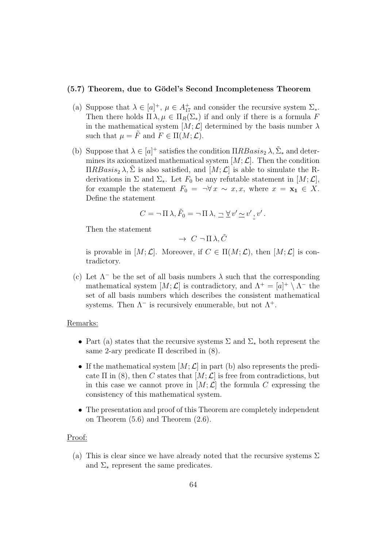#### (5.7) Theorem, due to Gödel's Second Incompleteness Theorem

- (a) Suppose that  $\lambda \in [a]^+$ ,  $\mu \in A_{17}^+$  and consider the recursive system  $\Sigma_*$ . Then there holds  $\Pi \lambda, \mu \in \Pi_R(\Sigma_*)$  if and only if there is a formula F in the mathematical system  $[M; \mathcal{L}]$  determined by the basis number  $\lambda$ such that  $\mu = \tilde{F}$  and  $F \in \Pi(M; \mathcal{L})$ .
- (b) Suppose that  $\lambda \in [a]^+$  satisfies the condition  $\Pi RBasis_2 \lambda$ ,  $\tilde{\Sigma}_*$  and determines its axiomatized mathematical system  $[M; \mathcal{L}]$ . Then the condition  $\Pi RBasis_2 \lambda, \Sigma$  is also satisfied, and  $[M; \mathcal{L}]$  is able to simulate the Rderivations in  $\Sigma$  and  $\Sigma_*$ . Let  $F_0$  be any refutable statement in  $[M; \mathcal{L}],$ for example the statement  $F_0 = \neg \forall x \sim x, x$ , where  $x = \mathbf{x}_1 \in X$ . Define the statement

$$
C = \neg \Pi \lambda, \tilde{F}_0 = \neg \Pi \lambda, \neg \underline{\forall} v' \underline{\sim} v', v'.
$$

Then the statement

$$
\rightarrow\ C\ \lnot\ \Pi\ \lambda,\tilde{C}
$$

is provable in  $[M; \mathcal{L}]$ . Moreover, if  $C \in \Pi(M; \mathcal{L})$ , then  $[M; \mathcal{L}]$  is contradictory.

(c) Let  $\Lambda^-$  be the set of all basis numbers  $\lambda$  such that the corresponding mathematical system  $[M; \mathcal{L}]$  is contradictory, and  $\Lambda^+ = [a]^+ \setminus \Lambda^-$  the set of all basis numbers which describes the consistent mathematical systems. Then  $\Lambda^-$  is recursively enumerable, but not  $\Lambda^+$ .

#### Remarks:

- Part (a) states that the recursive systems  $\Sigma$  and  $\Sigma_*$  both represent the same 2-ary predicate  $\Pi$  described in  $(8)$ .
- If the mathematical system  $[M; \mathcal{L}]$  in part (b) also represents the predicate  $\Pi$  in (8), then C states that  $[M; \mathcal{L}]$  is free from contradictions, but in this case we cannot prove in  $[M; \mathcal{L}]$  the formula C expressing the consistency of this mathematical system.
- The presentation and proof of this Theorem are completely independent on Theorem (5.6) and Theorem (2.6).

#### Proof:

(a) This is clear since we have already noted that the recursive systems  $\Sigma$ and  $\Sigma_*$  represent the same predicates.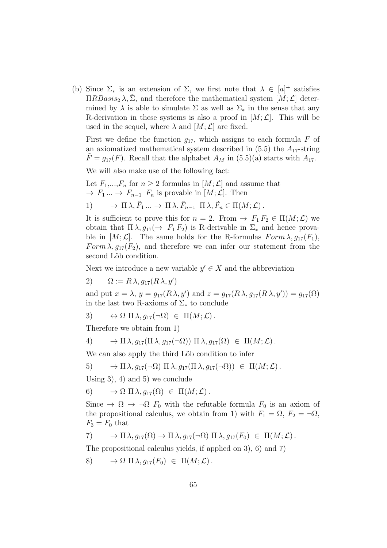(b) Since  $\Sigma_*$  is an extension of  $\Sigma$ , we first note that  $\lambda \in [a]^+$  satisfies  $\Pi RBasis_2 \lambda, \Sigma$ , and therefore the mathematical system  $[M; \mathcal{L}]$  determined by  $\lambda$  is able to simulate  $\Sigma$  as well as  $\Sigma_*$  in the sense that any R-derivation in these systems is also a proof in  $[M; \mathcal{L}]$ . This will be used in the sequel, where  $\lambda$  and  $[M; \mathcal{L}]$  are fixed.

First we define the function  $q_{17}$ , which assigns to each formula F of an axiomatized mathematical system described in  $(5.5)$  the  $A_{17}$ -string  $F = g_{17}(F)$ . Recall that the alphabet  $A_M$  in (5.5)(a) starts with  $A_{17}$ .

We will also make use of the following fact:

Let  $F_1,...,F_n$  for  $n \geq 2$  formulas in  $[M;\mathcal{L}]$  and assume that  $\rightarrow$   $F_1 \dots \rightarrow F_{n-1}$   $F_n$  is provable in  $[M; \mathcal{L}]$ . Then

1) 
$$
\rightarrow \Pi \lambda, \tilde{F}_1 ... \rightarrow \Pi \lambda, \tilde{F}_{n-1} \Pi \lambda, \tilde{F}_n \in \Pi(M; \mathcal{L})
$$
.

It is sufficient to prove this for  $n = 2$ . From  $\rightarrow F_1 F_2 \in \Pi(M; \mathcal{L})$  we obtain that  $\Pi \lambda, g_{17}(\rightarrow F_1 F_2)$  is R-derivable in  $\Sigma_*$  and hence provable in  $[M; \mathcal{L}]$ . The same holds for the R-formulas  $Form \lambda, g_{17}(F_1)$ , Form  $\lambda$ ,  $q_{17}(F_2)$ , and therefore we can infer our statement from the second Löb condition.

Next we introduce a new variable  $y' \in X$  and the abbreviation

2)  $\Omega := R \lambda, g_{17}(R \lambda, y')$ 

and put  $x = \lambda$ ,  $y = g_{17}(R\lambda, y')$  and  $z = g_{17}(R\lambda, g_{17}(R\lambda, y')) = g_{17}(\Omega)$ in the last two R-axioms of  $\Sigma_*$  to conclude

3) 
$$
\leftrightarrow \Omega \Pi \lambda, g_{17}(\neg \Omega) \in \Pi(M; \mathcal{L}).
$$

Therefore we obtain from 1)

4) 
$$
\rightarrow \Pi \lambda, g_{17}(\Pi \lambda, g_{17}(\neg \Omega)) \Pi \lambda, g_{17}(\Omega) \in \Pi(M; \mathcal{L}).
$$

We can also apply the third Löb condition to infer

5) 
$$
\rightarrow \Pi \lambda, g_{17}(\neg \Omega) \Pi \lambda, g_{17}(\Pi \lambda, g_{17}(\neg \Omega)) \in \Pi(M; \mathcal{L}).
$$

Using 3), 4) and 5) we conclude

6) 
$$
\rightarrow \Omega \Pi \lambda, g_{17}(\Omega) \in \Pi(M; \mathcal{L})
$$
.

Since  $\rightarrow \Omega \rightarrow \Omega F_0$  with the refutable formula  $F_0$  is an axiom of the propositional calculus, we obtain from 1) with  $F_1 = \Omega$ ,  $F_2 = \neg \Omega$ ,  $F_3 = F_0$  that

7) 
$$
\rightarrow \Pi \lambda, g_{17}(\Omega) \rightarrow \Pi \lambda, g_{17}(\neg \Omega) \Pi \lambda, g_{17}(F_0) \in \Pi(M; \mathcal{L}).
$$

The propositional calculus yields, if applied on 3), 6) and 7)

8)  $\rightarrow \Omega \Pi \lambda, q_{17}(F_0) \in \Pi(M; \mathcal{L})$ .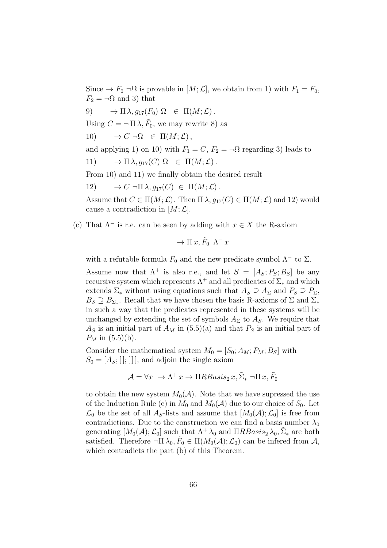Since  $\rightarrow F_0 \neg \Omega$  is provable in  $[M; \mathcal{L}]$ , we obtain from 1) with  $F_1 = F_0$ ,  $F_2 = \neg \Omega$  and 3) that

9) 
$$
\rightarrow \Pi \lambda, g_{17}(F_0) \Omega \in \Pi(M; \mathcal{L})
$$
.

Using  $C = \neg \Pi \lambda$ ,  $\tilde{F}_0$ , we may rewrite 8) as

10)  $\rightarrow C \neg \Omega \in \Pi(M; \mathcal{L}),$ 

and applying 1) on 10) with  $F_1 = C$ ,  $F_2 = \neg \Omega$  regarding 3) leads to

$$
11) \qquad \to \Pi \lambda, g_{17}(C) \Omega \in \Pi(M; \mathcal{L}).
$$

From 10) and 11) we finally obtain the desired result

12) 
$$
\rightarrow C \neg \Pi \lambda, g_{17}(C) \in \Pi(M; \mathcal{L}).
$$

Assume that  $C \in \Pi(M; \mathcal{L})$ . Then  $\Pi \lambda, g_{17}(C) \in \Pi(M; \mathcal{L})$  and 12) would cause a contradiction in  $[M; \mathcal{L}]$ .

(c) That  $\Lambda^-$  is r.e. can be seen by adding with  $x \in X$  the R-axiom

$$
\to \Pi x, \tilde{F}_0 \Lambda^- x
$$

with a refutable formula  $F_0$  and the new predicate symbol  $\Lambda^-$  to  $\Sigma$ .

Assume now that  $\Lambda^+$  is also r.e., and let  $S = [A<sub>S</sub>; P<sub>S</sub>; B<sub>S</sub>]$  be any recursive system which represents  $\Lambda^+$  and all predicates of  $\Sigma_*$  and which extends  $\Sigma_*$  without using equations such that  $A_S \supseteq A_{\Sigma}$  and  $P_S \supseteq P_{\Sigma}$ ,  $B_S \supseteq B_{\Sigma_*}$ . Recall that we have chosen the basis R-axioms of  $\Sigma$  and  $\Sigma_*$ in such a way that the predicates represented in these systems will be unchanged by extending the set of symbols  $A_{\Sigma}$  to  $A_{S}$ . We require that  $A<sub>S</sub>$  is an initial part of  $A<sub>M</sub>$  in (5.5)(a) and that  $P<sub>S</sub>$  is an initial part of  $P_M$  in (5.5)(b).

Consider the mathematical system  $M_0 = [S_0; A_M; P_M; B_S]$  with  $S_0 = [A<sub>S</sub>;[];[]]$ , and adjoin the single axiom

$$
\mathcal{A} = \forall x \ \rightarrow \Lambda^+ \, x \rightarrow \Pi R B \, \text{as} \, \text{as} \, x, \, \tilde{\Sigma}_* \, \neg \Pi \, x, \, \tilde{F}_0
$$

to obtain the new system  $M_0(\mathcal{A})$ . Note that we have supressed the use of the Induction Rule (e) in  $M_0$  and  $M_0(\mathcal{A})$  due to our choice of  $S_0$ . Let  $\mathcal{L}_0$  be the set of all  $A_S$ -lists and assume that  $[M_0(\mathcal{A}); \mathcal{L}_0]$  is free from contradictions. Due to the construction we can find a basis number  $\lambda_0$ generating  $[M_0(\mathcal{A}); \mathcal{L}_0]$  such that  $\Lambda^+ \lambda_0$  and  $\Pi RBasis_2 \lambda_0, \tilde{\Sigma}_*$  are both satisfied. Therefore  $\neg \Pi \lambda_0, \tilde{F}_0 \in \Pi(M_0(\mathcal{A}); \mathcal{L}_0)$  can be inferred from  $\mathcal{A},$ which contradicts the part (b) of this Theorem.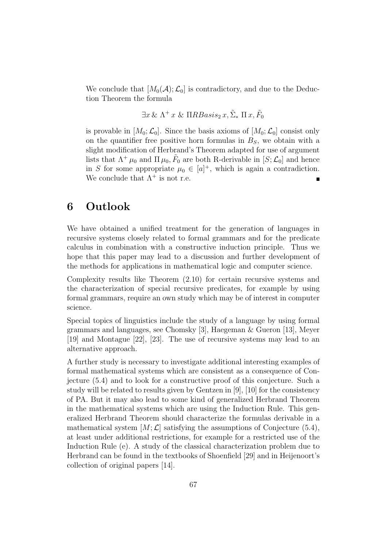We conclude that  $[M_0(\mathcal{A}); \mathcal{L}_0]$  is contradictory, and due to the Deduction Theorem the formula

$$
\exists x \& \Lambda^+ x \& \Pi R B asis_2 x, \tilde{\Sigma}_* \Pi x, \tilde{F}_0
$$

is provable in  $[M_0; \mathcal{L}_0]$ . Since the basis axioms of  $[M_0; \mathcal{L}_0]$  consist only on the quantifier free positive horn formulas in  $B<sub>S</sub>$ , we obtain with a slight modification of Herbrand's Theorem adapted for use of argument lists that  $\Lambda^+ \mu_0$  and  $\Pi \mu_0$ ,  $\tilde{F}_0$  are both R-derivable in  $[S; \mathcal{L}_0]$  and hence in S for some appropriate  $\mu_0 \in [a]^+$ , which is again a contradiction. We conclude that  $\Lambda^+$  is not r.e.

### 6 Outlook

We have obtained a unified treatment for the generation of languages in recursive systems closely related to formal grammars and for the predicate calculus in combination with a constructive induction principle. Thus we hope that this paper may lead to a discussion and further development of the methods for applications in mathematical logic and computer science.

Complexity results like Theorem (2.10) for certain recursive systems and the characterization of special recursive predicates, for example by using formal grammars, require an own study which may be of interest in computer science.

Special topics of linguistics include the study of a language by using formal grammars and languages, see Chomsky [3], Haegeman & Gueron [13], Meyer [19] and Montague [22], [23]. The use of recursive systems may lead to an alternative approach.

A further study is necessary to investigate additional interesting examples of formal mathematical systems which are consistent as a consequence of Conjecture (5.4) and to look for a constructive proof of this conjecture. Such a study will be related to results given by Gentzen in [9], [10] for the consistency of PA. But it may also lead to some kind of generalized Herbrand Theorem in the mathematical systems which are using the Induction Rule. This generalized Herbrand Theorem should characterize the formulas derivable in a mathematical system  $[M; \mathcal{L}]$  satisfying the assumptions of Conjecture (5.4), at least under additional restrictions, for example for a restricted use of the Induction Rule (e). A study of the classical characterization problem due to Herbrand can be found in the textbooks of Shoenfield [29] and in Heijenoort's collection of original papers [14].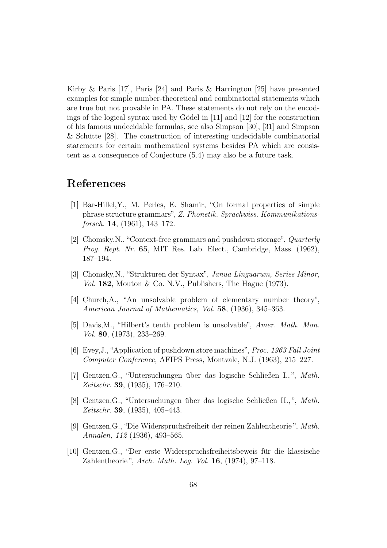Kirby & Paris [17], Paris [24] and Paris & Harrington [25] have presented examples for simple number-theoretical and combinatorial statements which are true but not provable in PA. These statements do not rely on the encodings of the logical syntax used by Gödel in  $[11]$  and  $[12]$  for the construction of his famous undecidable formulas, see also Simpson [30], [31] and Simpson & Schütte  $[28]$ . The construction of interesting undecidable combinatorial statements for certain mathematical systems besides PA which are consistent as a consequence of Conjecture (5.4) may also be a future task.

## References

- [1] Bar-Hillel,Y., M. Perles, E. Shamir, "On formal properties of simple phrase structure grammars", *Z. Phonetik. Sprachwiss. Kommunikationsforsch.* 14, (1961), 143–172.
- [2] Chomsky,N., "Context-free grammars and pushdown storage", *Quarterly Prog. Rept. Nr.* 65, MIT Res. Lab. Elect., Cambridge, Mass. (1962), 187–194.
- [3] Chomsky,N., "Strukturen der Syntax", *Janua Linguarum, Series Minor,*  $Vol.$  182, Mouton & Co. N.V., Publishers, The Hague  $(1973)$ .
- [4] Church,A., "An unsolvable problem of elementary number theory", *American Journal of Mathematics, Vol.* 58, (1936), 345–363.
- [5] Davis,M., "Hilbert's tenth problem is unsolvable", *Amer. Math. Mon. Vol.* 80, (1973), 233–269.
- [6] Evey,J.,"Application of pushdown store machines", *Proc. 1963 Fall Joint Computer Conference,* AFIPS Press, Montvale, N.J. (1963), 215–227.
- [7] Gentzen, G., "Untersuchungen über das logische Schließen I.,", Math. *Zeitschr.* 39, (1935), 176–210.
- [8] Gentzen, G., "Untersuchungen über das logische Schließen II.,", *Math. Zeitschr.* 39, (1935), 405–443.
- [9] Gentzen,G., "Die Widerspruchsfreiheit der reinen Zahlentheorie ", *Math. Annalen, 112* (1936), 493–565.
- [10] Gentzen, G., "Der erste Widerspruchsfreiheitsbeweis für die klassische Zahlentheorie ", *Arch. Math. Log. Vol.* 16, (1974), 97–118.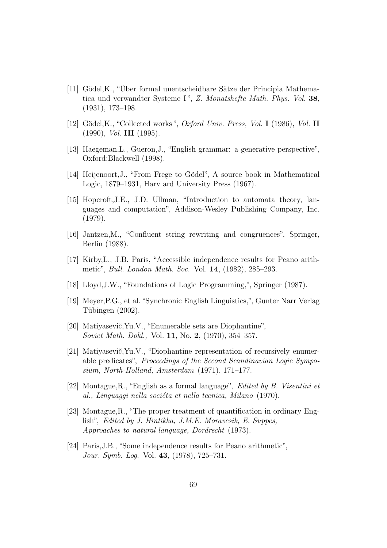- [11] Gödel,K., "Über formal unentscheidbare Sätze der Principia Mathematica und verwandter Systeme I", *Z. Monatshefte Math. Phys. Vol.* 38, (1931), 173–198.
- [12] Gödel,K., "Collected works", *Oxford Univ. Press, Vol.* I (1986), *Vol.* II (1990), *Vol.* III (1995).
- [13] Haegeman,L., Gueron,J., "English grammar: a generative perspective", Oxford:Blackwell (1998).
- [14] Heijenoort, J., "From Frege to Gödel", A source book in Mathematical Logic, 1879–1931, Harv ard University Press (1967).
- [15] Hopcroft,J.E., J.D. Ullman, "Introduction to automata theory, languages and computation", Addison-Wesley Publishing Company, Inc. (1979).
- [16] Jantzen,M., "Confluent string rewriting and congruences", Springer, Berlin (1988).
- [17] Kirby,L., J.B. Paris, "Accessible independence results for Peano arithmetic", *Bull. London Math. Soc.* Vol. 14, (1982), 285–293.
- [18] Lloyd,J.W., "Foundations of Logic Programming,", Springer (1987).
- [19] Meyer,P.G., et al. "Synchronic English Linguistics,", Gunter Narr Verlag Tübingen  $(2002)$ .
- [20] Matiyasevič, Yu.V., "Enumerable sets are Diophantine", *Soviet Math. Dokl.,* Vol. 11, No. 2, (1970), 354–357.
- [21] Matiyasevič, Yu.V., "Diophantine representation of recursively enumerable predicates", *Proceedings of the Second Scandinavian Logic Symposium, North-Holland, Amsterdam* (1971), 171–177.
- [22] Montague,R., "English as a formal language", *Edited by B. Visentini et al., Linguaggi nella soci´eta et nella tecnica, Milano* (1970).
- [23] Montague,R., "The proper treatment of quantification in ordinary English", *Edited by J. Hintikka, J.M.E. Moravcsik, E. Suppes, Approaches to natural language, Dordrecht* (1973).
- [24] Paris,J.B., "Some independence results for Peano arithmetic", *Jour. Symb. Log.* Vol. 43, (1978), 725–731.